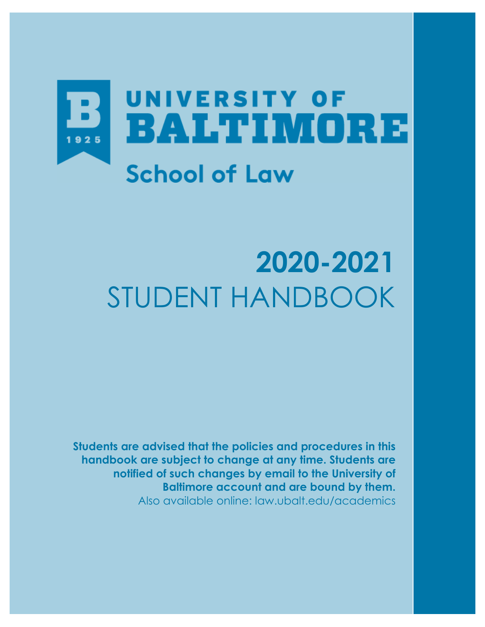

# **2020-2021** STUDENT HANDBOOK

**Students are advised that the policies and procedures in this handbook are subject to change at any time. Students are notified of such changes by email to the University of Baltimore account and are bound by them.** Also available online: law.ubalt.edu/academics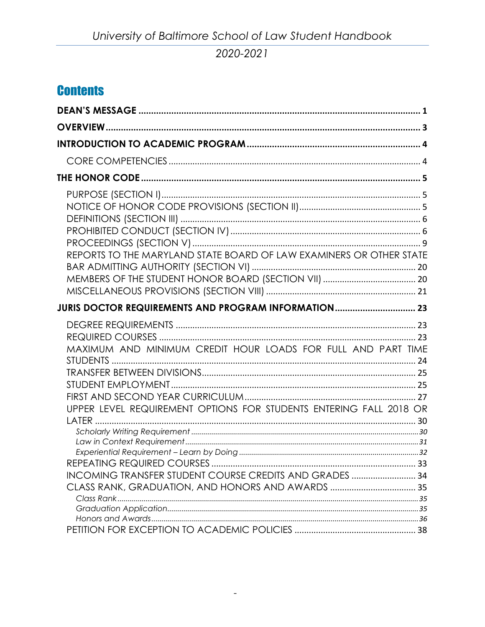# **Contents**

| REPORTS TO THE MARYLAND STATE BOARD OF LAW EXAMINERS OR OTHER STATE                                                                                                                           |  |
|-----------------------------------------------------------------------------------------------------------------------------------------------------------------------------------------------|--|
| <b>JURIS DOCTOR REQUIREMENTS AND PROGRAM INFORMATION 23</b>                                                                                                                                   |  |
| MAXIMUM AND MINIMUM CREDIT HOUR LOADS FOR FULL AND PART TIME<br>UPPER LEVEL REQUIREMENT OPTIONS FOR STUDENTS ENTERING FALL 2018 OR<br>INCOMING TRANSFER STUDENT COURSE CREDITS AND GRADES  34 |  |
|                                                                                                                                                                                               |  |

 $\overline{\phantom{a}}$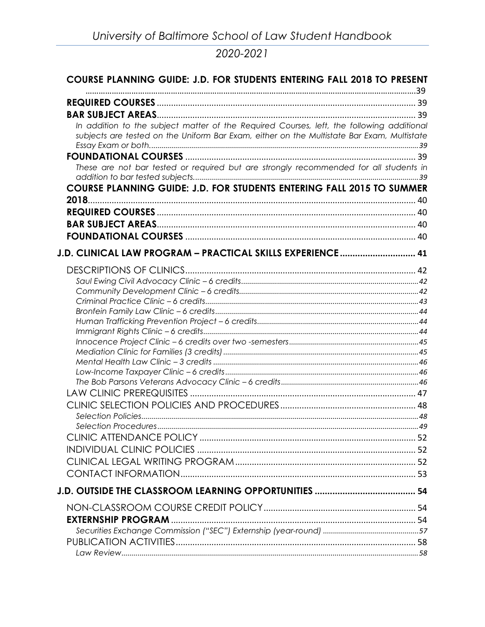| <b>COURSE PLANNING GUIDE: J.D. FOR STUDENTS ENTERING FALL 2018 TO PRESENT</b>              |  |
|--------------------------------------------------------------------------------------------|--|
|                                                                                            |  |
|                                                                                            |  |
| In addition to the subject matter of the Required Courses, left, the following additional  |  |
| subjects are tested on the Uniform Bar Exam, either on the Multistate Bar Exam, Multistate |  |
|                                                                                            |  |
|                                                                                            |  |
| These are not bar tested or required but are strongly recommended for all students in      |  |
| COURSE PLANNING GUIDE: J.D. FOR STUDENTS ENTERING FALL 2015 TO SUMMER                      |  |
|                                                                                            |  |
|                                                                                            |  |
|                                                                                            |  |
|                                                                                            |  |
|                                                                                            |  |
| J.D. CLINICAL LAW PROGRAM - PRACTICAL SKILLS EXPERIENCE 41                                 |  |
|                                                                                            |  |
|                                                                                            |  |
|                                                                                            |  |
|                                                                                            |  |
|                                                                                            |  |
|                                                                                            |  |
|                                                                                            |  |
|                                                                                            |  |
|                                                                                            |  |
|                                                                                            |  |
|                                                                                            |  |
|                                                                                            |  |
|                                                                                            |  |
|                                                                                            |  |
|                                                                                            |  |
|                                                                                            |  |
|                                                                                            |  |
|                                                                                            |  |
|                                                                                            |  |
|                                                                                            |  |
|                                                                                            |  |
|                                                                                            |  |
|                                                                                            |  |
|                                                                                            |  |
|                                                                                            |  |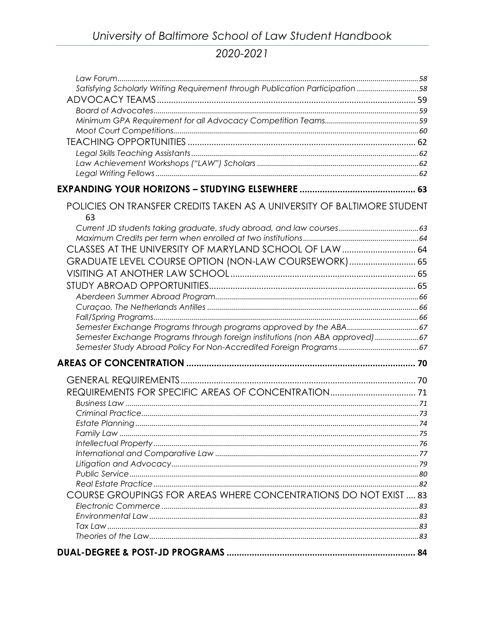| Satisfying Scholarly Writing Requirement through Publication Participation 58 |  |
|-------------------------------------------------------------------------------|--|
|                                                                               |  |
|                                                                               |  |
|                                                                               |  |
|                                                                               |  |
|                                                                               |  |
|                                                                               |  |
|                                                                               |  |
|                                                                               |  |
|                                                                               |  |
| POLICIES ON TRANSFER CREDITS TAKEN AS A UNIVERSITY OF BALTIMORE STUDENT<br>63 |  |
|                                                                               |  |
|                                                                               |  |
| CLASSES AT THE UNIVERSITY OF MARYLAND SCHOOL OF LAW  64                       |  |
| GRADUATE LEVEL COURSE OPTION (NON-LAW COURSEWORK) 65                          |  |
|                                                                               |  |
|                                                                               |  |
|                                                                               |  |
|                                                                               |  |
|                                                                               |  |
|                                                                               |  |
| Semester Exchange Programs through foreign institutions (non ABA approved) 67 |  |
|                                                                               |  |
|                                                                               |  |
|                                                                               |  |
|                                                                               |  |
|                                                                               |  |
|                                                                               |  |
|                                                                               |  |
|                                                                               |  |
|                                                                               |  |
|                                                                               |  |
|                                                                               |  |
|                                                                               |  |
| COURSE GROUPINGS FOR AREAS WHERE CONCENTRATIONS DO NOT EXIST  83              |  |
|                                                                               |  |
|                                                                               |  |
|                                                                               |  |
|                                                                               |  |
|                                                                               |  |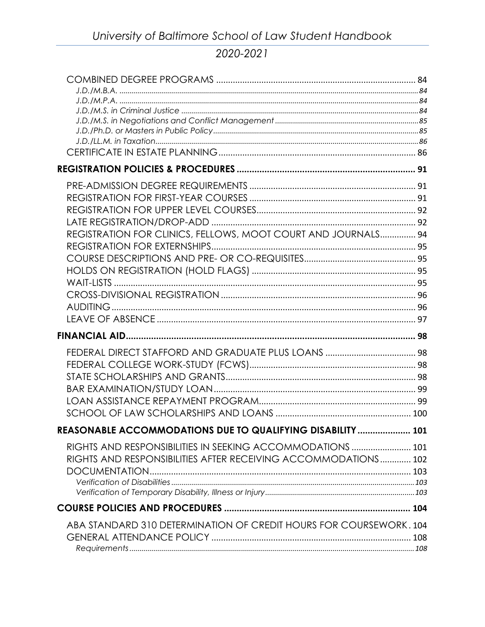| REGISTRATION FOR CLINICS, FELLOWS, MOOT COURT AND JOURNALS 94      |  |
|--------------------------------------------------------------------|--|
|                                                                    |  |
|                                                                    |  |
|                                                                    |  |
|                                                                    |  |
|                                                                    |  |
|                                                                    |  |
|                                                                    |  |
|                                                                    |  |
|                                                                    |  |
|                                                                    |  |
|                                                                    |  |
|                                                                    |  |
|                                                                    |  |
|                                                                    |  |
| REASONABLE ACCOMMODATIONS DUE TO QUALIFYING DISABILITY  101        |  |
|                                                                    |  |
| RIGHTS AND RESPONSIBILITIES IN SEEKING ACCOMMODATIONS  101         |  |
| RIGHTS AND RESPONSIBILITIES AFTER RECEIVING ACCOMMODATIONS 102     |  |
|                                                                    |  |
|                                                                    |  |
|                                                                    |  |
|                                                                    |  |
| ABA STANDARD 310 DETERMINATION OF CREDIT HOURS FOR COURSEWORK. 104 |  |
|                                                                    |  |
|                                                                    |  |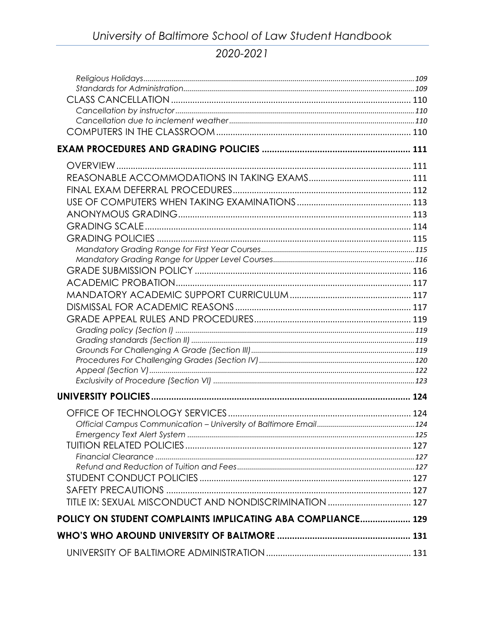| TITLE IX: SEXUAL MISCONDUCT AND NONDISCRIMINATION  127      |  |
|-------------------------------------------------------------|--|
| POLICY ON STUDENT COMPLAINTS IMPLICATING ABA COMPLIANCE 129 |  |
|                                                             |  |
|                                                             |  |
|                                                             |  |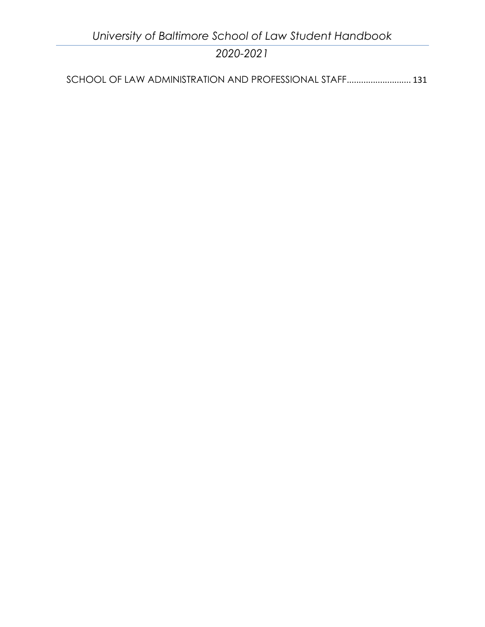*University of Baltimore School of Law Student Handbook 2020-2021*

[SCHOOL OF LAW ADMINISTRATION AND PROFESSIONAL STAFF](#page-138-2)........................... 131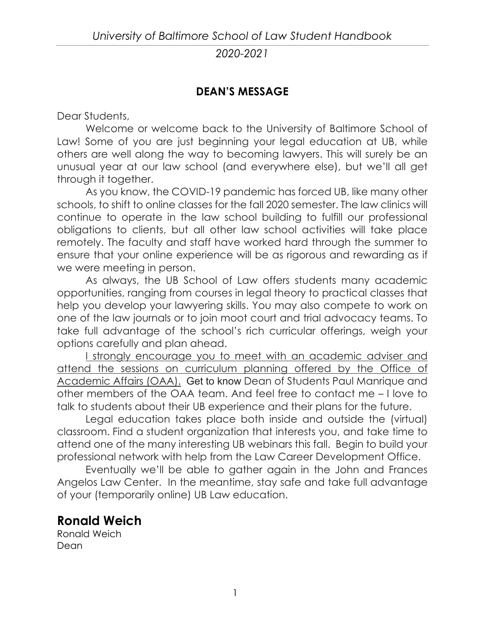# **DEAN'S MESSAGE**

<span id="page-8-0"></span>Dear Students,

Welcome or welcome back to the University of Baltimore School of Law! Some of you are just beginning your legal education at UB, while others are well along the way to becoming lawyers. This will surely be an unusual year at our law school (and everywhere else), but we'll all get through it together.

As you know, the COVID-19 pandemic has forced UB, like many other schools, to shift to online classes for the fall 2020 semester. The law clinics will continue to operate in the law school building to fulfill our professional obligations to clients, but all other law school activities will take place remotely. The faculty and staff have worked hard through the summer to ensure that your online experience will be as rigorous and rewarding as if we were meeting in person.

As always, the UB School of Law offers students many academic opportunities, ranging from courses in legal theory to practical classes that help you develop your lawyering skills. You may also compete to work on one of the law journals or to join moot court and trial advocacy teams. To take full advantage of the school's rich curricular offerings, weigh your options carefully and plan ahead.

I strongly encourage you to meet with an academic adviser and attend the sessions on curriculum planning offered by the Office of Academic Affairs (OAA). Get to know Dean of Students Paul Manrique and other members of the OAA team. And feel free to contact me – I love to talk to students about their UB experience and their plans for the future.

Legal education takes place both inside and outside the (virtual) classroom. Find a student organization that interests you, and take time to attend one of the many interesting UB webinars this fall. Begin to build your professional network with help from the Law Career Development Office.

 Eventually we'll be able to gather again in the John and Frances Angelos Law Center. In the meantime, stay safe and take full advantage of your (temporarily online) UB Law education.

# **Ronald Weich**

Ronald Weich Dean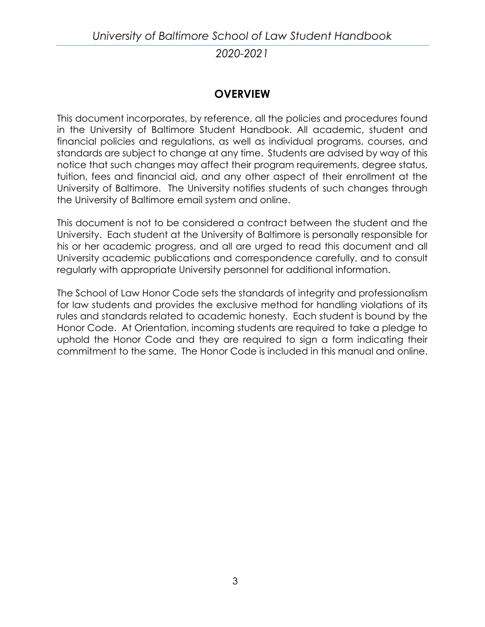# **OVERVIEW**

<span id="page-10-0"></span>This document incorporates, by reference, all the policies and procedures found in the University of Baltimore Student Handbook. All academic, student and financial policies and regulations, as well as individual programs, courses, and standards are subject to change at any time. Students are advised by way of this notice that such changes may affect their program requirements, degree status, tuition, fees and financial aid, and any other aspect of their enrollment at the University of Baltimore. The University notifies students of such changes through the University of Baltimore email system and online.

This document is not to be considered a contract between the student and the University. Each student at the University of Baltimore is personally responsible for his or her academic progress, and all are urged to read this document and all University academic publications and correspondence carefully, and to consult regularly with appropriate University personnel for additional information.

The School of Law Honor Code sets the standards of integrity and professionalism for law students and provides the exclusive method for handling violations of its rules and standards related to academic honesty. Each student is bound by the Honor Code. At Orientation, incoming students are required to take a pledge to uphold the Honor Code and they are required to sign a form indicating their commitment to the same. The Honor Code is included in this manual and online.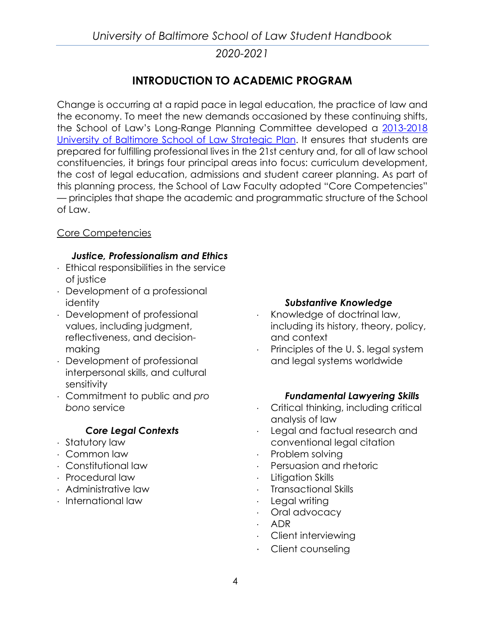# **INTRODUCTION TO ACADEMIC PROGRAM**

<span id="page-11-0"></span>Change is occurring at a rapid pace in legal education, the practice of law and the economy. To meet the new demands occasioned by these continuing shifts, the School of Law's Long-Range Planning Committee developed a [2013-2018](http://law.ubalt.edu/about/pdfs/STRATEGIC%20PLAN%20for%20WEBSITE2013-2018.pdf)  [University of Baltimore School of Law Strategic Plan.](http://law.ubalt.edu/about/pdfs/STRATEGIC%20PLAN%20for%20WEBSITE2013-2018.pdf) It ensures that students are prepared for fulfilling professional lives in the 21st century and, for all of law school constituencies, it brings four principal areas into focus: curriculum development, the cost of legal education, admissions and student career planning. As part of this planning process, the School of Law Faculty adopted "Core Competencies" — principles that shape the academic and programmatic structure of the School of Law.

## <span id="page-11-1"></span>Core Competencies

## *Justice, Professionalism and Ethics*

- ⋅ Ethical responsibilities in the service of justice
- ⋅ Development of a professional identity
- ⋅ Development of professional values, including judgment, reflectiveness, and decisionmaking
- ⋅ Development of professional interpersonal skills, and cultural sensitivity
- ⋅ Commitment to public and *pro bono* service

## *Core Legal Contexts*

- ⋅ Statutory law
- ⋅ Common law
- ⋅ Constitutional law
- ⋅ Procedural law
- ⋅ Administrative law
- ⋅ International law

#### *Substantive Knowledge*

- ⋅ Knowledge of doctrinal law, including its history, theory, policy, and context
- Principles of the U.S. legal system and legal systems worldwide

#### *Fundamental Lawyering Skills*

- ⋅ Critical thinking, including critical analysis of law
- Legal and factual research and conventional legal citation
- Problem solving
- ⋅ Persuasion and rhetoric
- Litigation Skills
- ⋅ Transactional Skills
- Legal writing
- ⋅ Oral advocacy
- ⋅ ADR
- ⋅ Client interviewing
- ⋅ Client counseling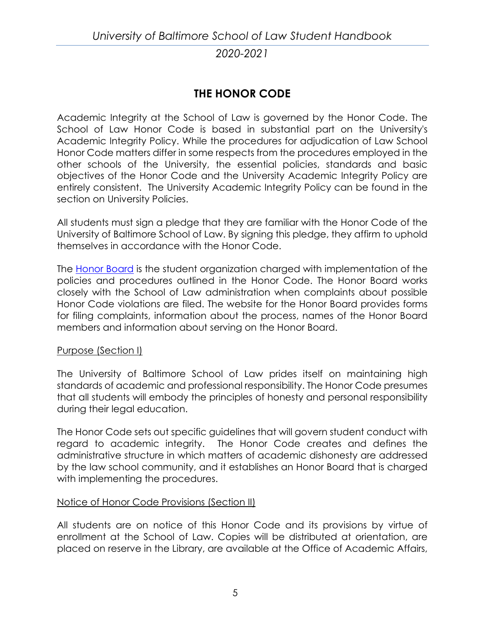# **THE HONOR CODE**

<span id="page-12-0"></span>Academic Integrity at the School of Law is governed by the Honor Code. The School of Law Honor Code is based in substantial part on the University's Academic Integrity Policy. While the procedures for adjudication of Law School Honor Code matters differ in some respects from the procedures employed in the other schools of the University, the essential policies, standards and basic objectives of the Honor Code and the University Academic Integrity Policy are entirely consistent. The University Academic Integrity Policy can be found in the section on University Policies.

All students must sign a pledge that they are familiar with the Honor Code of the University of Baltimore School of Law. By signing this pledge, they affirm to uphold themselves in accordance with the Honor Code.

The [Honor Board](http://law.ubalt.edu/academics/policiesandprocedures/honor_code/index.cfm) is the student organization charged with implementation of the policies and procedures outlined in the Honor Code. The Honor Board works closely with the School of Law administration when complaints about possible Honor Code violations are filed. The website for the Honor Board provides forms for filing complaints, information about the process, names of the Honor Board members and information about serving on the Honor Board.

#### <span id="page-12-1"></span>Purpose (Section I)

The University of Baltimore School of Law prides itself on maintaining high standards of academic and professional responsibility. The Honor Code presumes that all students will embody the principles of honesty and personal responsibility during their legal education.

The Honor Code sets out specific guidelines that will govern student conduct with regard to academic integrity. The Honor Code creates and defines the administrative structure in which matters of academic dishonesty are addressed by the law school community, and it establishes an Honor Board that is charged with implementing the procedures.

#### <span id="page-12-2"></span>Notice of Honor Code Provisions (Section II)

All students are on notice of this Honor Code and its provisions by virtue of enrollment at the School of Law. Copies will be distributed at orientation, are placed on reserve in the Library, are available at the Office of Academic Affairs,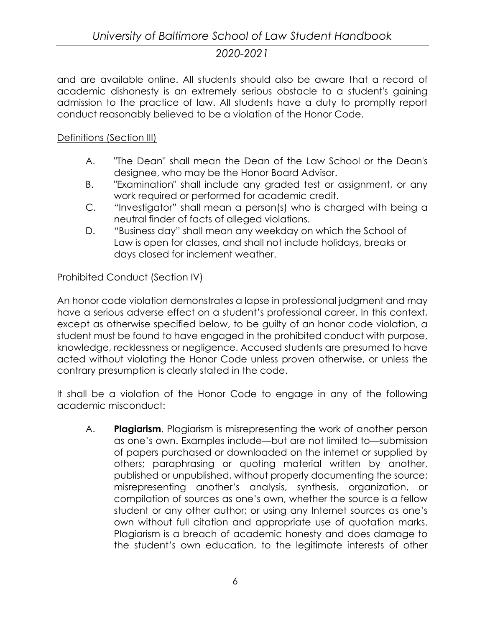and are available online. All students should also be aware that a record of academic dishonesty is an extremely serious obstacle to a student's gaining admission to the practice of law. All students have a duty to promptly report conduct reasonably believed to be a violation of the Honor Code.

## <span id="page-13-0"></span>Definitions (Section III)

- A. "The Dean" shall mean the Dean of the Law School or the Dean's designee, who may be the Honor Board Advisor.
- B. "Examination" shall include any graded test or assignment, or any work required or performed for academic credit.
- C. "Investigator" shall mean a person(s) who is charged with being a neutral finder of facts of alleged violations.
- D. "Business day" shall mean any weekday on which the School of Law is open for classes, and shall not include holidays, breaks or days closed for inclement weather.

# <span id="page-13-1"></span>Prohibited Conduct (Section IV)

An honor code violation demonstrates a lapse in professional judgment and may have a serious adverse effect on a student's professional career. In this context, except as otherwise specified below, to be guilty of an honor code violation, a student must be found to have engaged in the prohibited conduct with purpose, knowledge, recklessness or negligence. Accused students are presumed to have acted without violating the Honor Code unless proven otherwise, or unless the contrary presumption is clearly stated in the code.

It shall be a violation of the Honor Code to engage in any of the following academic misconduct:

A. **Plagiarism**. Plagiarism is misrepresenting the work of another person as one's own. Examples include—but are not limited to—submission of papers purchased or downloaded on the internet or supplied by others; paraphrasing or quoting material written by another, published or unpublished, without properly documenting the source; misrepresenting another's analysis, synthesis, organization, or compilation of sources as one's own, whether the source is a fellow student or any other author; or using any Internet sources as one's own without full citation and appropriate use of quotation marks. Plagiarism is a breach of academic honesty and does damage to the student's own education, to the legitimate interests of other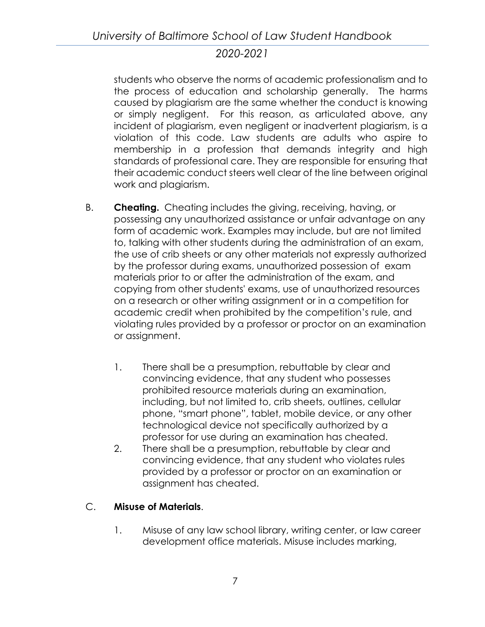students who observe the norms of academic professionalism and to the process of education and scholarship generally. The harms caused by plagiarism are the same whether the conduct is knowing or simply negligent. For this reason, as articulated above, any incident of plagiarism, even negligent or inadvertent plagiarism, is a violation of this code. Law students are adults who aspire to membership in a profession that demands integrity and high standards of professional care. They are responsible for ensuring that their academic conduct steers well clear of the line between original work and plagiarism.

- B. **Cheating.** Cheating includes the giving, receiving, having, or possessing any unauthorized assistance or unfair advantage on any form of academic work. Examples may include, but are not limited to, talking with other students during the administration of an exam, the use of crib sheets or any other materials not expressly authorized by the professor during exams, unauthorized possession of exam materials prior to or after the administration of the exam, and copying from other students' exams, use of unauthorized resources on a research or other writing assignment or in a competition for academic credit when prohibited by the competition's rule, and violating rules provided by a professor or proctor on an examination or assignment.
	- 1. There shall be a presumption, rebuttable by clear and convincing evidence, that any student who possesses prohibited resource materials during an examination, including, but not limited to, crib sheets, outlines, cellular phone, "smart phone", tablet, mobile device, or any other technological device not specifically authorized by a professor for use during an examination has cheated.
	- 2. There shall be a presumption, rebuttable by clear and convincing evidence, that any student who violates rules provided by a professor or proctor on an examination or assignment has cheated.

# C. **Misuse of Materials**.

1. Misuse of any law school library, writing center, or law career development office materials. Misuse includes marking,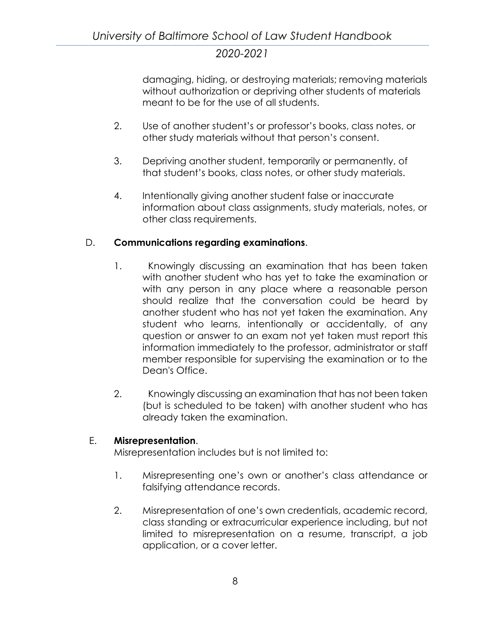damaging, hiding, or destroying materials; removing materials without authorization or depriving other students of materials meant to be for the use of all students.

- 2. Use of another student's or professor's books, class notes, or other study materials without that person's consent.
- 3. Depriving another student, temporarily or permanently, of that student's books, class notes, or other study materials.
- 4. Intentionally giving another student false or inaccurate information about class assignments, study materials, notes, or other class requirements.

## D. **Communications regarding examinations**.

- 1. Knowingly discussing an examination that has been taken with another student who has yet to take the examination or with any person in any place where a reasonable person should realize that the conversation could be heard by another student who has not yet taken the examination. Any student who learns, intentionally or accidentally, of any question or answer to an exam not yet taken must report this information immediately to the professor, administrator or staff member responsible for supervising the examination or to the Dean's Office.
- 2. Knowingly discussing an examination that has not been taken (but is scheduled to be taken) with another student who has already taken the examination.

## E. **Misrepresentation**.

Misrepresentation includes but is not limited to:

- 1. Misrepresenting one's own or another's class attendance or falsifying attendance records.
- 2. Misrepresentation of one's own credentials, academic record, class standing or extracurricular experience including, but not limited to misrepresentation on a resume, transcript, a job application, or a cover letter.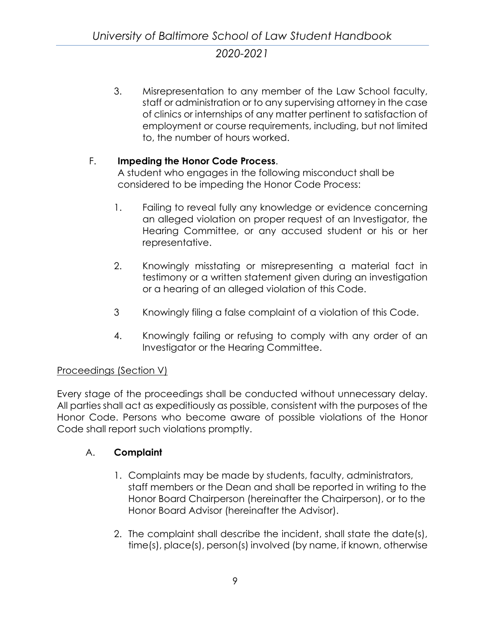3. Misrepresentation to any member of the Law School faculty, staff or administration or to any supervising attorney in the case of clinics or internships of any matter pertinent to satisfaction of employment or course requirements, including, but not limited to, the number of hours worked.

## F. **Impeding the Honor Code Process**.

A student who engages in the following misconduct shall be considered to be impeding the Honor Code Process:

- 1. Failing to reveal fully any knowledge or evidence concerning an alleged violation on proper request of an Investigator, the Hearing Committee, or any accused student or his or her representative.
- 2. Knowingly misstating or misrepresenting a material fact in testimony or a written statement given during an investigation or a hearing of an alleged violation of this Code.
- 3 Knowingly filing a false complaint of a violation of this Code.
- 4. Knowingly failing or refusing to comply with any order of an Investigator or the Hearing Committee.

## <span id="page-16-0"></span>Proceedings (Section V)

Every stage of the proceedings shall be conducted without unnecessary delay. All parties shall act as expeditiously as possible, consistent with the purposes of the Honor Code. Persons who become aware of possible violations of the Honor Code shall report such violations promptly.

## A. **Complaint**

- 1. Complaints may be made by students, faculty, administrators, staff members or the Dean and shall be reported in writing to the Honor Board Chairperson (hereinafter the Chairperson), or to the Honor Board Advisor (hereinafter the Advisor).
- 2. The complaint shall describe the incident, shall state the date(s), time(s), place(s), person(s) involved (by name, if known, otherwise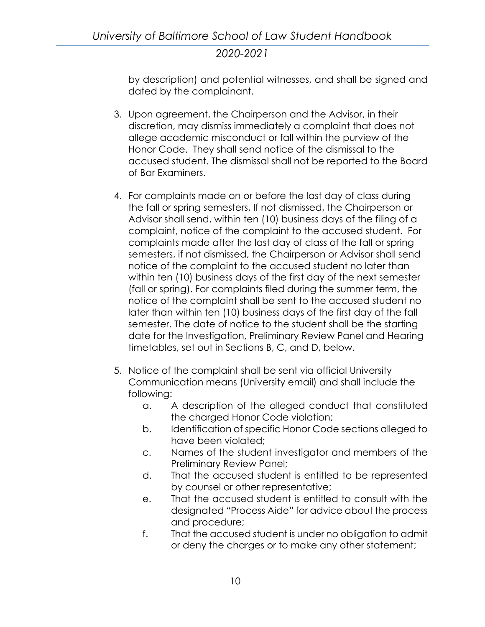by description) and potential witnesses, and shall be signed and dated by the complainant.

- 3. Upon agreement, the Chairperson and the Advisor, in their discretion, may dismiss immediately a complaint that does not allege academic misconduct or fall within the purview of the Honor Code. They shall send notice of the dismissal to the accused student. The dismissal shall not be reported to the Board of Bar Examiners.
- 4. For complaints made on or before the last day of class during the fall or spring semesters, If not dismissed, the Chairperson or Advisor shall send, within ten (10) business days of the filing of a complaint, notice of the complaint to the accused student. For complaints made after the last day of class of the fall or spring semesters, if not dismissed, the Chairperson or Advisor shall send notice of the complaint to the accused student no later than within ten (10) business days of the first day of the next semester (fall or spring). For complaints filed during the summer term, the notice of the complaint shall be sent to the accused student no later than within ten (10) business days of the first day of the fall semester. The date of notice to the student shall be the starting date for the Investigation, Preliminary Review Panel and Hearing timetables, set out in Sections B, C, and D, below.
- 5. Notice of the complaint shall be sent via official University Communication means (University email) and shall include the following:
	- a. A description of the alleged conduct that constituted the charged Honor Code violation;
	- b. Identification of specific Honor Code sections alleged to have been violated;
	- c. Names of the student investigator and members of the Preliminary Review Panel;
	- d. That the accused student is entitled to be represented by counsel or other representative;
	- e. That the accused student is entitled to consult with the designated "Process Aide" for advice about the process and procedure;
	- f. That the accused student is under no obligation to admit or deny the charges or to make any other statement;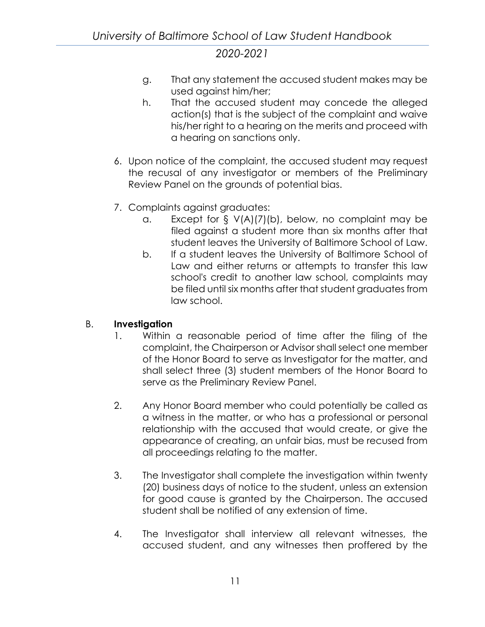- g. That any statement the accused student makes may be used against him/her;
- h. That the accused student may concede the alleged action(s) that is the subject of the complaint and waive his/her right to a hearing on the merits and proceed with a hearing on sanctions only.
- 6. Upon notice of the complaint, the accused student may request the recusal of any investigator or members of the Preliminary Review Panel on the grounds of potential bias.
- 7. Complaints against graduates:
	- a. Except for § V(A)(7)(b), below, no complaint may be filed against a student more than six months after that student leaves the University of Baltimore School of Law.
	- b. If a student leaves the University of Baltimore School of Law and either returns or attempts to transfer this law school's credit to another law school, complaints may be filed until six months after that student graduates from law school.

## B. **Investigation**

- 1. Within a reasonable period of time after the filing of the complaint, the Chairperson or Advisor shall select one member of the Honor Board to serve as Investigator for the matter, and shall select three (3) student members of the Honor Board to serve as the Preliminary Review Panel.
- 2. Any Honor Board member who could potentially be called as a witness in the matter, or who has a professional or personal relationship with the accused that would create, or give the appearance of creating, an unfair bias, must be recused from all proceedings relating to the matter.
- 3. The Investigator shall complete the investigation within twenty (20) business days of notice to the student, unless an extension for good cause is granted by the Chairperson. The accused student shall be notified of any extension of time.
- 4. The Investigator shall interview all relevant witnesses, the accused student, and any witnesses then proffered by the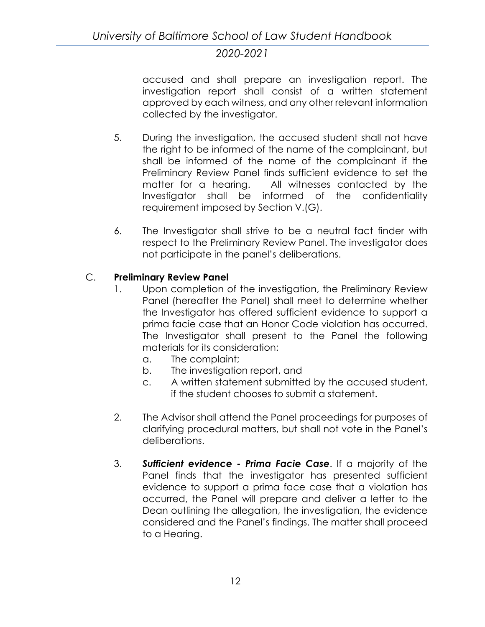accused and shall prepare an investigation report. The investigation report shall consist of a written statement approved by each witness, and any other relevant information collected by the investigator.

- 5. During the investigation, the accused student shall not have the right to be informed of the name of the complainant, but shall be informed of the name of the complainant if the Preliminary Review Panel finds sufficient evidence to set the matter for a hearing. All witnesses contacted by the Investigator shall be informed of the confidentiality requirement imposed by Section V.(G).
- 6. The Investigator shall strive to be a neutral fact finder with respect to the Preliminary Review Panel. The investigator does not participate in the panel's deliberations.

# C. **Preliminary Review Panel**

- 1. Upon completion of the investigation, the Preliminary Review Panel (hereafter the Panel) shall meet to determine whether the Investigator has offered sufficient evidence to support a prima facie case that an Honor Code violation has occurred. The Investigator shall present to the Panel the following materials for its consideration:
	- a. The complaint;
	- b. The investigation report, and
	- c. A written statement submitted by the accused student, if the student chooses to submit a statement.
- 2. The Advisor shall attend the Panel proceedings for purposes of clarifying procedural matters, but shall not vote in the Panel's deliberations.
- 3. *Sufficient evidence - Prima Facie Case*. If a majority of the Panel finds that the investigator has presented sufficient evidence to support a prima face case that a violation has occurred, the Panel will prepare and deliver a letter to the Dean outlining the allegation, the investigation, the evidence considered and the Panel's findings. The matter shall proceed to a Hearing.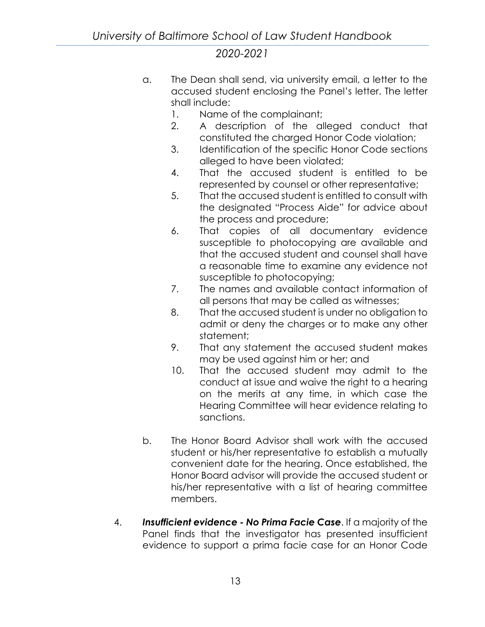- a. The Dean shall send, via university email, a letter to the accused student enclosing the Panel's letter. The letter shall include:
	- 1. Name of the complainant;
	- 2. A description of the alleged conduct that constituted the charged Honor Code violation;
	- 3. Identification of the specific Honor Code sections alleged to have been violated;
	- 4. That the accused student is entitled to be represented by counsel or other representative;
	- 5. That the accused student is entitled to consult with the designated "Process Aide" for advice about the process and procedure;
	- 6. That copies of all documentary evidence susceptible to photocopying are available and that the accused student and counsel shall have a reasonable time to examine any evidence not susceptible to photocopying;
	- 7. The names and available contact information of all persons that may be called as witnesses;
	- 8. That the accused student is under no obligation to admit or deny the charges or to make any other statement;
	- 9. That any statement the accused student makes may be used against him or her; and
	- 10. That the accused student may admit to the conduct at issue and waive the right to a hearing on the merits at any time, in which case the Hearing Committee will hear evidence relating to sanctions.
- b. The Honor Board Advisor shall work with the accused student or his/her representative to establish a mutually convenient date for the hearing. Once established, the Honor Board advisor will provide the accused student or his/her representative with a list of hearing committee members.
- 4. *Insufficient evidence - No Prima Facie Case*. If a majority of the Panel finds that the investigator has presented insufficient evidence to support a prima facie case for an Honor Code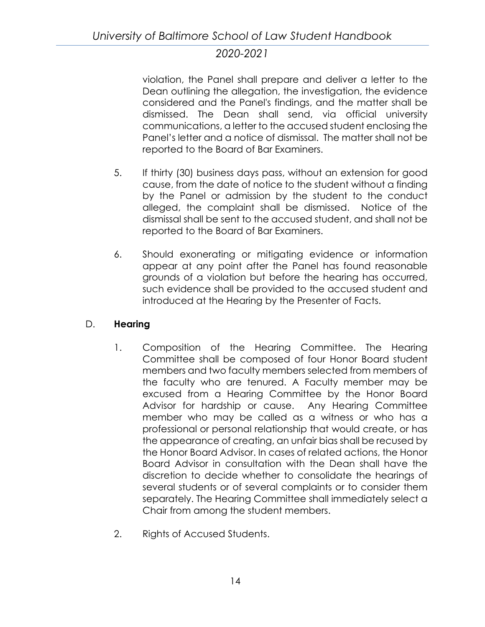violation, the Panel shall prepare and deliver a letter to the Dean outlining the allegation, the investigation, the evidence considered and the Panel's findings, and the matter shall be dismissed. The Dean shall send, via official university communications, a letter to the accused student enclosing the Panel's letter and a notice of dismissal. The matter shall not be reported to the Board of Bar Examiners.

- 5. If thirty (30) business days pass, without an extension for good cause, from the date of notice to the student without a finding by the Panel or admission by the student to the conduct alleged, the complaint shall be dismissed. Notice of the dismissal shall be sent to the accused student, and shall not be reported to the Board of Bar Examiners.
- 6. Should exonerating or mitigating evidence or information appear at any point after the Panel has found reasonable grounds of a violation but before the hearing has occurred, such evidence shall be provided to the accused student and introduced at the Hearing by the Presenter of Facts.

# D. **Hearing**

- 1. Composition of the Hearing Committee. The Hearing Committee shall be composed of four Honor Board student members and two faculty members selected from members of the faculty who are tenured. A Faculty member may be excused from a Hearing Committee by the Honor Board Advisor for hardship or cause. Any Hearing Committee member who may be called as a witness or who has a professional or personal relationship that would create, or has the appearance of creating, an unfair bias shall be recused by the Honor Board Advisor. In cases of related actions, the Honor Board Advisor in consultation with the Dean shall have the discretion to decide whether to consolidate the hearings of several students or of several complaints or to consider them separately. The Hearing Committee shall immediately select a Chair from among the student members.
- 2. Rights of Accused Students.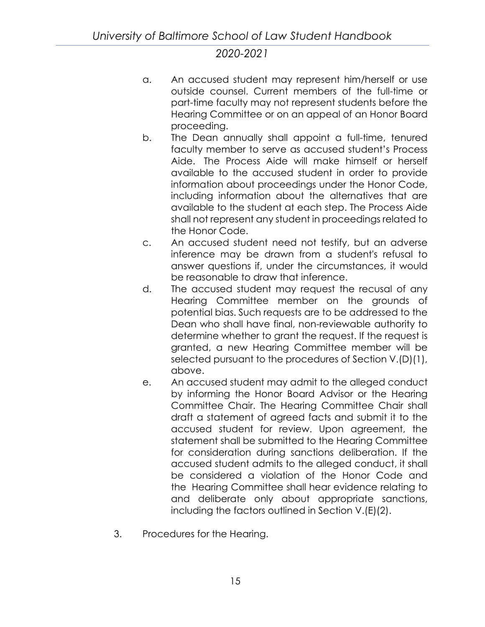- a. An accused student may represent him/herself or use outside counsel. Current members of the full-time or part-time faculty may not represent students before the Hearing Committee or on an appeal of an Honor Board proceeding.
- b. The Dean annually shall appoint a full-time, tenured faculty member to serve as accused student's Process Aide. The Process Aide will make himself or herself available to the accused student in order to provide information about proceedings under the Honor Code, including information about the alternatives that are available to the student at each step. The Process Aide shall not represent any student in proceedings related to the Honor Code.
- c. An accused student need not testify, but an adverse inference may be drawn from a student's refusal to answer questions if, under the circumstances, it would be reasonable to draw that inference.
- d. The accused student may request the recusal of any Hearing Committee member on the grounds of potential bias. Such requests are to be addressed to the Dean who shall have final, non-reviewable authority to determine whether to grant the request. If the request is granted, a new Hearing Committee member will be selected pursuant to the procedures of Section V.(D)(1), above.
- e. An accused student may admit to the alleged conduct by informing the Honor Board Advisor or the Hearing Committee Chair. The Hearing Committee Chair shall draft a statement of agreed facts and submit it to the accused student for review. Upon agreement, the statement shall be submitted to the Hearing Committee for consideration during sanctions deliberation. If the accused student admits to the alleged conduct, it shall be considered a violation of the Honor Code and the Hearing Committee shall hear evidence relating to and deliberate only about appropriate sanctions, including the factors outlined in Section V.(E)(2).
- 3. Procedures for the Hearing.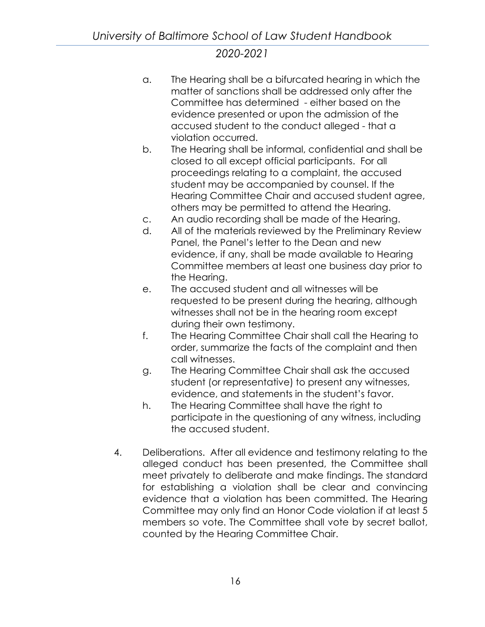- a. The Hearing shall be a bifurcated hearing in which the matter of sanctions shall be addressed only after the Committee has determined - either based on the evidence presented or upon the admission of the accused student to the conduct alleged - that a violation occurred.
- b. The Hearing shall be informal, confidential and shall be closed to all except official participants. For all proceedings relating to a complaint, the accused student may be accompanied by counsel. If the Hearing Committee Chair and accused student agree, others may be permitted to attend the Hearing.
- c. An audio recording shall be made of the Hearing.
- d. All of the materials reviewed by the Preliminary Review Panel, the Panel's letter to the Dean and new evidence, if any, shall be made available to Hearing Committee members at least one business day prior to the Hearing.
- e. The accused student and all witnesses will be requested to be present during the hearing, although witnesses shall not be in the hearing room except during their own testimony.
- f. The Hearing Committee Chair shall call the Hearing to order, summarize the facts of the complaint and then call witnesses.
- g. The Hearing Committee Chair shall ask the accused student (or representative) to present any witnesses, evidence, and statements in the student's favor.
- h. The Hearing Committee shall have the right to participate in the questioning of any witness, including the accused student.
- 4. Deliberations. After all evidence and testimony relating to the alleged conduct has been presented, the Committee shall meet privately to deliberate and make findings. The standard for establishing a violation shall be clear and convincing evidence that a violation has been committed. The Hearing Committee may only find an Honor Code violation if at least 5 members so vote. The Committee shall vote by secret ballot, counted by the Hearing Committee Chair.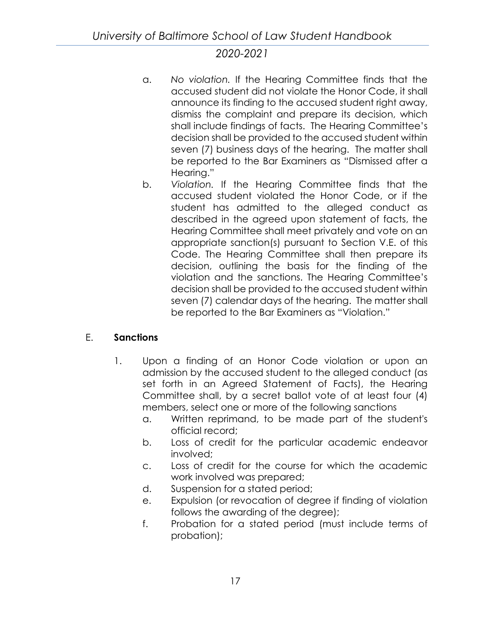- a. *No violation.* If the Hearing Committee finds that the accused student did not violate the Honor Code, it shall announce its finding to the accused student right away, dismiss the complaint and prepare its decision, which shall include findings of facts. The Hearing Committee's decision shall be provided to the accused student within seven (7) business days of the hearing. The matter shall be reported to the Bar Examiners as "Dismissed after a Hearing."
- b. *Violation.* If the Hearing Committee finds that the accused student violated the Honor Code, or if the student has admitted to the alleged conduct as described in the agreed upon statement of facts, the Hearing Committee shall meet privately and vote on an appropriate sanction(s) pursuant to Section V.E. of this Code. The Hearing Committee shall then prepare its decision, outlining the basis for the finding of the violation and the sanctions. The Hearing Committee's decision shall be provided to the accused student within seven (7) calendar days of the hearing. The matter shall be reported to the Bar Examiners as "Violation."

# E. **Sanctions**

- 1. Upon a finding of an Honor Code violation or upon an admission by the accused student to the alleged conduct (as set forth in an Agreed Statement of Facts), the Hearing Committee shall, by a secret ballot vote of at least four (4) members, select one or more of the following sanctions
	- a. Written reprimand, to be made part of the student's official record;
	- b. Loss of credit for the particular academic endeavor involved;
	- c. Loss of credit for the course for which the academic work involved was prepared;
	- d. Suspension for a stated period;
	- e. Expulsion (or revocation of degree if finding of violation follows the awarding of the degree);
	- f. Probation for a stated period (must include terms of probation);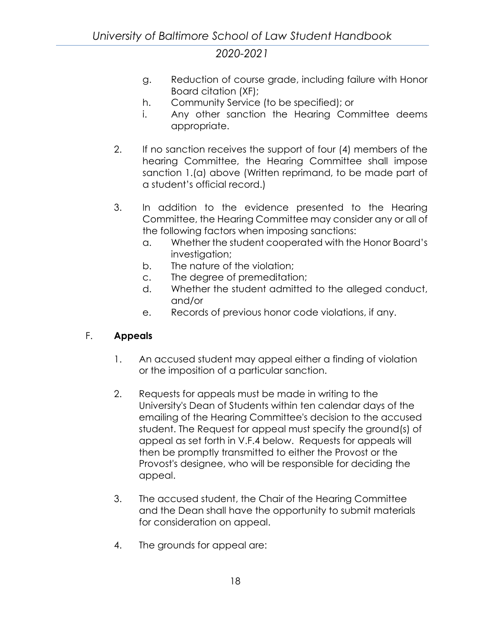- g. Reduction of course grade, including failure with Honor Board citation (XF);
- h. Community Service (to be specified); or
- i. Any other sanction the Hearing Committee deems appropriate.
- 2. If no sanction receives the support of four (4) members of the hearing Committee, the Hearing Committee shall impose sanction 1.(a) above (Written reprimand, to be made part of a student's official record.)
- 3. In addition to the evidence presented to the Hearing Committee, the Hearing Committee may consider any or all of the following factors when imposing sanctions:
	- a. Whether the student cooperated with the Honor Board's investigation;
	- b. The nature of the violation;
	- c. The degree of premeditation;
	- d. Whether the student admitted to the alleged conduct, and/or
	- e. Records of previous honor code violations, if any.

# F. **Appeals**

- 1. An accused student may appeal either a finding of violation or the imposition of a particular sanction.
- 2. Requests for appeals must be made in writing to the University's Dean of Students within ten calendar days of the emailing of the Hearing Committee's decision to the accused student. The Request for appeal must specify the ground(s) of appeal as set forth in V.F.4 below. Requests for appeals will then be promptly transmitted to either the Provost or the Provost's designee, who will be responsible for deciding the appeal.
- 3. The accused student, the Chair of the Hearing Committee and the Dean shall have the opportunity to submit materials for consideration on appeal.
- 4. The grounds for appeal are: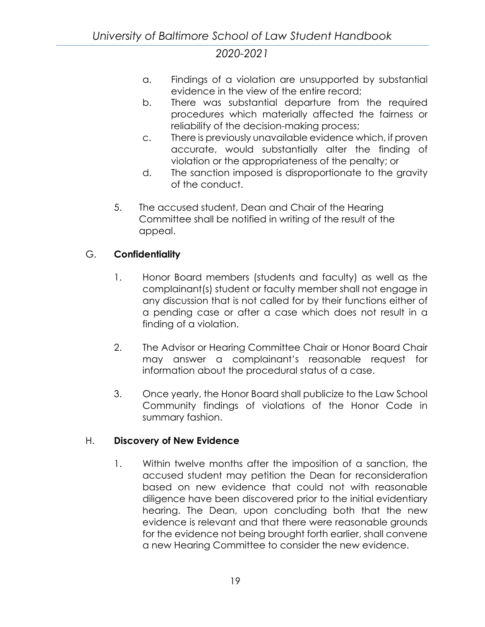- a. Findings of a violation are unsupported by substantial evidence in the view of the entire record;
- b. There was substantial departure from the required procedures which materially affected the fairness or reliability of the decision-making process;
- c. There is previously unavailable evidence which, if proven accurate, would substantially alter the finding of violation or the appropriateness of the penalty; or
- d. The sanction imposed is disproportionate to the gravity of the conduct.
- 5. The accused student, Dean and Chair of the Hearing Committee shall be notified in writing of the result of the appeal.

# G. **Confidentiality**

- 1. Honor Board members (students and faculty) as well as the complainant(s) student or faculty member shall not engage in any discussion that is not called for by their functions either of a pending case or after a case which does not result in a finding of a violation.
- 2. The Advisor or Hearing Committee Chair or Honor Board Chair may answer a complainant's reasonable request for information about the procedural status of a case.
- 3. Once yearly, the Honor Board shall publicize to the Law School Community findings of violations of the Honor Code in summary fashion.

## H. **Discovery of New Evidence**

1. Within twelve months after the imposition of a sanction, the accused student may petition the Dean for reconsideration based on new evidence that could not with reasonable diligence have been discovered prior to the initial evidentiary hearing. The Dean, upon concluding both that the new evidence is relevant and that there were reasonable grounds for the evidence not being brought forth earlier, shall convene a new Hearing Committee to consider the new evidence.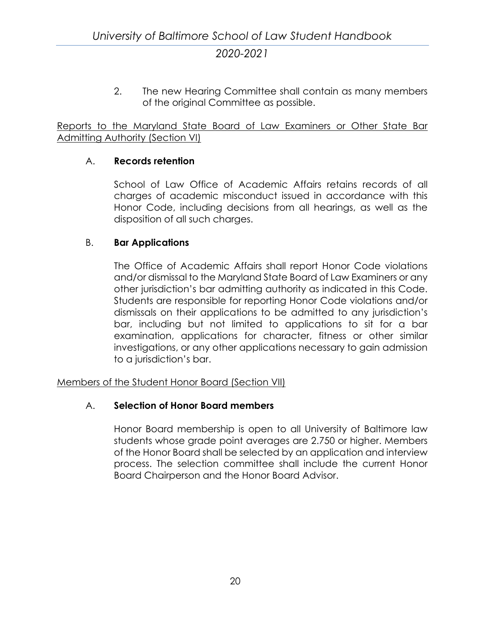2. The new Hearing Committee shall contain as many members of the original Committee as possible.

<span id="page-27-0"></span>Reports to the Maryland State Board of Law Examiners or Other State Bar Admitting Authority (Section VI)

## A. **Records retention**

School of Law Office of Academic Affairs retains records of all charges of academic misconduct issued in accordance with this Honor Code, including decisions from all hearings, as well as the disposition of all such charges.

#### B. **Bar Applications**

The Office of Academic Affairs shall report Honor Code violations and/or dismissal to the Maryland State Board of Law Examiners or any other jurisdiction's bar admitting authority as indicated in this Code. Students are responsible for reporting Honor Code violations and/or dismissals on their applications to be admitted to any jurisdiction's bar, including but not limited to applications to sit for a bar examination, applications for character, fitness or other similar investigations, or any other applications necessary to gain admission to a jurisdiction's bar.

<span id="page-27-1"></span>Members of the Student Honor Board (Section VII)

#### A. **Selection of Honor Board members**

Honor Board membership is open to all University of Baltimore law students whose grade point averages are 2.750 or higher. Members of the Honor Board shall be selected by an application and interview process. The selection committee shall include the current Honor Board Chairperson and the Honor Board Advisor.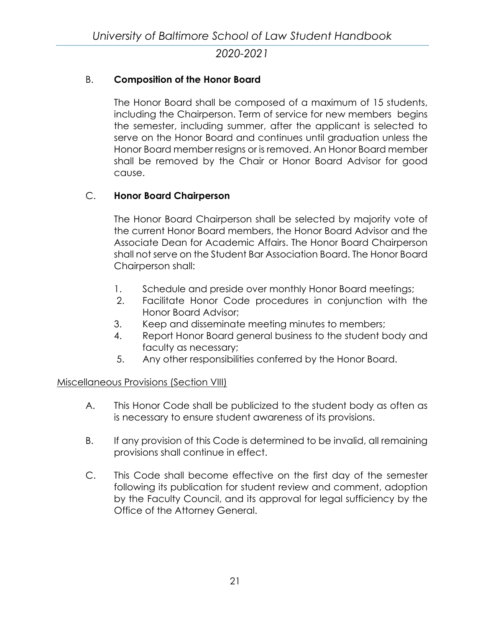## B. **Composition of the Honor Board**

The Honor Board shall be composed of a maximum of 15 students, including the Chairperson. Term of service for new members begins the semester, including summer, after the applicant is selected to serve on the Honor Board and continues until graduation unless the Honor Board member resigns or is removed. An Honor Board member shall be removed by the Chair or Honor Board Advisor for good cause.

## C. **Honor Board Chairperson**

The Honor Board Chairperson shall be selected by majority vote of the current Honor Board members, the Honor Board Advisor and the Associate Dean for Academic Affairs. The Honor Board Chairperson shall not serve on the Student Bar Association Board. The Honor Board Chairperson shall:

- 1. Schedule and preside over monthly Honor Board meetings;
- 2. Facilitate Honor Code procedures in conjunction with the Honor Board Advisor;
- 3. Keep and disseminate meeting minutes to members;
- 4. Report Honor Board general business to the student body and faculty as necessary;
- 5. Any other responsibilities conferred by the Honor Board.

#### <span id="page-28-0"></span>Miscellaneous Provisions (Section VIII)

- A. This Honor Code shall be publicized to the student body as often as is necessary to ensure student awareness of its provisions.
- B. If any provision of this Code is determined to be invalid, all remaining provisions shall continue in effect.
- C. This Code shall become effective on the first day of the semester following its publication for student review and comment, adoption by the Faculty Council, and its approval for legal sufficiency by the Office of the Attorney General.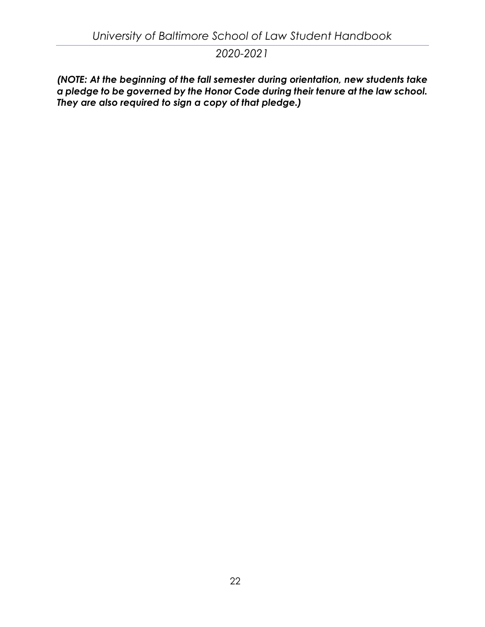*(NOTE: At the beginning of the fall semester during orientation, new students take a pledge to be governed by the Honor Code during their tenure at the law school. They are also required to sign a copy of that pledge.)*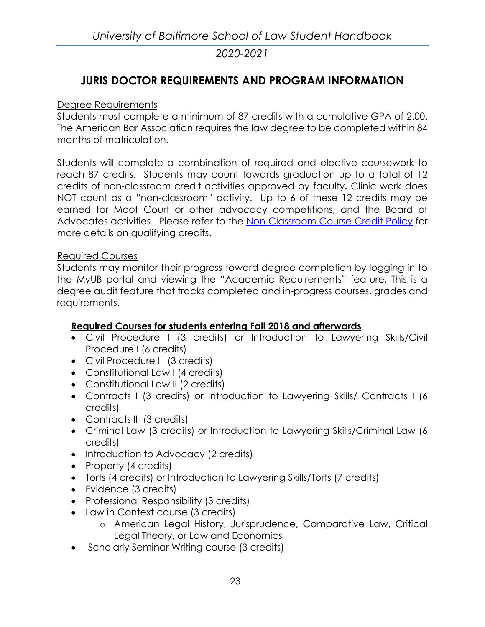# <span id="page-30-0"></span>**JURIS DOCTOR REQUIREMENTS AND PROGRAM INFORMATION**

## <span id="page-30-1"></span>Degree Requirements

Students must complete a minimum of 87 credits with a cumulative GPA of 2.00. The American Bar Association requires the law degree to be completed within 84 months of matriculation.

Students will complete a combination of required and elective coursework to reach 87 credits. Students may count towards graduation up to a total of 12 credits of non-classroom credit activities approved by faculty**.** Clinic work does NOT count as a "non-classroom" activity. Up to 6 of these 12 credits may be earned for Moot Court or other advocacy competitions, and the Board of Advocates activities. Please refer to the Non-Classroom Course Credit Policy for more details on qualifying credits.

## <span id="page-30-2"></span>Required Courses

Students may monitor their progress toward degree completion by logging in to the MyUB portal and viewing the "Academic Requirements" feature. This is a degree audit feature that tracks completed and in-progress courses, grades and requirements.

## **Required Courses for students entering Fall 2018 and afterwards**

- Civil Procedure I (3 credits) or Introduction to Lawyering Skills/Civil Procedure I (6 credits)
- Civil Procedure II (3 credits)
- Constitutional Law I (4 credits)
- Constitutional Law II (2 credits)
- Contracts I (3 credits) or Introduction to Lawyering Skills/ Contracts I (6 credits)
- Contracts II (3 credits)
- Criminal Law (3 credits) or Introduction to Lawyering Skills/Criminal Law (6 credits)
- Introduction to Advocacy (2 credits)
- Property (4 credits)
- Torts (4 credits) or Introduction to Lawyering Skills/Torts (7 credits)
- Evidence (3 credits)
- Professional Responsibility (3 credits)
- Law in Context course (3 credits)
	- o American Legal History, Jurisprudence, Comparative Law, Critical Legal Theory, or Law and Economics
- Scholarly Seminar Writing course (3 credits)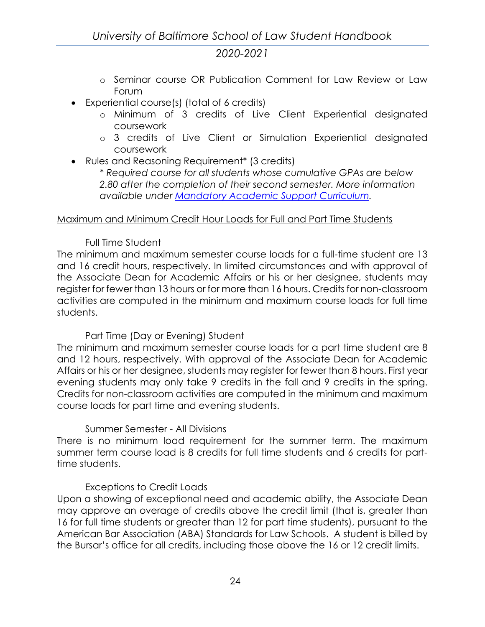- o Seminar course OR Publication Comment for Law Review or Law Forum
- Experiential course(s) (total of 6 credits)
	- o Minimum of 3 credits of Live Client Experiential designated coursework
	- o 3 credits of Live Client or Simulation Experiential designated coursework
- Rules and Reasoning Requirement\* (3 credits)

*\* Required course for all students whose cumulative GPAs are below 2.80 after the completion of their second semester. More information available under [Mandatory Academic Support Curriculum.](#page-124-0)*

## <span id="page-31-0"></span>Maximum and Minimum Credit Hour Loads for Full and Part Time Students

# Full Time Student

The minimum and maximum semester course loads for a full-time student are 13 and 16 credit hours, respectively. In limited circumstances and with approval of the Associate Dean for Academic Affairs or his or her designee, students may register for fewer than 13 hours or for more than 16 hours. Credits for non-classroom activities are computed in the minimum and maximum course loads for full time students.

## Part Time (Day or Evening) Student

The minimum and maximum semester course loads for a part time student are 8 and 12 hours, respectively. With approval of the Associate Dean for Academic Affairs or his or her designee, students may register for fewer than 8 hours. First year evening students may only take 9 credits in the fall and 9 credits in the spring. Credits for non-classroom activities are computed in the minimum and maximum course loads for part time and evening students.

## Summer Semester - All Divisions

There is no minimum load requirement for the summer term. The maximum summer term course load is 8 credits for full time students and 6 credits for parttime students.

## Exceptions to Credit Loads

Upon a showing of exceptional need and academic ability, the Associate Dean may approve an overage of credits above the credit limit (that is, greater than 16 for full time students or greater than 12 for part time students), pursuant to the American Bar Association (ABA) Standards for Law Schools. A student is billed by the Bursar's office for all credits, including those above the 16 or 12 credit limits.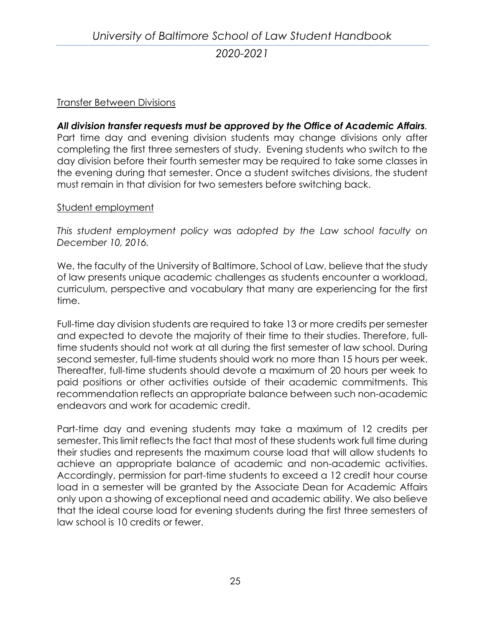## <span id="page-32-0"></span>Transfer Between Divisions

*All division transfer requests must be approved by the Office of Academic Affairs.* Part time day and evening division students may change divisions only after completing the first three semesters of study. Evening students who switch to the day division before their fourth semester may be required to take some classes in the evening during that semester. Once a student switches divisions, the student must remain in that division for two semesters before switching back.

#### <span id="page-32-1"></span>Student employment

*This student employment policy was adopted by the Law school faculty on December 10, 2016.*

We, the faculty of the University of Baltimore, School of Law, believe that the study of law presents unique academic challenges as students encounter a workload, curriculum, perspective and vocabulary that many are experiencing for the first time.

Full-time day division students are required to take 13 or more credits per semester and expected to devote the majority of their time to their studies. Therefore, fulltime students should not work at all during the first semester of law school. During second semester, full-time students should work no more than 15 hours per week. Thereafter, full-time students should devote a maximum of 20 hours per week to paid positions or other activities outside of their academic commitments. This recommendation reflects an appropriate balance between such non-academic endeavors and work for academic credit.

Part-time day and evening students may take a maximum of 12 credits per semester. This limit reflects the fact that most of these students work full time during their studies and represents the maximum course load that will allow students to achieve an appropriate balance of academic and non-academic activities. Accordingly, permission for part-time students to exceed a 12 credit hour course load in a semester will be granted by the Associate Dean for Academic Affairs only upon a showing of exceptional need and academic ability. We also believe that the ideal course load for evening students during the first three semesters of law school is 10 credits or fewer.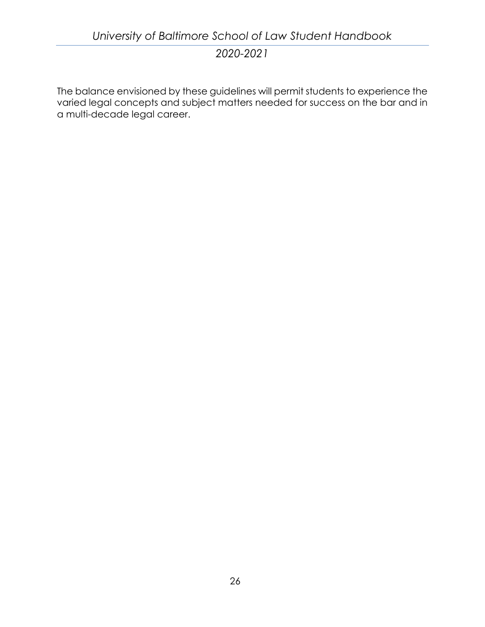The balance envisioned by these guidelines will permit students to experience the varied legal concepts and subject matters needed for success on the bar and in a multi-decade legal career.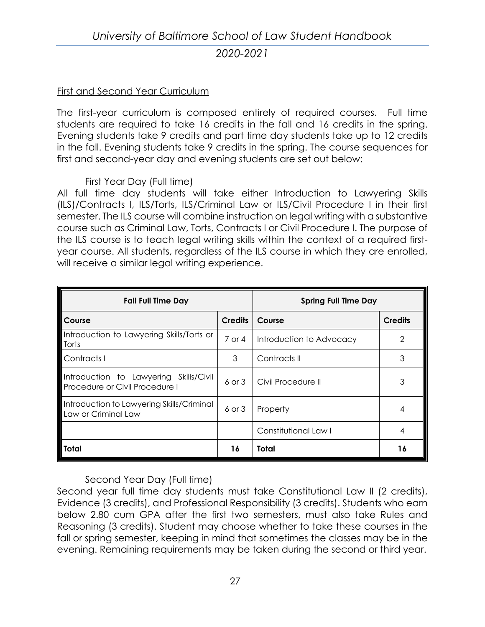# *University of Baltimore School of Law Student Handbook 2020-2021*

#### <span id="page-34-0"></span>First and Second Year Curriculum

The first-year curriculum is composed entirely of required courses. Full time students are required to take 16 credits in the fall and 16 credits in the spring. Evening students take 9 credits and part time day students take up to 12 credits in the fall. Evening students take 9 credits in the spring. The course sequences for first and second-year day and evening students are set out below:

#### First Year Day (Full time)

All full time day students will take either Introduction to Lawyering Skills (ILS)/Contracts I, ILS/Torts, ILS/Criminal Law or ILS/Civil Procedure I in their first semester. The ILS course will combine instruction on legal writing with a substantive course such as Criminal Law, Torts, Contracts I or Civil Procedure I. The purpose of the ILS course is to teach legal writing skills within the context of a required firstyear course. All students, regardless of the ILS course in which they are enrolled, will receive a similar legal writing experience.

| <b>Fall Full Time Day</b>                                                |                   | <b>Spring Full Time Day</b> |                |
|--------------------------------------------------------------------------|-------------------|-----------------------------|----------------|
| Course                                                                   | <b>Credits</b>    | Course                      | <b>Credits</b> |
| Introduction to Lawyering Skills/Torts or<br>Torts                       | $7$ or 4          | Introduction to Advocacy    | $\mathcal{P}$  |
| Contracts I                                                              | 3                 | Contracts II                | 3              |
| Introduction to Lawyering Skills/Civil<br>Procedure or Civil Procedure I | $6 \text{ or } 3$ | Civil Procedure II          |                |
| Introduction to Lawyering Skills/Criminal<br>Law or Criminal Law         | $6$ or $3$        | Property                    |                |
|                                                                          |                   | Constitutional Law I        |                |
| <b>Total</b>                                                             | 16                | Total                       | 16             |

Second Year Day (Full time)

Second year full time day students must take Constitutional Law II (2 credits), Evidence (3 credits), and Professional Responsibility (3 credits). Students who earn below 2.80 cum GPA after the first two semesters, must also take Rules and Reasoning (3 credits). Student may choose whether to take these courses in the fall or spring semester, keeping in mind that sometimes the classes may be in the evening. Remaining requirements may be taken during the second or third year.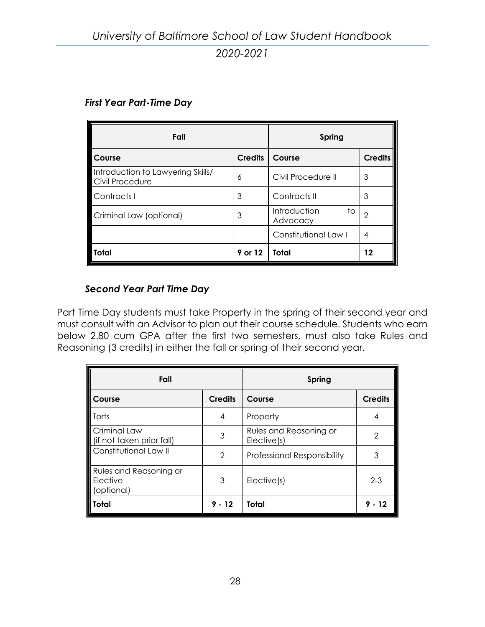| Fall                                                 |                | Spring                         |                |
|------------------------------------------------------|----------------|--------------------------------|----------------|
| Course                                               | <b>Credits</b> | Course                         | <b>Credits</b> |
| Introduction to Lawyering Skills/<br>Civil Procedure | 6              | Civil Procedure II             | 3              |
| Contracts I                                          | 3              | Contracts II                   | 3              |
| Criminal Law (optional)                              | 3              | Introduction<br>to<br>Advocacy | 2              |
|                                                      |                | Constitutional Law I           | 4              |
| l Total                                              | 9 or 12        | Total                          | 12             |

## *First Year Part-Time Day*

## *Second Year Part Time Day*

Part Time Day students must take Property in the spring of their second year and must consult with an Advisor to plan out their course schedule. Students who earn below 2.80 cum GPA after the first two semesters, must also take Rules and Reasoning (3 credits) in either the fall or spring of their second year.

| Fall                                                           |                | Spring                                |                |
|----------------------------------------------------------------|----------------|---------------------------------------|----------------|
| Course                                                         | <b>Credits</b> | Course                                | <b>Credits</b> |
| I Torts                                                        | 4              | Property                              | 4              |
| Criminal Law<br>(if not taken prior fall)                      | 3              | Rules and Reasoning or<br>Elective(s) | 2              |
| Constitutional Law II                                          | $\overline{2}$ | Professional Responsibility           | 3              |
| <b>Rules and Reasoning or</b><br><b>Elective</b><br>(optional) | 3              | Elective(s)                           | $2 - 3$        |
| <b>Total</b>                                                   | 9 - 12         | Total                                 | 9              |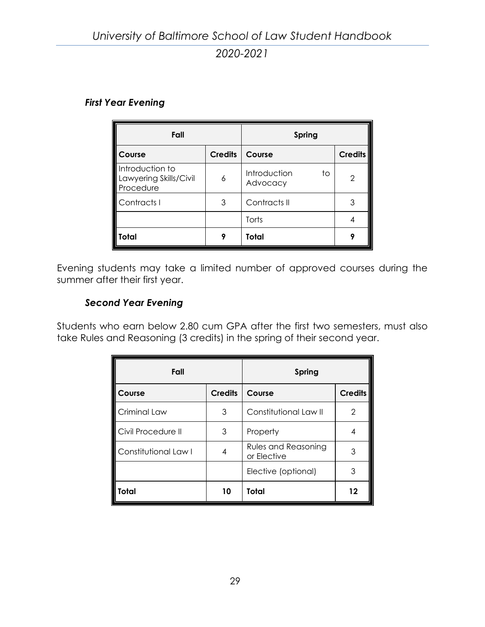#### *First Year Evening*

| Fall                                                   |                | Spring                         |               |
|--------------------------------------------------------|----------------|--------------------------------|---------------|
| Course                                                 | <b>Credits</b> | Course                         | $C$ redits    |
| Introduction to<br>Lawyering Skills/Civil<br>Procedure | 6              | Introduction<br>to<br>Advocacy | $\mathcal{P}$ |
| Contracts I                                            | 3              | Contracts II                   | 3             |
|                                                        |                | Torts                          |               |
| Total                                                  |                | Total                          |               |

Evening students may take a limited number of approved courses during the summer after their first year.

#### *Second Year Evening*

Students who earn below 2.80 cum GPA after the first two semesters, must also take Rules and Reasoning (3 credits) in the spring of their second year.

| Fall                 |                | Spring                                    |                |
|----------------------|----------------|-------------------------------------------|----------------|
| Course               | <b>Credits</b> | Course                                    | <b>Credits</b> |
| Criminal Law         | 3              | Constitutional Law II                     | 2              |
| Civil Procedure II   | 3              | Property                                  | 4              |
| Constitutional Law I | 4              | <b>Rules and Reasoning</b><br>or Elective | 3              |
|                      |                | Elective (optional)                       | 3              |
| Total                | 10             | Total                                     | 12             |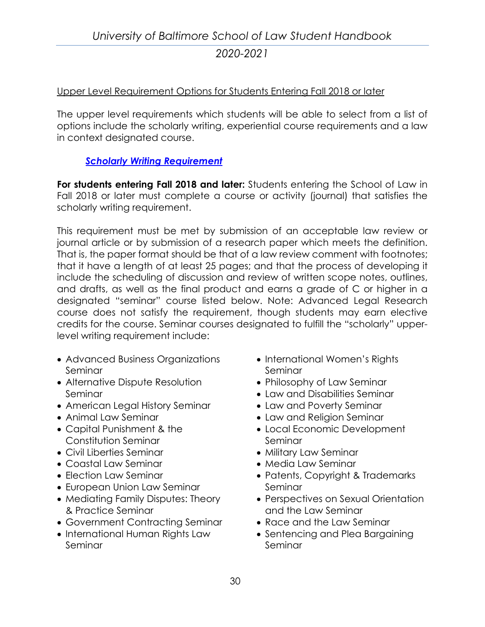## Upper Level Requirement Options for Students Entering Fall 2018 or later

The upper level requirements which students will be able to select from a list of options include the scholarly writing, experiential course requirements and a law in context designated course.

## *[Scholarly Writing Requirement](http://law.ubalt.edu/academics/jd-program/coursereqts/writingscholarly.cfm)*

**For students entering Fall 2018 and later:** Students entering the School of Law in Fall 2018 or later must complete a course or activity (journal) that satisfies the scholarly writing requirement.

This requirement must be met by submission of an acceptable law review or journal article or by submission of a research paper which meets the definition. That is, the paper format should be that of a law review comment with footnotes; that it have a length of at least 25 pages; and that the process of developing it include the scheduling of discussion and review of written scope notes, outlines, and drafts, as well as the final product and earns a grade of C or higher in a designated "seminar" course listed below. Note: Advanced Legal Research course does not satisfy the requirement, though students may earn elective credits for the course. Seminar courses designated to fulfill the "scholarly" upperlevel writing requirement include:

- Advanced Business Organizations Seminar
- Alternative Dispute Resolution Seminar
- American Legal History Seminar
- Animal Law Seminar
- Capital Punishment & the Constitution Seminar
- Civil Liberties Seminar
- Coastal Law Seminar
- Election Law Seminar
- European Union Law Seminar
- Mediating Family Disputes: Theory & Practice Seminar
- Government Contracting Seminar
- International Human Rights Law Seminar
- International Women's Rights Seminar
- Philosophy of Law Seminar
- Law and Disabilities Seminar
- Law and Poverty Seminar
- Law and Religion Seminar
- Local Economic Development Seminar
- Military Law Seminar
- Media Law Seminar
- Patents, Copyright & Trademarks Seminar
- Perspectives on Sexual Orientation and the Law Seminar
- Race and the Law Seminar
- Sentencing and Plea Bargaining Seminar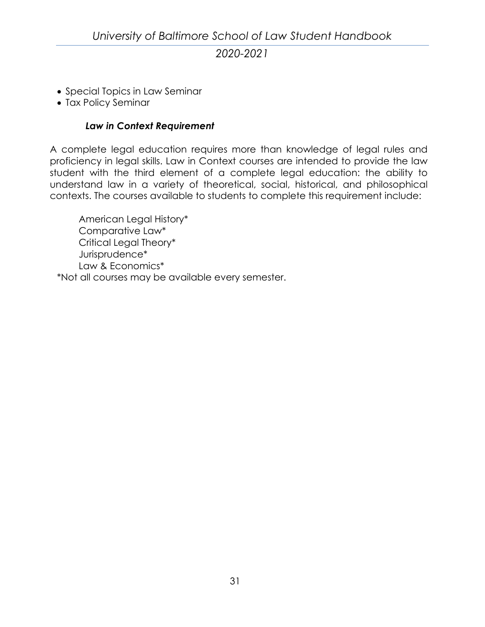- Special Topics in Law Seminar
- Tax Policy Seminar

## *Law in Context Requirement*

A complete legal education requires more than knowledge of legal rules and proficiency in legal skills. Law in Context courses are intended to provide the law student with the third element of a complete legal education: the ability to understand law in a variety of theoretical, social, historical, and philosophical contexts. The courses available to students to complete this requirement include:

American Legal History\* Comparative Law\* Critical Legal Theory\* Jurisprudence\* Law & Economics\* \*Not all courses may be available every semester.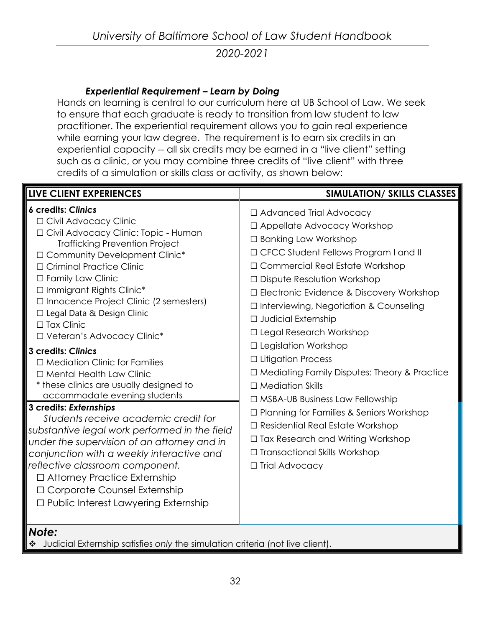## *Experiential Requirement – Learn by Doing*

Hands on learning is central to our curriculum here at UB School of Law. We seek to ensure that each graduate is ready to transition from law student to law practitioner. The experiential requirement allows you to gain real experience while earning your law degree. The requirement is to earn six credits in an experiential capacity -- all six credits may be earned in a "live client" setting such as a clinic, or you may combine three credits of "live client" with three credits of a simulation or skills class or activity, as shown below:

| <b>LIVE CLIENT EXPERIENCES</b>                                                                                                                                                                                                                                                                                                                                                                                                                                                                                                                                                                                                                                                                                                                                                                                                                                                                                                                       | <b>SIMULATION/ SKILLS CLASSES</b>                                                                                                                                                                                                                                                                                                                                                                                                                                                                                                                                                                                                                                                                                                                             |
|------------------------------------------------------------------------------------------------------------------------------------------------------------------------------------------------------------------------------------------------------------------------------------------------------------------------------------------------------------------------------------------------------------------------------------------------------------------------------------------------------------------------------------------------------------------------------------------------------------------------------------------------------------------------------------------------------------------------------------------------------------------------------------------------------------------------------------------------------------------------------------------------------------------------------------------------------|---------------------------------------------------------------------------------------------------------------------------------------------------------------------------------------------------------------------------------------------------------------------------------------------------------------------------------------------------------------------------------------------------------------------------------------------------------------------------------------------------------------------------------------------------------------------------------------------------------------------------------------------------------------------------------------------------------------------------------------------------------------|
| <b>6 credits: Clinics</b><br>□ Civil Advocacy Clinic<br>□ Civil Advocacy Clinic: Topic - Human<br><b>Trafficking Prevention Project</b><br>□ Community Development Clinic*<br>□ Criminal Practice Clinic<br>□ Family Law Clinic<br>$\Box$ Immigrant Rights Clinic*<br>$\Box$ Innocence Project Clinic (2 semesters)<br>□ Legal Data & Design Clinic<br>$\Box$ Tax Clinic<br>□ Veteran's Advocacy Clinic*<br>3 credits: Clinics<br>$\Box$ Mediation Clinic for Families<br>□ Mental Health Law Clinic<br>* these clinics are usually designed to<br>accommodate evening students<br>3 credits: Externships<br>Students receive academic credit for<br>substantive legal work performed in the field<br>under the supervision of an attorney and in<br>conjunction with a weekly interactive and<br>reflective classroom component.<br>□ Attorney Practice Externship<br>□ Corporate Counsel Externship<br>$\Box$ Public Interest Lawyering Externship | □ Advanced Trial Advocacy<br>$\Box$ Appellate Advocacy Workshop<br>□ Banking Law Workshop<br>□ CFCC Student Fellows Program I and II<br>$\Box$ Commercial Real Estate Workshop<br>$\Box$ Dispute Resolution Workshop<br>□ Electronic Evidence & Discovery Workshop<br>$\Box$ Interviewing, Negotiation & Counseling<br>$\Box$ Judicial Externship<br>□ Legal Research Workshop<br>$\Box$ Legislation Workshop<br>$\Box$ Litigation Process<br>$\Box$ Mediating Family Disputes: Theory & Practice<br>$\Box$ Mediation Skills<br>$\Box$ MSBA-UB Business Law Fellowship<br>$\Box$ Planning for Families & Seniors Workshop<br>□ Residential Real Estate Workshop<br>□ Tax Research and Writing Workshop<br>□ Transactional Skills Workshop<br>□ Trial Advocacy |
| Note:                                                                                                                                                                                                                                                                                                                                                                                                                                                                                                                                                                                                                                                                                                                                                                                                                                                                                                                                                |                                                                                                                                                                                                                                                                                                                                                                                                                                                                                                                                                                                                                                                                                                                                                               |

Judicial Externship satisfies *only* the simulation criteria (not live client).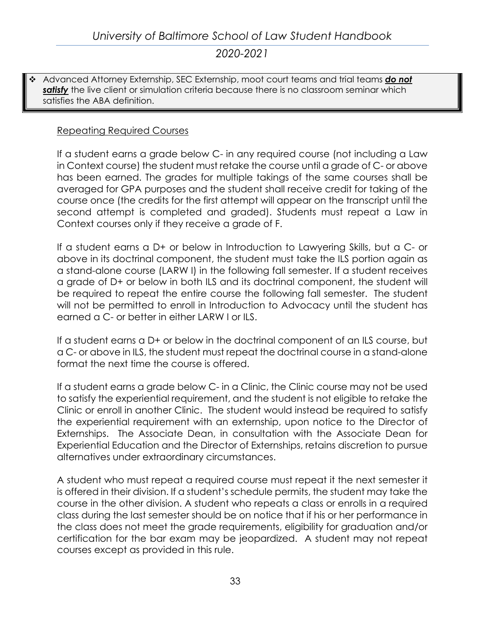Advanced Attorney Externship, SEC Externship, moot court teams and trial teams *do not*  **satisfy** the live client or simulation criteria because there is no classroom seminar which satisfies the ABA definition.

## Repeating Required Courses

If a student earns a grade below C- in any required course (not including a Law in Context course) the student must retake the course until a grade of C- or above has been earned. The grades for multiple takings of the same courses shall be averaged for GPA purposes and the student shall receive credit for taking of the course once (the credits for the first attempt will appear on the transcript until the second attempt is completed and graded). Students must repeat a Law in Context courses only if they receive a grade of F.

If a student earns a D+ or below in Introduction to Lawyering Skills, but a C- or above in its doctrinal component, the student must take the ILS portion again as a stand-alone course (LARW I) in the following fall semester. If a student receives a grade of D+ or below in both ILS and its doctrinal component, the student will be required to repeat the entire course the following fall semester. The student will not be permitted to enroll in Introduction to Advocacy until the student has earned a C- or better in either LARW I or ILS.

If a student earns a D+ or below in the doctrinal component of an ILS course, but a C- or above in ILS, the student must repeat the doctrinal course in a stand-alone format the next time the course is offered.

If a student earns a grade below C- in a Clinic, the Clinic course may not be used to satisfy the experiential requirement, and the student is not eligible to retake the Clinic or enroll in another Clinic. The student would instead be required to satisfy the experiential requirement with an externship, upon notice to the Director of Externships. The Associate Dean, in consultation with the Associate Dean for Experiential Education and the Director of Externships, retains discretion to pursue alternatives under extraordinary circumstances.

A student who must repeat a required course must repeat it the next semester it is offered in their division. If a student's schedule permits, the student may take the course in the other division. A student who repeats a class or enrolls in a required class during the last semester should be on notice that if his or her performance in the class does not meet the grade requirements, eligibility for graduation and/or certification for the bar exam may be jeopardized. A student may not repeat courses except as provided in this rule.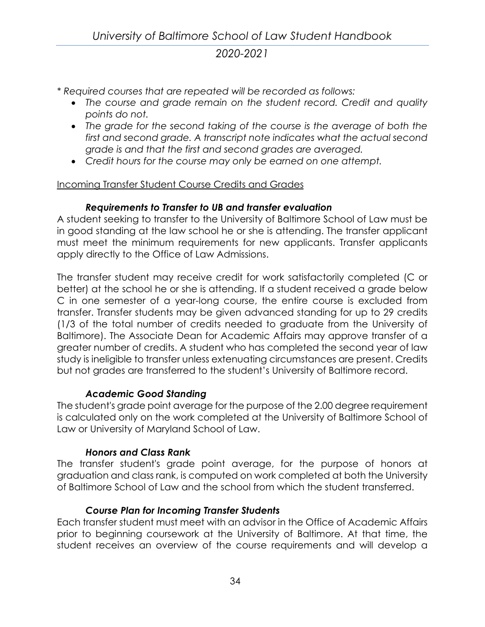- *\* Required courses that are repeated will be recorded as follows:*
	- *The course and grade remain on the student record. Credit and quality points do not.*
	- *The grade for the second taking of the course is the average of both the first and second grade. A transcript note indicates what the actual second grade is and that the first and second grades are averaged.*
	- *Credit hours for the course may only be earned on one attempt.*

## Incoming Transfer Student Course Credits and Grades

## *Requirements to Transfer to UB and transfer evaluation*

A student seeking to transfer to the University of Baltimore School of Law must be in good standing at the law school he or she is attending. The transfer applicant must meet the minimum requirements for new applicants. Transfer applicants apply directly to the Office of Law Admissions.

The transfer student may receive credit for work satisfactorily completed (C or better) at the school he or she is attending. If a student received a grade below C in one semester of a year-long course, the entire course is excluded from transfer. Transfer students may be given advanced standing for up to 29 credits (1/3 of the total number of credits needed to graduate from the University of Baltimore). The Associate Dean for Academic Affairs may approve transfer of a greater number of credits. A student who has completed the second year of law study is ineligible to transfer unless extenuating circumstances are present. Credits but not grades are transferred to the student's University of Baltimore record.

## *Academic Good Standing*

The student's grade point average for the purpose of the 2.00 degree requirement is calculated only on the work completed at the University of Baltimore School of Law or University of Maryland School of Law.

## *Honors and Class Rank*

The transfer student's grade point average, for the purpose of honors at graduation and class rank, is computed on work completed at both the University of Baltimore School of Law and the school from which the student transferred.

## *Course Plan for Incoming Transfer Students*

Each transfer student must meet with an advisor in the Office of Academic Affairs prior to beginning coursework at the University of Baltimore. At that time, the student receives an overview of the course requirements and will develop a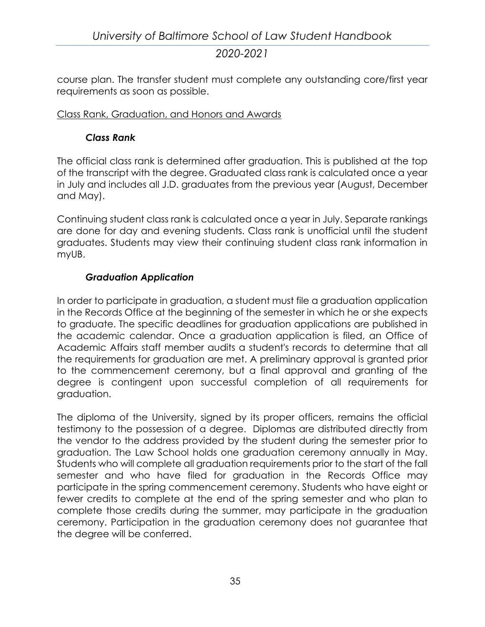course plan. The transfer student must complete any outstanding core/first year requirements as soon as possible.

#### Class Rank, Graduation, and Honors and Awards

#### *Class Rank*

The official class rank is determined after graduation. This is published at the top of the transcript with the degree. Graduated class rank is calculated once a year in July and includes all J.D. graduates from the previous year (August, December and May).

Continuing student class rank is calculated once a year in July. Separate rankings are done for day and evening students. Class rank is unofficial until the student graduates. Students may view their continuing student class rank information in myUB.

#### *Graduation Application*

In order to participate in graduation, a student must file a graduation application in the Records Office at the beginning of the semester in which he or she expects to graduate. The specific deadlines for graduation applications are published in the academic calendar. Once a graduation application is filed, an Office of Academic Affairs staff member audits a student's records to determine that all the requirements for graduation are met. A preliminary approval is granted prior to the commencement ceremony, but a final approval and granting of the degree is contingent upon successful completion of all requirements for graduation.

The diploma of the University, signed by its proper officers, remains the official testimony to the possession of a degree. Diplomas are distributed directly from the vendor to the address provided by the student during the semester prior to graduation. The Law School holds one graduation ceremony annually in May. Students who will complete all graduation requirements prior to the start of the fall semester and who have filed for graduation in the Records Office may participate in the spring commencement ceremony. Students who have eight or fewer credits to complete at the end of the spring semester and who plan to complete those credits during the summer, may participate in the graduation ceremony. Participation in the graduation ceremony does not guarantee that the degree will be conferred.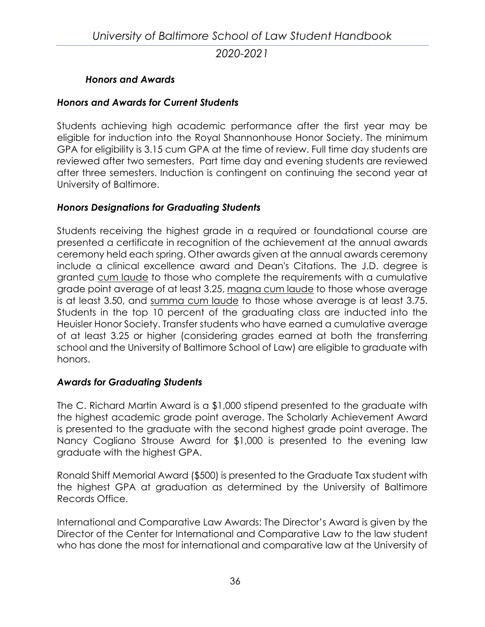#### *Honors and Awards*

#### *Honors and Awards for Current Students*

Students achieving high academic performance after the first year may be eligible for induction into the Royal Shannonhouse Honor Society. The minimum GPA for eligibility is 3.15 cum GPA at the time of review. Full time day students are reviewed after two semesters. Part time day and evening students are reviewed after three semesters. Induction is contingent on continuing the second year at University of Baltimore.

#### *Honors Designations for Graduating Students*

Students receiving the highest grade in a required or foundational course are presented a certificate in recognition of the achievement at the annual awards ceremony held each spring. Other awards given at the annual awards ceremony include a clinical excellence award and Dean's Citations. The J.D. degree is granted cum laude to those who complete the requirements with a cumulative grade point average of at least 3.25, magna cum laude to those whose average is at least 3.50, and summa cum laude to those whose average is at least 3.75. Students in the top 10 percent of the graduating class are inducted into the Heuisler Honor Society. Transfer students who have earned a cumulative average of at least 3.25 or higher (considering grades earned at both the transferring school and the University of Baltimore School of Law) are eligible to graduate with honors.

#### *Awards for Graduating Students*

The C. Richard Martin Award is a \$1,000 stipend presented to the graduate with the highest academic grade point average. The Scholarly Achievement Award is presented to the graduate with the second highest grade point average. The Nancy Cogliano Strouse Award for \$1,000 is presented to the evening law graduate with the highest GPA.

Ronald Shiff Memorial Award (\$500) is presented to the Graduate Tax student with the highest GPA at graduation as determined by the University of Baltimore Records Office.

International and Comparative Law Awards: The Director's Award is given by the Director of the Center for International and Comparative Law to the law student who has done the most for international and comparative law at the University of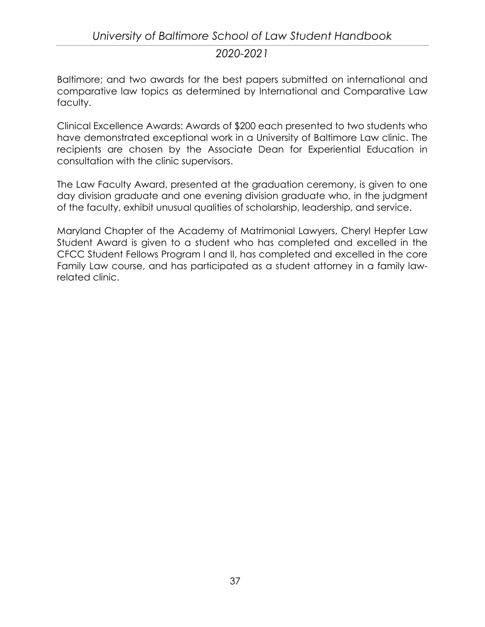# *University of Baltimore School of Law Student Handbook 2020-2021*

Baltimore; and two awards for the best papers submitted on international and comparative law topics as determined by International and Comparative Law faculty.

Clinical Excellence Awards: Awards of \$200 each presented to two students who have demonstrated exceptional work in a University of Baltimore Law clinic. The recipients are chosen by the Associate Dean for Experiential Education in consultation with the clinic supervisors.

The Law Faculty Award, presented at the graduation ceremony, is given to one day division graduate and one evening division graduate who, in the judgment of the faculty, exhibit unusual qualities of scholarship, leadership, and service.

Maryland Chapter of the Academy of Matrimonial Lawyers, Cheryl Hepfer Law Student Award is given to a student who has completed and excelled in the CFCC Student Fellows Program I and II, has completed and excelled in the core Family Law course, and has participated as a student attorney in a family lawrelated clinic.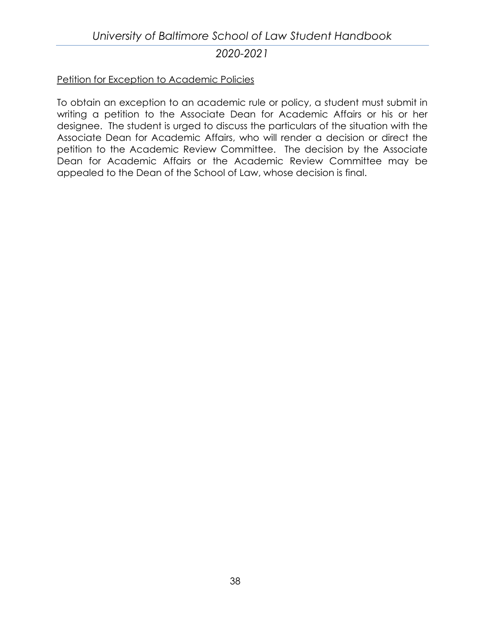#### Petition for Exception to Academic Policies

To obtain an exception to an academic rule or policy, a student must submit in writing a petition to the Associate Dean for Academic Affairs or his or her designee. The student is urged to discuss the particulars of the situation with the Associate Dean for Academic Affairs, who will render a decision or direct the petition to the Academic Review Committee. The decision by the Associate Dean for Academic Affairs or the Academic Review Committee may be appealed to the Dean of the School of Law, whose decision is final.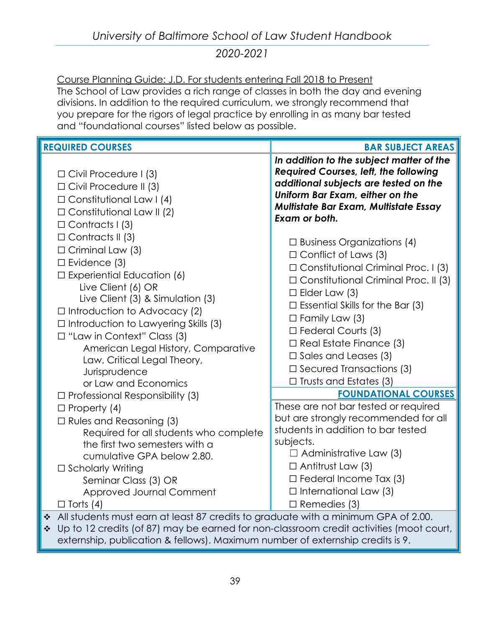Course Planning Guide: J.D. For students entering Fall 2018 to Present The School of Law provides a rich range of classes in both the day and evening divisions. In addition to the required curriculum, we strongly recommend that you prepare for the rigors of legal practice by enrolling in as many bar tested and "foundational courses" listed below as possible.

| <b>REQUIRED COURSES</b>                                                                                                                                                                                                                                                                                                                                                                       | <b>BAR SUBJECT AREAS</b>                                                                                                                                                                                                                                                                                                                                                                                               |
|-----------------------------------------------------------------------------------------------------------------------------------------------------------------------------------------------------------------------------------------------------------------------------------------------------------------------------------------------------------------------------------------------|------------------------------------------------------------------------------------------------------------------------------------------------------------------------------------------------------------------------------------------------------------------------------------------------------------------------------------------------------------------------------------------------------------------------|
| $\Box$ Civil Procedure I (3)<br>$\Box$ Civil Procedure II (3)<br>$\Box$ Constitutional Law I (4)<br>$\Box$ Constitutional Law II (2)<br>$\Box$ Contracts I (3)                                                                                                                                                                                                                                | In addition to the subject matter of the<br>Required Courses, left, the following<br>additional subjects are tested on the<br>Uniform Bar Exam, either on the<br>Multistate Bar Exam, Multistate Essay<br>Exam or both.                                                                                                                                                                                                |
| $\Box$ Contracts II (3)<br>$\Box$ Criminal Law (3)<br>$\Box$ Evidence (3)<br>$\square$ Experiential Education (6)<br>Live Client (6) OR<br>Live Client (3) & Simulation (3)<br>$\Box$ Introduction to Advocacy (2)<br>$\Box$ Introduction to Lawyering Skills (3)<br>$\Box$ "Law in Context" Class (3)<br>American Legal History, Comparative<br>Law, Critical Legal Theory,<br>Jurisprudence | $\Box$ Business Organizations (4)<br>$\Box$ Conflict of Laws (3)<br>□ Constitutional Criminal Proc. 1 (3)<br>$\Box$ Constitutional Criminal Proc. II (3)<br>$\Box$ Elder Law (3)<br>$\Box$ Essential Skills for the Bar (3)<br>$\Box$ Family Law (3)<br>$\Box$ Federal Courts (3)<br>$\Box$ Real Estate Finance (3)<br>$\Box$ Sales and Leases (3)<br>$\Box$ Secured Transactions (3)<br>$\Box$ Trusts and Estates (3) |
| or Law and Economics<br>$\Box$ Professional Responsibility (3)                                                                                                                                                                                                                                                                                                                                | <b>FOUNDATIONAL COURSES</b>                                                                                                                                                                                                                                                                                                                                                                                            |
| $\Box$ Property (4)<br>$\Box$ Rules and Reasoning (3)<br>Required for all students who complete<br>the first two semesters with a<br>cumulative GPA below 2.80.<br>□ Scholarly Writing<br>Seminar Class (3) OR<br>Approved Journal Comment<br>$\Box$ Torts (4)                                                                                                                                | These are not bar tested or required<br>but are strongly recommended for all<br>students in addition to bar tested<br>subjects.<br>$\Box$ Administrative Law (3)<br>$\Box$ Antitrust Law (3)<br>$\Box$ Federal Income Tax (3)<br>$\Box$ International Law (3)<br>$\Box$ Remedies (3)                                                                                                                                   |
| All students must earn at least 87 credits to graduate with a minimum GPA of 2.00.<br>$\cdot$<br>Up to 12 credits (of 87) may be earned for non-classroom credit activities (moot court,<br>$\cdot$<br>externship, publication & fellows). Maximum number of externship credits is 9.                                                                                                         |                                                                                                                                                                                                                                                                                                                                                                                                                        |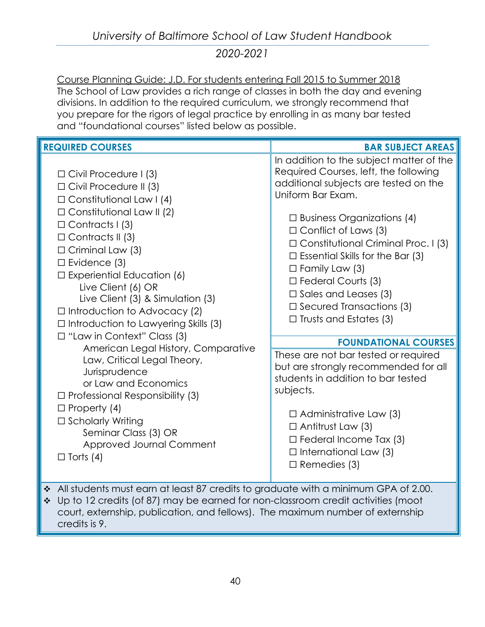Course Planning Guide: J.D. For students entering Fall 2015 to Summer 2018 The School of Law provides a rich range of classes in both the day and evening divisions. In addition to the required curriculum, we strongly recommend that you prepare for the rigors of legal practice by enrolling in as many bar tested and "foundational courses" listed below as possible.

| <b>REQUIRED COURSES</b>                                                                                                                                                                                                                                                                                                                                                                                                                                                                                                                                                                                                                                                                                                                              | <b>BAR SUBJECT AREAS</b>                                                                                                                                                                                                                                                                                                                                                                                                                                                                                                                                                                                                                                                                                                                                                                        |  |
|------------------------------------------------------------------------------------------------------------------------------------------------------------------------------------------------------------------------------------------------------------------------------------------------------------------------------------------------------------------------------------------------------------------------------------------------------------------------------------------------------------------------------------------------------------------------------------------------------------------------------------------------------------------------------------------------------------------------------------------------------|-------------------------------------------------------------------------------------------------------------------------------------------------------------------------------------------------------------------------------------------------------------------------------------------------------------------------------------------------------------------------------------------------------------------------------------------------------------------------------------------------------------------------------------------------------------------------------------------------------------------------------------------------------------------------------------------------------------------------------------------------------------------------------------------------|--|
| $\Box$ Civil Procedure I (3)<br>$\Box$ Civil Procedure II (3)<br>$\Box$ Constitutional Law I (4)<br>$\Box$ Constitutional Law II (2)<br>$\Box$ Contracts I (3)<br>$\Box$ Contracts II (3)<br>$\Box$ Criminal Law (3)<br>$\Box$ Evidence (3)<br>$\Box$ Experiential Education (6)<br>Live Client (6) OR<br>Live Client (3) & Simulation (3)<br>$\Box$ Introduction to Advocacy (2)<br>$\Box$ Introduction to Lawyering Skills (3)<br>$\Box$ "Law in Context" Class (3)<br>American Legal History, Comparative<br>Law, Critical Legal Theory,<br>Jurisprudence<br>or Law and Economics<br>$\Box$ Professional Responsibility (3)<br>$\Box$ Property (4)<br>□ Scholarly Writing<br>Seminar Class (3) OR<br>Approved Journal Comment<br>$\Box$ Torts (4) | In addition to the subject matter of the<br>Required Courses, left, the following<br>additional subjects are tested on the<br>Uniform Bar Exam.<br>$\Box$ Business Organizations (4)<br>$\Box$ Conflict of Laws (3)<br>$\Box$ Constitutional Criminal Proc. I (3)<br>$\Box$ Essential Skills for the Bar (3)<br>$\Box$ Family Law (3)<br>$\Box$ Federal Courts (3)<br>$\Box$ Sales and Leases (3)<br>$\square$ Secured Transactions (3)<br>$\Box$ Trusts and Estates (3)<br><b>FOUNDATIONAL COURSES</b><br>These are not bar tested or required<br>but are strongly recommended for all<br>students in addition to bar tested<br>subjects.<br>$\Box$ Administrative Law (3)<br>$\Box$ Antitrust Law (3)<br>$\Box$ Federal Income Tax (3)<br>$\Box$ International Law (3)<br>$\Box$ Remedies (3) |  |
| All students must earn at least 87 credits to graduate with a minimum GPA of 2.00.<br>❖<br>Up to 12 credits (of 87) may be earned for non-classroom credit activities (moot<br>❖<br>court, externship, publication, and fellows). The maximum number of externship<br>credits is 9.                                                                                                                                                                                                                                                                                                                                                                                                                                                                  |                                                                                                                                                                                                                                                                                                                                                                                                                                                                                                                                                                                                                                                                                                                                                                                                 |  |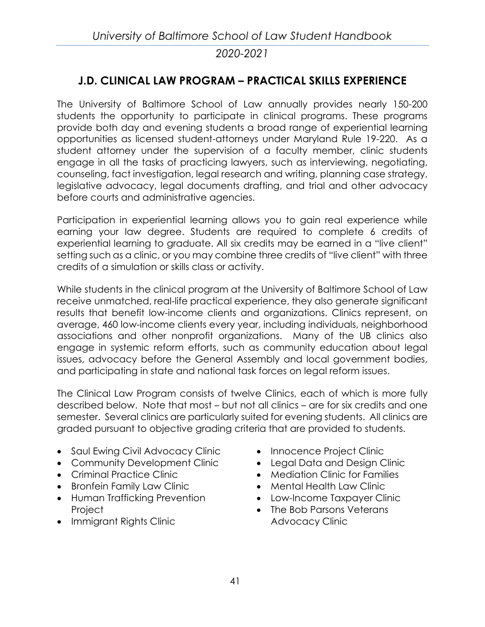## **J.D. CLINICAL LAW PROGRAM – PRACTICAL SKILLS EXPERIENCE**

The University of Baltimore School of Law annually provides nearly 150-200 students the opportunity to participate in clinical programs. These programs provide both day and evening students a broad range of experiential learning opportunities as licensed student-attorneys under Maryland Rule 19-220. As a student attorney under the supervision of a faculty member, clinic students engage in all the tasks of practicing lawyers, such as interviewing, negotiating, counseling, fact investigation, legal research and writing, planning case strategy, legislative advocacy, legal documents drafting, and trial and other advocacy before courts and administrative agencies.

Participation in experiential learning allows you to gain real experience while earning your law degree. Students are required to complete 6 credits of experiential learning to graduate. All six credits may be earned in a "live client" setting such as a clinic, or you may combine three credits of "live client" with three credits of a simulation or skills class or activity.

While students in the clinical program at the University of Baltimore School of Law receive unmatched, real-life practical experience, they also generate significant results that benefit low-income clients and organizations. Clinics represent, on average, 460 low-income clients every year, including individuals, neighborhood associations and other nonprofit organizations. Many of the UB clinics also engage in systemic reform efforts, such as community education about legal issues, advocacy before the General Assembly and local government bodies, and participating in state and national task forces on legal reform issues.

The Clinical Law Program consists of twelve Clinics, each of which is more fully described below. Note that most – but not all clinics – are for six credits and one semester. Several clinics are particularly suited for evening students. All clinics are graded pursuant to objective grading criteria that are provided to students.

- [Saul Ewing Civil Advocacy Clinic](http://law.ubalt.edu/clinics/civiladvocacy.cfm)
- [Community Development Clinic](http://law.ubalt.edu/clinics/community.cfm)
- [Criminal Practice Clinic](http://law.ubalt.edu/clinics/criminal.cfm)
- [Bronfein Family Law Clinic](http://law.ubalt.edu/clinics/familylaw/index.cfm)
- [Human Trafficking Prevention](http://law.ubalt.edu/clinics/humantrafficking.cfm)  **[Project](http://law.ubalt.edu/clinics/humantrafficking.cfm)**
- [Immigrant Rights Clinic](http://law.ubalt.edu/clinics/immigrantrights.cfm)
- [Innocence Project Clinic](http://law.ubalt.edu/clinics/innocenceproject.cfm)
- Legal Data and Design Clinic
- [Mediation Clinic for Families](http://law.ubalt.edu/clinics/familymediation.cfm)
- [Mental Health Law Clinic](http://law.ubalt.edu/clinics/mentalhealth.cfm)
- Low-Income Taxpayer Clinic
- The Bob Parsons Veterans Advocacy Clinic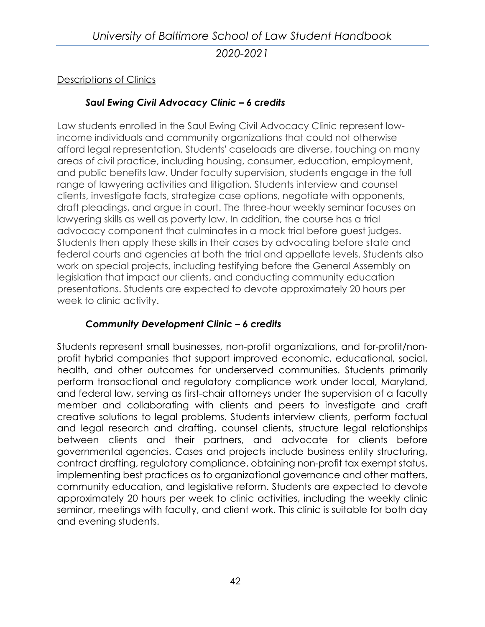#### Descriptions of Clinics

#### *[Saul Ewing Civil Advocacy Clinic](http://law.ubalt.edu/clinics/civiladvocacy.cfm) – 6 credits*

Law students enrolled in the Saul Ewing Civil Advocacy Clinic represent lowincome individuals and community organizations that could not otherwise afford legal representation. Students' caseloads are diverse, touching on many areas of civil practice, including housing, consumer, education, employment, and public benefits law. Under faculty supervision, students engage in the full range of lawyering activities and litigation. Students interview and counsel clients, investigate facts, strategize case options, negotiate with opponents, draft pleadings, and argue in court. The three-hour weekly seminar focuses on lawyering skills as well as poverty law. In addition, the course has a trial advocacy component that culminates in a mock trial before guest judges. Students then apply these skills in their cases by advocating before state and federal courts and agencies at both the trial and appellate levels. Students also work on special projects, including testifying before the General Assembly on legislation that impact our clients, and conducting community education presentations. Students are expected to devote approximately 20 hours per week to clinic activity.

#### *[Community Development Clinic](http://law.ubalt.edu/clinics/community.cfm) – 6 credits*

Students represent small businesses, non-profit organizations, and for-profit/nonprofit hybrid companies that support improved economic, educational, social, health, and other outcomes for underserved communities. Students primarily perform transactional and regulatory compliance work under local, Maryland, and federal law, serving as first-chair attorneys under the supervision of a faculty member and collaborating with clients and peers to investigate and craft creative solutions to legal problems. Students interview clients, perform factual and legal research and drafting, counsel clients, structure legal relationships between clients and their partners, and advocate for clients before governmental agencies. Cases and projects include business entity structuring, contract drafting, regulatory compliance, obtaining non-profit tax exempt status, implementing best practices as to organizational governance and other matters, community education, and legislative reform. Students are expected to devote approximately 20 hours per week to clinic activities, including the weekly clinic seminar, meetings with faculty, and client work. This clinic is suitable for both day and evening students.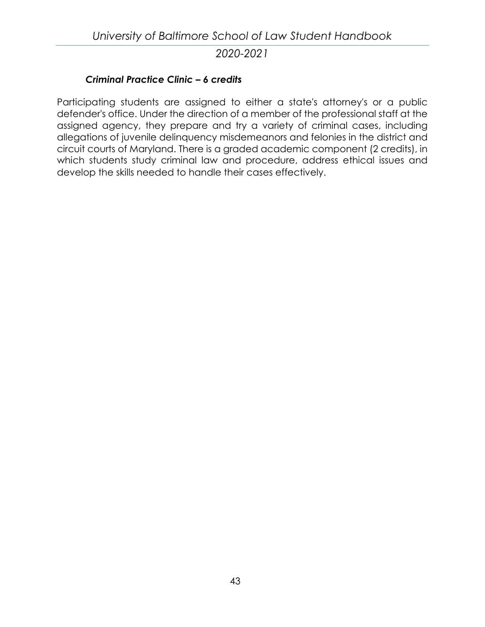#### *[Criminal Practice Clinic](http://law.ubalt.edu/clinics/criminal.cfm) – 6 credits*

Participating students are assigned to either a state's attorney's or a public defender's office. Under the direction of a member of the professional staff at the assigned agency, they prepare and try a variety of criminal cases, including allegations of juvenile delinquency misdemeanors and felonies in the district and circuit courts of Maryland. There is a graded academic component (2 credits), in which students study criminal law and procedure, address ethical issues and develop the skills needed to handle their cases effectively.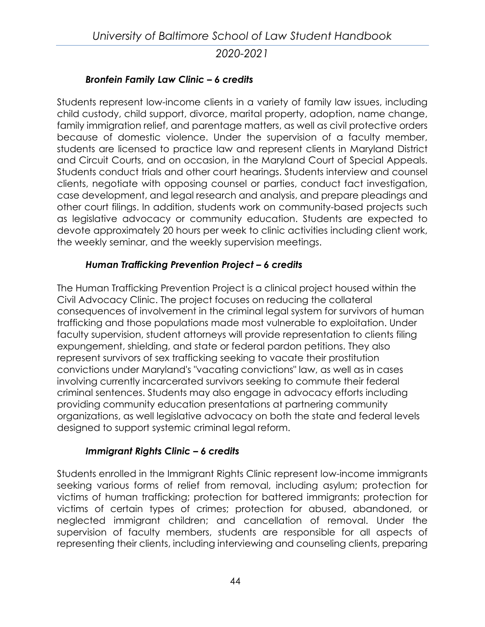#### *[Bronfein Family Law Clinic](http://law.ubalt.edu/clinics/familylaw/index.cfm) – 6 credits*

Students represent low-income clients in a variety of family law issues, including child custody, child support, divorce, marital property, adoption, name change, family immigration relief, and parentage matters, as well as civil protective orders because of domestic violence. Under the supervision of a faculty member, students are licensed to practice law and represent clients in Maryland District and Circuit Courts, and on occasion, in the Maryland Court of Special Appeals. Students conduct trials and other court hearings. Students interview and counsel clients, negotiate with opposing counsel or parties, conduct fact investigation, case development, and legal research and analysis, and prepare pleadings and other court filings. In addition, students work on community-based projects such as legislative advocacy or community education. Students are expected to devote approximately 20 hours per week to clinic activities including client work, the weekly seminar, and the weekly supervision meetings.

## *Human Trafficking Prevention Project – 6 credits*

The Human Trafficking Prevention Project is a clinical project housed within the Civil Advocacy Clinic. The project focuses on reducing the collateral consequences of involvement in the criminal legal system for survivors of human trafficking and those populations made most vulnerable to exploitation. Under faculty supervision, student attorneys will provide representation to clients filing expungement, shielding, and state or federal pardon petitions. They also represent survivors of sex trafficking seeking to vacate their prostitution convictions under Maryland's "vacating convictions" law, as well as in cases involving currently incarcerated survivors seeking to commute their federal criminal sentences. Students may also engage in advocacy efforts including providing community education presentations at partnering community organizations, as well legislative advocacy on both the state and federal levels designed to support systemic criminal legal reform.

#### *Immigrant Rights Clinic – 6 credits*

Students enrolled in the Immigrant Rights Clinic represent low-income immigrants seeking various forms of relief from removal, including asylum; protection for victims of human trafficking; protection for battered immigrants; protection for victims of certain types of crimes; protection for abused, abandoned, or neglected immigrant children; and cancellation of removal. Under the supervision of faculty members, students are responsible for all aspects of representing their clients, including interviewing and counseling clients, preparing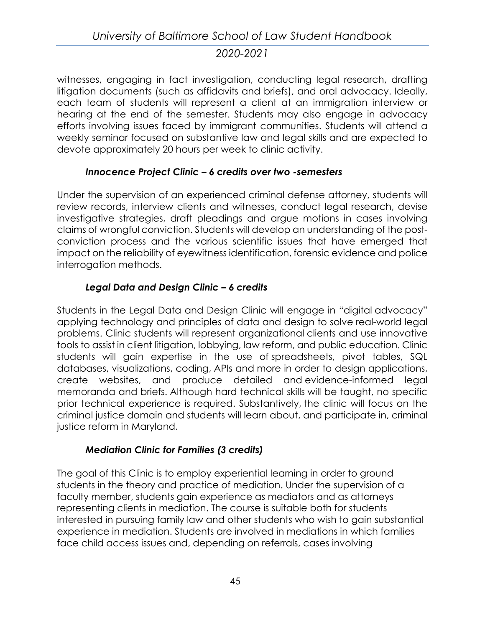witnesses, engaging in fact investigation, conducting legal research, drafting litigation documents (such as affidavits and briefs), and oral advocacy. Ideally, each team of students will represent a client at an immigration interview or hearing at the end of the semester. Students may also engage in advocacy efforts involving issues faced by immigrant communities. Students will attend a weekly seminar focused on substantive law and legal skills and are expected to devote approximately 20 hours per week to clinic activity.

## *Innocence Project Clinic – 6 credits over two -semesters*

Under the supervision of an experienced criminal defense attorney, students will review records, interview clients and witnesses, conduct legal research, devise investigative strategies, draft pleadings and argue motions in cases involving claims of wrongful conviction. Students will develop an understanding of the postconviction process and the various scientific issues that have emerged that impact on the reliability of eyewitness identification, forensic evidence and police interrogation methods.

## *Legal Data and Design Clinic – 6 credits*

Students in the Legal Data and Design Clinic will engage in "digital advocacy" applying technology and principles of data and design to solve real-world legal problems. Clinic students will represent organizational clients and use innovative tools to assist in client litigation, lobbying, law reform, and public education. Clinic students will gain expertise in the use of spreadsheets, pivot tables, SQL databases, visualizations, coding, APIs and more in order to design applications, create websites, and produce detailed and evidence-informed legal memoranda and briefs. Although hard technical skills will be taught, no specific prior technical experience is required. Substantively, the clinic will focus on the criminal justice domain and students will learn about, and participate in, criminal justice reform in Maryland.

## *Mediation Clinic for Families (3 credits)*

The goal of this Clinic is to employ experiential learning in order to ground students in the theory and practice of mediation. Under the supervision of a faculty member, students gain experience as mediators and as attorneys representing clients in mediation. The course is suitable both for students interested in pursuing family law and other students who wish to gain substantial experience in mediation. Students are involved in mediations in which families face child access issues and, depending on referrals, cases involving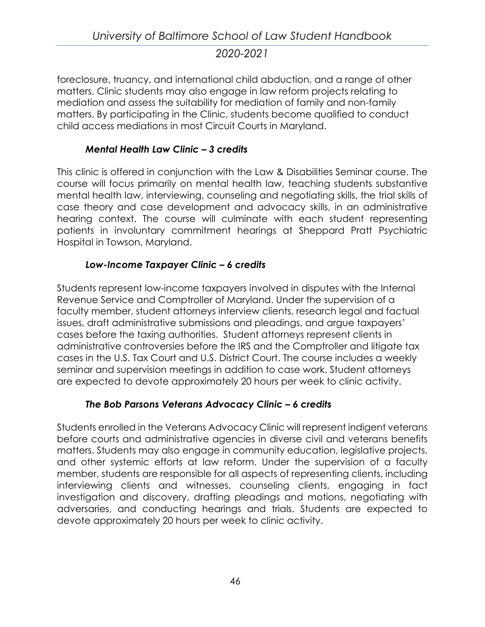foreclosure, truancy, and international child abduction, and a range of other matters. Clinic students may also engage in law reform projects relating to mediation and assess the suitability for mediation of family and non-family matters. By participating in the Clinic, students become qualified to conduct child access mediations in most Circuit Courts in Maryland.

#### *Mental Health Law Clinic – 3 credits*

This clinic is offered in conjunction with the Law & Disabilities Seminar course. The course will focus primarily on mental health law, teaching students substantive mental health law, interviewing, counseling and negotiating skills, the trial skills of case theory and case development and advocacy skills, in an administrative hearing context. The course will culminate with each student representing patients in involuntary commitment hearings at Sheppard Pratt Psychiatric Hospital in Towson, Maryland.

#### *Low-Income Taxpayer Clinic – 6 credits*

Students represent low-income taxpayers involved in disputes with the Internal Revenue Service and Comptroller of Maryland. Under the supervision of a faculty member, student attorneys interview clients, research legal and factual issues, draft administrative submissions and pleadings, and argue taxpayers' cases before the taxing authorities. Student attorneys represent clients in administrative controversies before the IRS and the Comptroller and litigate tax cases in the U.S. Tax Court and U.S. District Court. The course includes a weekly seminar and supervision meetings in addition to case work. Student attorneys are expected to devote approximately 20 hours per week to clinic activity.

#### *The Bob Parsons Veterans Advocacy Clinic – 6 credits*

Students enrolled in the Veterans Advocacy Clinic will represent indigent veterans before courts and administrative agencies in diverse civil and veterans benefits matters. Students may also engage in community education, legislative projects, and other systemic efforts at law reform. Under the supervision of a faculty member, students are responsible for all aspects of representing clients, including interviewing clients and witnesses, counseling clients, engaging in fact investigation and discovery, drafting pleadings and motions, negotiating with adversaries, and conducting hearings and trials. Students are expected to devote approximately 20 hours per week to clinic activity.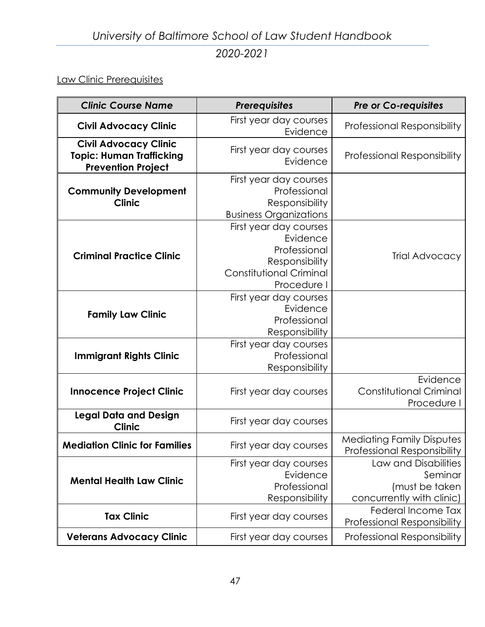# *University of Baltimore School of Law Student Handbook 2020-2021*

## Law Clinic Prerequisites

| <b>Clinic Course Name</b>                                                                    | <b>Prerequisites</b>                                                                                           | <b>Pre or Co-requisites</b>                                                    |
|----------------------------------------------------------------------------------------------|----------------------------------------------------------------------------------------------------------------|--------------------------------------------------------------------------------|
| <b>Civil Advocacy Clinic</b>                                                                 | First year day courses<br>Evidence                                                                             | <b>Professional Responsibility</b>                                             |
| <b>Civil Advocacy Clinic</b><br><b>Topic: Human Trafficking</b><br><b>Prevention Project</b> | First year day courses<br>Evidence                                                                             | <b>Professional Responsibility</b>                                             |
| <b>Community Development</b><br><b>Clinic</b>                                                | First year day courses<br>Professional<br>Responsibility<br><b>Business Organizations</b>                      |                                                                                |
| <b>Criminal Practice Clinic</b>                                                              | First year day courses<br>Evidence<br>Professional<br>Responsibility<br>Constitutional Criminal<br>Procedure I | Trial Advocacy                                                                 |
| <b>Family Law Clinic</b>                                                                     | First year day courses<br>Evidence<br>Professional<br>Responsibility                                           |                                                                                |
| <b>Immigrant Rights Clinic</b>                                                               | First year day courses<br>Professional<br>Responsibility                                                       |                                                                                |
| <b>Innocence Project Clinic</b>                                                              | First year day courses                                                                                         | Evidence<br><b>Constitutional Criminal</b><br>Procedure I                      |
| <b>Legal Data and Design</b><br><b>Clinic</b>                                                | First year day courses                                                                                         |                                                                                |
| <b>Mediation Clinic for Families</b>                                                         | First year day courses                                                                                         | <b>Mediating Family Disputes</b><br>Professional Responsibility                |
| <b>Mental Health Law Clinic</b>                                                              | First year day courses<br>Evidence<br>Professional<br>Responsibility                                           | Law and Disabilities<br>Seminar<br>(must be taken<br>concurrently with clinic) |
| <b>Tax Clinic</b>                                                                            | First year day courses                                                                                         | Federal Income Tax<br><b>Professional Responsibility</b>                       |
| <b>Veterans Advocacy Clinic</b>                                                              | First year day courses                                                                                         | <b>Professional Responsibility</b>                                             |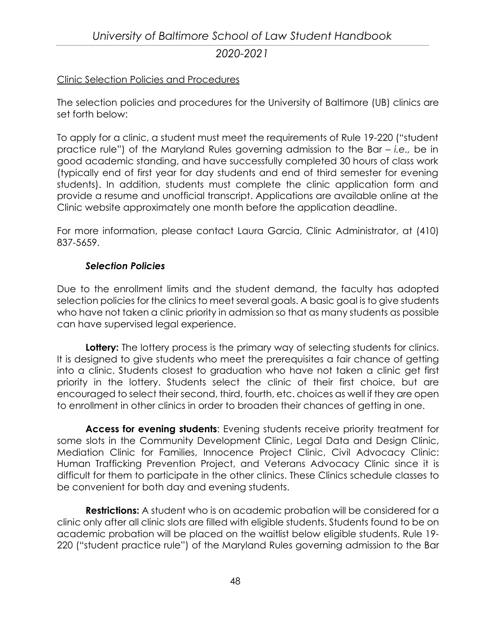# *University of Baltimore School of Law Student Handbook 2020-2021*

#### Clinic Selection Policies and Procedures

The selection policies and procedures for the University of Baltimore (UB) clinics are set forth below:

To apply for a clinic, a student must meet the requirements of Rule 19-220 ("student practice rule") of the Maryland Rules governing admission to the Bar – *i.e.,* be in good academic standing, and have successfully completed 30 hours of class work (typically end of first year for day students and end of third semester for evening students). In addition, students must complete the clinic application form and provide a resume and unofficial transcript. Applications are available online at the Clinic website approximately one month before the application deadline.

For more information, please contact Laura Garcia, Clinic Administrator, at (410) 837-5659.

#### *Selection Policies*

Due to the enrollment limits and the student demand, the faculty has adopted selection policies for the clinics to meet several goals. A basic goal is to give students who have not taken a clinic priority in admission so that as many students as possible can have supervised legal experience.

Lottery: The lottery process is the primary way of selecting students for clinics. It is designed to give students who meet the prerequisites a fair chance of getting into a clinic. Students closest to graduation who have not taken a clinic get first priority in the lottery. Students select the clinic of their first choice, but are encouraged to select their second, third, fourth, etc. choices as well if they are open to enrollment in other clinics in order to broaden their chances of getting in one.

**Access for evening students**: Evening students receive priority treatment for some slots in the Community Development Clinic, Legal Data and Design Clinic, Mediation Clinic for Families, Innocence Project Clinic, Civil Advocacy Clinic: Human Trafficking Prevention Project, and Veterans Advocacy Clinic since it is difficult for them to participate in the other clinics. These Clinics schedule classes to be convenient for both day and evening students.

**Restrictions:** A student who is on academic probation will be considered for a clinic only after all clinic slots are filled with eligible students. Students found to be on academic probation will be placed on the waitlist below eligible students. Rule 19- 220 ("student practice rule") of the Maryland Rules governing admission to the Bar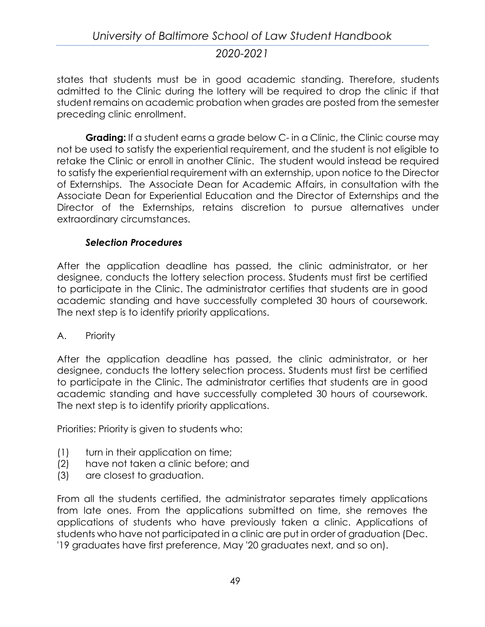states that students must be in good academic standing. Therefore, students admitted to the Clinic during the lottery will be required to drop the clinic if that student remains on academic probation when grades are posted from the semester preceding clinic enrollment.

**Grading:** If a student earns a grade below C- in a Clinic, the Clinic course may not be used to satisfy the experiential requirement, and the student is not eligible to retake the Clinic or enroll in another Clinic. The student would instead be required to satisfy the experiential requirement with an externship, upon notice to the Director of Externships. The Associate Dean for Academic Affairs, in consultation with the Associate Dean for Experiential Education and the Director of Externships and the Director of the Externships, retains discretion to pursue alternatives under extraordinary circumstances.

#### *Selection Procedures*

After the application deadline has passed, the clinic administrator, or her designee, conducts the lottery selection process. Students must first be certified to participate in the Clinic. The administrator certifies that students are in good academic standing and have successfully completed 30 hours of coursework. The next step is to identify priority applications.

#### A. Priority

After the application deadline has passed, the clinic administrator, or her designee, conducts the lottery selection process. Students must first be certified to participate in the Clinic. The administrator certifies that students are in good academic standing and have successfully completed 30 hours of coursework. The next step is to identify priority applications.

Priorities: Priority is given to students who:

- (1) turn in their application on time;
- (2) have not taken a clinic before; and
- (3) are closest to graduation.

From all the students certified, the administrator separates timely applications from late ones. From the applications submitted on time, she removes the applications of students who have previously taken a clinic. Applications of students who have not participated in a clinic are put in order of graduation (Dec. '19 graduates have first preference, May '20 graduates next, and so on).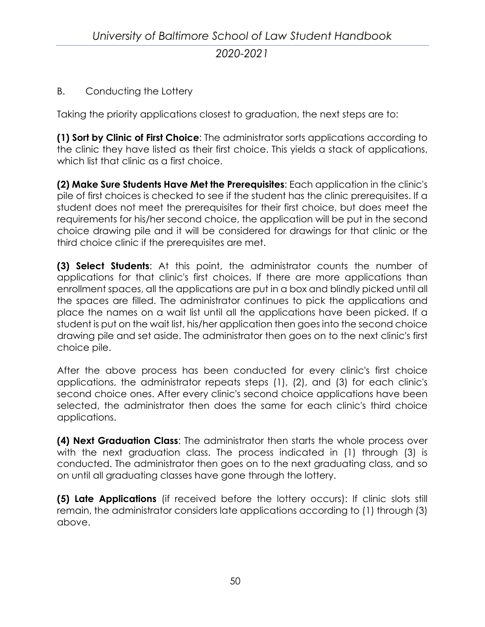## B. Conducting the Lottery

Taking the priority applications closest to graduation, the next steps are to:

**(1) Sort by Clinic of First Choice**: The administrator sorts applications according to the clinic they have listed as their first choice. This yields a stack of applications, which list that clinic as a first choice.

**(2) Make Sure Students Have Met the Prerequisites**: Each application in the clinic's pile of first choices is checked to see if the student has the clinic prerequisites. If a student does not meet the prerequisites for their first choice, but does meet the requirements for his/her second choice, the application will be put in the second choice drawing pile and it will be considered for drawings for that clinic or the third choice clinic if the prerequisites are met.

**(3) Select Students**: At this point, the administrator counts the number of applications for that clinic's first choices. If there are more applications than enrollment spaces, all the applications are put in a box and blindly picked until all the spaces are filled. The administrator continues to pick the applications and place the names on a wait list until all the applications have been picked. If a student is put on the wait list, his/her application then goes into the second choice drawing pile and set aside. The administrator then goes on to the next clinic's first choice pile.

After the above process has been conducted for every clinic's first choice applications, the administrator repeats steps (1), (2), and (3) for each clinic's second choice ones. After every clinic's second choice applications have been selected, the administrator then does the same for each clinic's third choice applications.

**(4) Next Graduation Class**: The administrator then starts the whole process over with the next graduation class. The process indicated in (1) through (3) is conducted. The administrator then goes on to the next graduating class, and so on until all graduating classes have gone through the lottery.

**(5) Late Applications** (if received before the lottery occurs): If clinic slots still remain, the administrator considers late applications according to (1) through (3) above.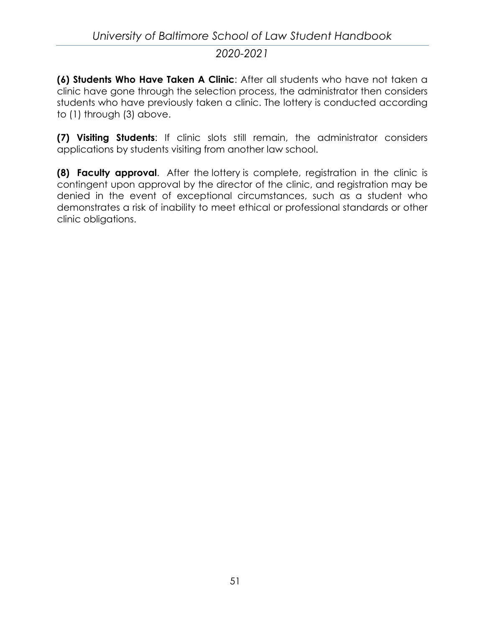**(6) Students Who Have Taken A Clinic**: After all students who have not taken a clinic have gone through the selection process, the administrator then considers students who have previously taken a clinic. The lottery is conducted according to (1) through (3) above.

**(7) Visiting Students**: If clinic slots still remain, the administrator considers applications by students visiting from another law school.

**(8) Faculty approval**. After the lottery is complete, registration in the clinic is contingent upon approval by the director of the clinic, and registration may be denied in the event of exceptional circumstances, such as a student who demonstrates a risk of inability to meet ethical or professional standards or other clinic obligations.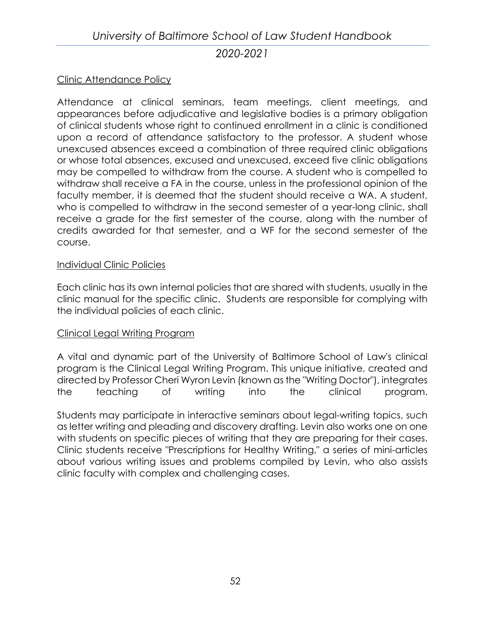#### Clinic Attendance Policy

Attendance at clinical seminars, team meetings, client meetings, and appearances before adjudicative and legislative bodies is a primary obligation of clinical students whose right to continued enrollment in a clinic is conditioned upon a record of attendance satisfactory to the professor. A student whose unexcused absences exceed a combination of three required clinic obligations or whose total absences, excused and unexcused, exceed five clinic obligations may be compelled to withdraw from the course. A student who is compelled to withdraw shall receive a FA in the course, unless in the professional opinion of the faculty member, it is deemed that the student should receive a WA. A student, who is compelled to withdraw in the second semester of a year-long clinic, shall receive a grade for the first semester of the course, along with the number of credits awarded for that semester, and a WF for the second semester of the course.

#### Individual Clinic Policies

Each clinic has its own internal policies that are shared with students, usually in the clinic manual for the specific clinic. Students are responsible for complying with the individual policies of each clinic.

#### Clinical Legal Writing Program

A vital and dynamic part of the University of Baltimore School of Law's clinical program is the Clinical Legal Writing Program. This unique initiative, created and directed by Professor Cheri Wyron Levin (known as the "Writing Doctor"), integrates the teaching of writing into the clinical program.

Students may participate in interactive seminars about legal-writing topics, such as letter writing and pleading and discovery drafting. Levin also works one on one with students on specific pieces of writing that they are preparing for their cases. Clinic students receive "Prescriptions for Healthy Writing," a series of mini-articles about various writing issues and problems compiled by Levin, who also assists clinic faculty with complex and challenging cases.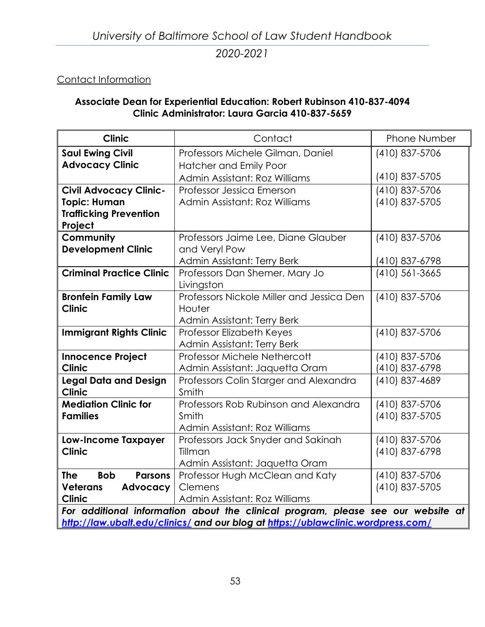## Contact Information

#### **Associate Dean for Experiential Education: Robert Rubinson 410-837-4094 Clinic Administrator: Laura Garcia 410-837-5659**

| <b>Clinic</b>                                                                    | Contact                                         | <b>Phone Number</b> |
|----------------------------------------------------------------------------------|-------------------------------------------------|---------------------|
| <b>Saul Ewing Civil</b>                                                          | Professors Michele Gilman, Daniel               | (410) 837-5706      |
| <b>Advocacy Clinic</b>                                                           | <b>Hatcher and Emily Poor</b>                   |                     |
|                                                                                  | Admin Assistant: Roz Williams                   | (410) 837-5705      |
| <b>Civil Advocacy Clinic-</b>                                                    | Professor Jessica Emerson                       | (410) 837-5706      |
| <b>Topic: Human</b>                                                              | Admin Assistant: Roz Williams                   | (410) 837-5705      |
| <b>Trafficking Prevention</b>                                                    |                                                 |                     |
| Project                                                                          |                                                 |                     |
| Community                                                                        | Professors Jaime Lee, Diane Glauber             | (410) 837-5706      |
| <b>Development Clinic</b>                                                        | and Veryl Pow                                   |                     |
|                                                                                  | Admin Assistant: Terry Berk                     | (410) 837-6798      |
| <b>Criminal Practice Clinic</b>                                                  | Professors Dan Shemer, Mary Jo                  | $(410)$ 561-3665    |
|                                                                                  | Livingston                                      |                     |
| <b>Bronfein Family Law</b>                                                       | Professors Nickole Miller and Jessica Den       | (410) 837-5706      |
| <b>Clinic</b>                                                                    | Houter                                          |                     |
|                                                                                  | Admin Assistant: Terry Berk                     |                     |
| <b>Immigrant Rights Clinic</b>                                                   | Professor Elizabeth Keyes                       | (410) 837-5706      |
|                                                                                  | Admin Assistant: Terry Berk                     |                     |
| Innocence Project                                                                | Professor Michele Nethercott                    | (410) 837-5706      |
| <b>Clinic</b>                                                                    | Admin Assistant: Jaquetta Oram                  | (410) 837-6798      |
| <b>Legal Data and Design</b><br><b>Clinic</b>                                    | Professors Colin Starger and Alexandra<br>Smith | (410) 837-4689      |
| <b>Mediation Clinic for</b>                                                      | Professors Rob Rubinson and Alexandra           | (410) 837-5706      |
| <b>Families</b>                                                                  | Smith                                           | (410) 837-5705      |
|                                                                                  | Admin Assistant: Roz Williams                   |                     |
| <b>Low-Income Taxpayer</b>                                                       | Professors Jack Snyder and Sakinah              | (410) 837-5706      |
| <b>Clinic</b>                                                                    | Tillman                                         | (410) 837-6798      |
|                                                                                  | Admin Assistant: Jaquetta Oram                  |                     |
| <b>The</b><br><b>Parsons</b><br><b>Bob</b>                                       | Professor Hugh McClean and Katy                 | (410) 837-5706      |
| <b>Veterans</b><br>Advocacy                                                      | Clemens                                         | (410) 837-5705      |
| <b>Clinic</b>                                                                    | Admin Assistant: Roz Williams                   |                     |
| For additional information about the clinical program, please see our website at |                                                 |                     |
| http://law.ubalt.edu/clinics/ and our blog at https://ublawclinic.wordpress.com/ |                                                 |                     |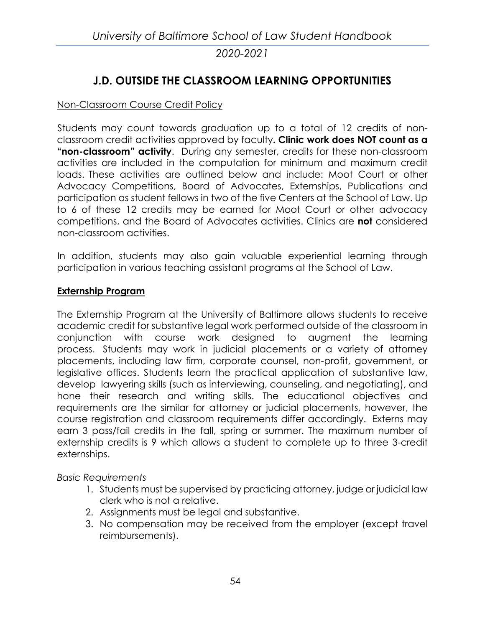## **J.D. OUTSIDE THE CLASSROOM LEARNING OPPORTUNITIES**

#### Non-Classroom Course Credit Policy

Students may count towards graduation up to a total of 12 credits of nonclassroom credit activities approved by faculty**. Clinic work does NOT count as a "non-classroom" activity**. During any semester, credits for these non-classroom activities are included in the computation for minimum and maximum credit loads. These activities are outlined below and include: Moot Court or other Advocacy Competitions, Board of Advocates, Externships, Publications and participation as student fellows in two of the five Centers at the School of Law. Up to 6 of these 12 credits may be earned for Moot Court or other advocacy competitions, and the Board of Advocates activities. Clinics are **not** considered non-classroom activities.

In addition, students may also gain valuable experiential learning through participation in various teaching assistant programs at the School of Law.

#### **[Externship Program](http://law.ubalt.edu/clinics/externships/)**

The Externship Program at the University of Baltimore allows students to receive academic credit for substantive legal work performed outside of the classroom in conjunction with course work designed to augment the learning process. Students may work in judicial placements or a variety of attorney placements, including law firm, corporate counsel, non-profit, government, or legislative offices. Students learn the practical application of substantive law, develop lawyering skills (such as interviewing, counseling, and negotiating), and hone their research and writing skills. The educational objectives and requirements are the similar for attorney or judicial placements, however, the course registration and classroom requirements differ accordingly. Externs may earn 3 pass/fail credits in the fall, spring or summer. The maximum number of externship credits is 9 which allows a student to complete up to three 3-credit externships.

*Basic Requirements*

- 1. Students must be supervised by practicing attorney, judge or judicial law clerk who is not a relative.
- 2. Assignments must be legal and substantive.
- 3. No compensation may be received from the employer (except travel reimbursements).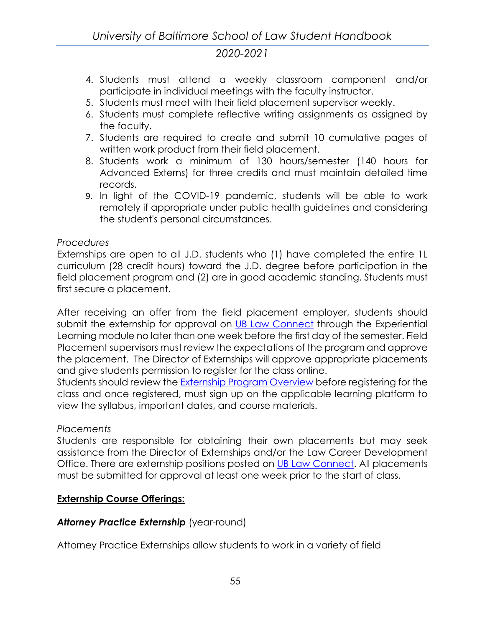- 4. Students must attend a weekly classroom component and/or participate in individual meetings with the faculty instructor.
- 5. Students must meet with their field placement supervisor weekly.
- 6. Students must complete reflective writing assignments as assigned by the faculty.
- 7. Students are required to create and submit 10 cumulative pages of written work product from their field placement.
- 8. Students work a minimum of 130 hours/semester (140 hours for Advanced Externs) for three credits and must maintain detailed time records.
- 9. In light of the COVID-19 pandemic, students will be able to work remotely if appropriate under public health guidelines and considering the student's personal circumstances.

## *Procedures*

Externships are open to all J.D. students who (1) have completed the entire 1L curriculum (28 credit hours) toward the J.D. degree before participation in the field placement program and (2) are in good academic standing. Students must first secure a placement.

After receiving an offer from the field placement employer, students should submit the externship for approval on [UB Law Connect](https://law-ubalt.12twenty.com/Login) through the Experiential Learning module no later than one week before the first day of the semester. Field Placement supervisors must review the expectations of the program and approve the placement. The Director of Externships will approve appropriate placements and give students permission to register for the class online.

Students should review the Externship [Program Overview](http://law.ubalt.edu/clinics/docs/July%202020%20Externship%20Overview.pdf) before registering for the class and once registered, must sign up on the applicable learning platform to view the syllabus, important dates, and course materials.

#### *Placements*

Students are responsible for obtaining their own placements but may seek assistance from the Director of Externships and/or the Law Career Development Office. There are externship positions posted on [UB Law Connect.](https://law-ubalt.12twenty.com/Login) All placements must be submitted for approval at least one week prior to the start of class.

## **Externship Course Offerings:**

## Attorney Practice Externship (year-round)

Attorney Practice Externships allow students to work in a variety of field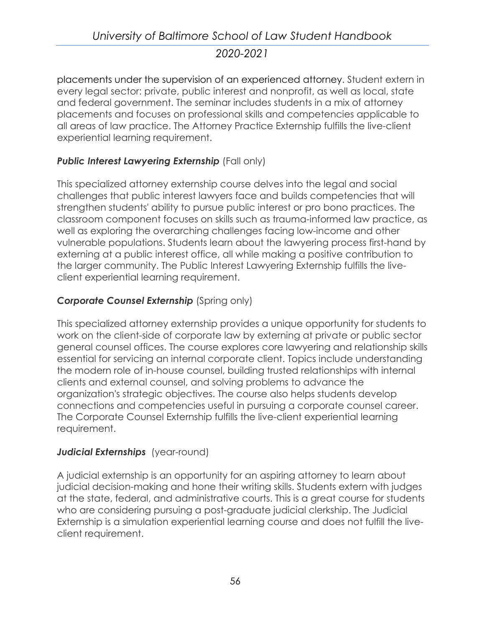# *University of Baltimore School of Law Student Handbook 2020-2021*

placements under the supervision of an experienced attorney. Student extern in every legal sector: private, public interest and nonprofit, as well as local, state and federal government. The seminar includes students in a mix of attorney placements and focuses on professional skills and competencies applicable to all areas of law practice. The Attorney Practice Externship fulfills the live-client experiential learning requirement.

#### **Public Interest Lawyering Externship** (Fall only)

This specialized attorney externship course delves into the legal and social challenges that public interest lawyers face and builds competencies that will strengthen students' ability to pursue public interest or pro bono practices. The classroom component focuses on skills such as trauma-informed law practice, as well as exploring the overarching challenges facing low-income and other vulnerable populations. Students learn about the lawyering process first-hand by externing at a public interest office, all while making a positive contribution to the larger community. The Public Interest Lawyering Externship fulfills the liveclient experiential learning requirement.

## **Corporate Counsel Externship** (Spring only)

This specialized attorney externship provides a unique opportunity for students to work on the client-side of corporate law by externing at private or public sector general counsel offices. The course explores core lawyering and relationship skills essential for servicing an internal corporate client. Topics include understanding the modern role of in-house counsel, building trusted relationships with internal clients and external counsel, and solving problems to advance the organization's strategic objectives. The course also helps students develop connections and competencies useful in pursuing a corporate counsel career. The Corporate Counsel Externship fulfills the live-client experiential learning requirement.

#### *Judicial Externships* (year-round)

A judicial externship is an opportunity for an aspiring attorney to learn about judicial decision-making and hone their writing skills. Students extern with judges at the state, federal, and administrative courts. This is a great course for students who are considering pursuing a post-graduate judicial clerkship. The Judicial Externship is a simulation experiential learning course and does not fulfill the liveclient requirement.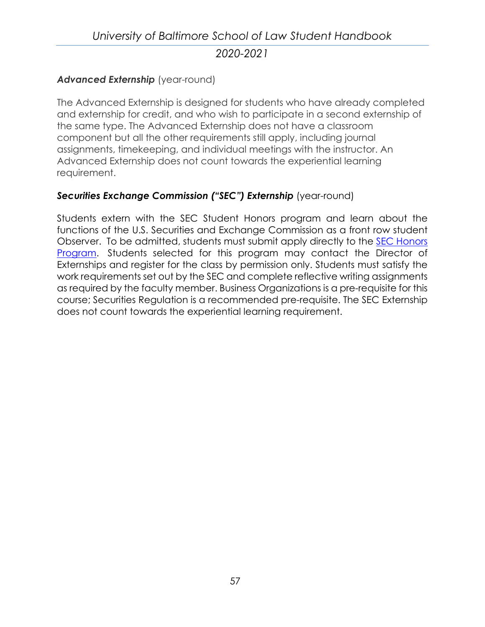# *University of Baltimore School of Law Student Handbook 2020-2021*

#### [Advanced Externship](http://law.ubalt.edu/clinics/externships/advanced.cfm) (year-round)

The Advanced Externship is designed for students who have already completed and externship for credit, and who wish to participate in a second externship of the same type. The Advanced Externship does not have a classroom component but all the other requirements still apply, including journal assignments, timekeeping, and individual meetings with the instructor. An Advanced Externship does not count towards the experiential learning requirement.

#### *Securities Exchange Commission ("SEC") Externship* (year-round)

Students extern with the SEC Student Honors program and learn about the functions of the U.S. Securities and Exchange Commission as a front row student Observer. To be admitted, students must submit apply directly to the [SEC Honors](https://www.sec.gov/ohr/student-honors-page.html)  [Program.](https://www.sec.gov/ohr/student-honors-page.html) Students selected for this program may contact the Director of Externships and register for the class by permission only. Students must satisfy the work requirements set out by the SEC and complete reflective writing assignments as required by the faculty member. Business Organizations is a pre-requisite for this course; Securities Regulation is a recommended pre-requisite. The SEC Externship does not count towards the experiential learning requirement.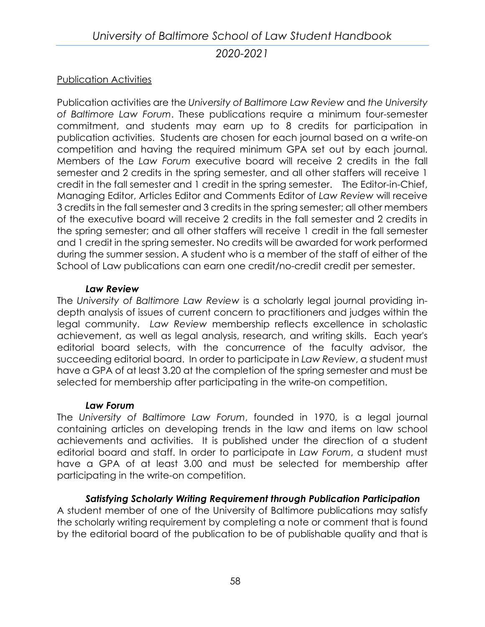#### Publication Activities

Publication activities are the *University of Baltimore Law Review* and *the University of Baltimore Law Forum*. These publications require a minimum four-semester commitment, and students may earn up to 8 credits for participation in publication activities. Students are chosen for each journal based on a write-on competition and having the required minimum GPA set out by each journal. Members of the *Law Forum* executive board will receive 2 credits in the fall semester and 2 credits in the spring semester, and all other staffers will receive 1 credit in the fall semester and 1 credit in the spring semester. The Editor-in-Chief, Managing Editor, Articles Editor and Comments Editor of *Law Review* will receive 3 credits in the fall semester and 3 credits in the spring semester; all other members of the executive board will receive 2 credits in the fall semester and 2 credits in the spring semester; and all other staffers will receive 1 credit in the fall semester and 1 credit in the spring semester. No credits will be awarded for work performed during the summer session. A student who is a member of the staff of either of the School of Law publications can earn one credit/no-credit credit per semester.

#### *Law Review*

The *University of Baltimore Law Review* is a scholarly legal journal providing indepth analysis of issues of current concern to practitioners and judges within the legal community. *Law Review* membership reflects excellence in scholastic achievement, as well as legal analysis, research, and writing skills. Each year's editorial board selects, with the concurrence of the faculty advisor, the succeeding editorial board. In order to participate in *Law Review*, a student must have a GPA of at least 3.20 at the completion of the spring semester and must be selected for membership after participating in the write-on competition.

#### *Law Forum*

The *University of Baltimore Law Forum*, founded in 1970, is a legal journal containing articles on developing trends in the law and items on law school achievements and activities. It is published under the direction of a student editorial board and staff. In order to participate in *Law Forum*, a student must have a GPA of at least 3.00 and must be selected for membership after participating in the write-on competition.

#### *Satisfying Scholarly Writing Requirement through Publication Participation*

A student member of one of the University of Baltimore publications may satisfy the scholarly writing requirement by completing a note or comment that is found by the editorial board of the publication to be of publishable quality and that is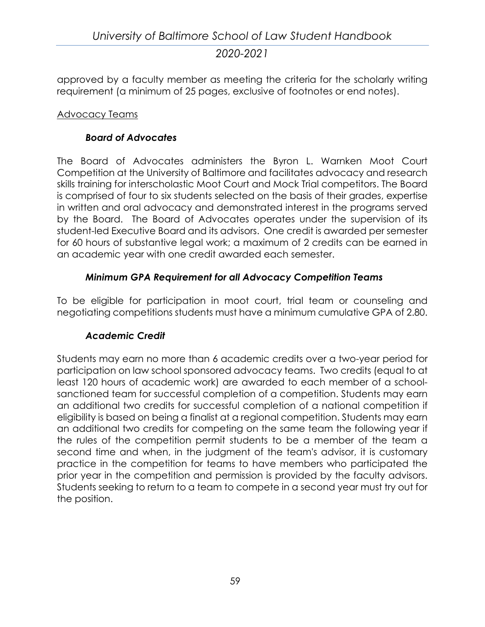approved by a faculty member as meeting the criteria for the scholarly writing requirement (a minimum of 25 pages, exclusive of footnotes or end notes).

#### Advocacy Teams

#### *Board of Advocates*

The Board of Advocates administers the Byron L. Warnken Moot Court Competition at the University of Baltimore and facilitates advocacy and research skills training for interscholastic Moot Court and Mock Trial competitors. The Board is comprised of four to six students selected on the basis of their grades, expertise in written and oral advocacy and demonstrated interest in the programs served by the Board. The Board of Advocates operates under the supervision of its student-led Executive Board and its advisors. One credit is awarded per semester for 60 hours of substantive legal work; a maximum of 2 credits can be earned in an academic year with one credit awarded each semester.

#### *Minimum GPA Requirement for all Advocacy Competition Teams*

To be eligible for participation in moot court, trial team or counseling and negotiating competitions students must have a minimum cumulative GPA of 2.80.

#### *Academic Credit*

Students may earn no more than 6 academic credits over a two-year period for participation on law school sponsored advocacy teams. Two credits (equal to at least 120 hours of academic work) are awarded to each member of a schoolsanctioned team for successful completion of a competition. Students may earn an additional two credits for successful completion of a national competition if eligibility is based on being a finalist at a regional competition. Students may earn an additional two credits for competing on the same team the following year if the rules of the competition permit students to be a member of the team a second time and when, in the judgment of the team's advisor, it is customary practice in the competition for teams to have members who participated the prior year in the competition and permission is provided by the faculty advisors. Students seeking to return to a team to compete in a second year must try out for the position.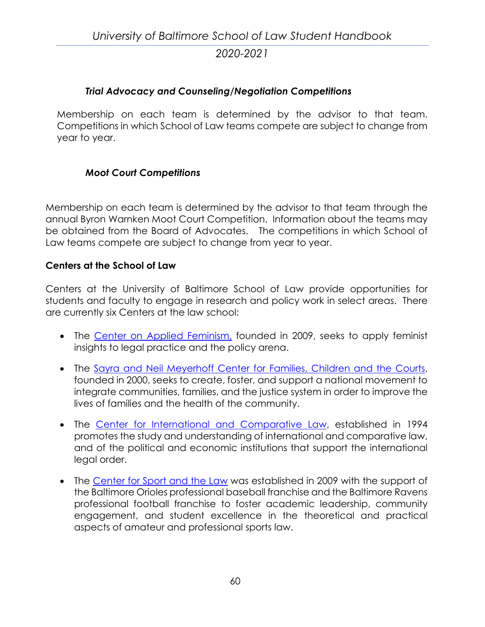#### *Trial Advocacy and Counseling/Negotiation Competitions*

Membership on each team is determined by the advisor to that team. Competitions in which School of Law teams compete are subject to change from year to year.

#### *Moot Court Competitions*

Membership on each team is determined by the advisor to that team through the annual Byron Warnken Moot Court Competition. Information about the teams may be obtained from the Board of Advocates. The competitions in which School of Law teams compete are subject to change from year to year.

#### **Centers at the School of Law**

Centers at the University of Baltimore School of Law provide opportunities for students and faculty to engage in research and policy work in select areas. There are currently six Centers at the law school:

- The [Center on Applied Feminism,](http://law.ubalt.edu/centers/caf/) founded in 2009, seeks to apply feminist insights to legal practice and the policy arena.
- The [Sayra and Neil Meyerhoff Center for Families, Children and the Courts,](http://law.ubalt.edu/centers/cfcc/index.cfm) founded in 2000, seeks to create, foster, and support a national movement to integrate communities, families, and the justice system in order to improve the lives of families and the health of the community.
- The [Center for International and Comparative Law,](http://law.ubalt.edu/centers/cicl/) established in 1994 promotes the study and understanding of international and comparative law, and of the political and economic institutions that support the international legal order.
- The [Center for Sport and the Law](http://law.ubalt.edu/centers/csl/) was established in 2009 with the support of the Baltimore Orioles professional baseball franchise and the Baltimore Ravens professional football franchise to foster academic leadership, community engagement, and student excellence in the theoretical and practical aspects of amateur and professional sports law.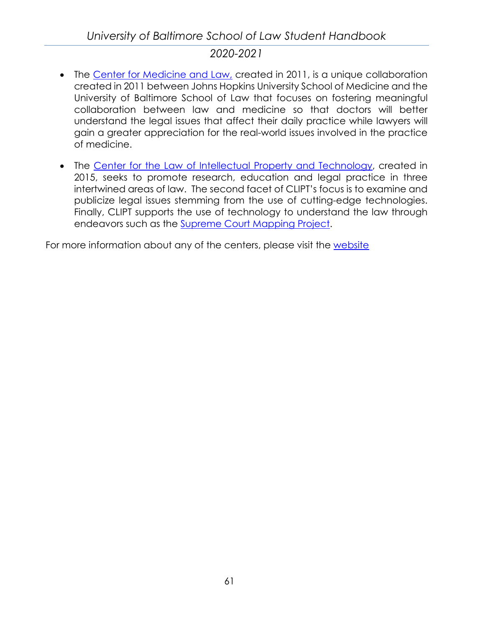# *University of Baltimore School of Law Student Handbook*

## *2020-2021*

- The [Center for Medicine and Law,](http://law.ubalt.edu/centers/cml/) created in 2011, is a unique collaboration created in 2011 between Johns Hopkins University School of Medicine and the University of Baltimore School of Law that focuses on fostering meaningful collaboration between law and medicine so that doctors will better understand the legal issues that affect their daily practice while lawyers will gain a greater appreciation for the real-world issues involved in the practice of medicine.
- The [Center for the Law of Intellectual Property and Technology,](http://law.ubalt.edu/centers/clipt/index.cfm) created in 2015, seeks to promote research, education and legal practice in three intertwined areas of law. The second facet of CLIPT's focus is to examine and publicize legal issues stemming from the use of cutting-edge technologies. Finally, CLIPT supports the use of technology to understand the law through endeavors such as the [Supreme Court Mapping Project.](http://law.ubalt.edu/faculty/scotus-mapping/index.cfm)

For more information about any of the centers, please visit the [website](http://law.ubalt.edu/centers)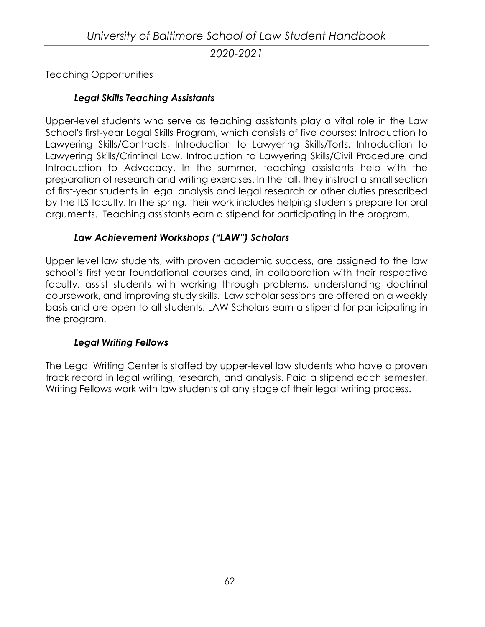#### Teaching Opportunities

## *Legal Skills Teaching Assistants*

Upper-level students who serve as teaching assistants play a vital role in the Law School's first-year Legal Skills Program, which consists of five courses: Introduction to Lawyering Skills/Contracts, Introduction to Lawyering Skills/Torts, Introduction to Lawyering Skills/Criminal Law, Introduction to Lawyering Skills/Civil Procedure and Introduction to Advocacy. In the summer, teaching assistants help with the preparation of research and writing exercises. In the fall, they instruct a small section of first-year students in legal analysis and legal research or other duties prescribed by the ILS faculty. In the spring, their work includes helping students prepare for oral arguments. Teaching assistants earn a stipend for participating in the program.

## *Law Achievement Workshops ("LAW") Scholars*

Upper level law students, with proven academic success, are assigned to the law school's first year foundational courses and, in collaboration with their respective faculty, assist students with working through problems, understanding doctrinal coursework, and improving study skills. Law scholar sessions are offered on a weekly basis and are open to all students. LAW Scholars earn a stipend for participating in the program.

#### *Legal Writing Fellows*

The Legal Writing Center is staffed by upper-level law students who have a proven track record in legal writing, research, and analysis. Paid a stipend each semester, Writing Fellows work with law students at any stage of their legal writing process.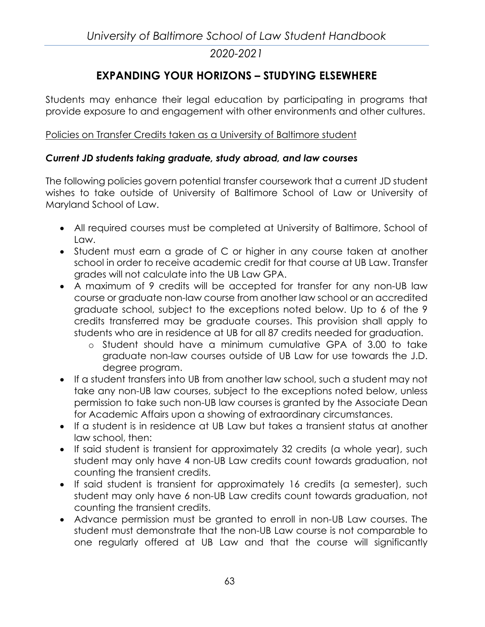# **EXPANDING YOUR HORIZONS – STUDYING ELSEWHERE**

Students may enhance their legal education by participating in programs that provide exposure to and engagement with other environments and other cultures.

#### Policies on Transfer Credits taken as a University of Baltimore student

#### *Current JD students taking graduate, study abroad, and law courses*

The following policies govern potential transfer coursework that a current JD student wishes to take outside of University of Baltimore School of Law or University of Maryland School of Law.

- All required courses must be completed at University of Baltimore, School of Law.
- Student must earn a grade of C or higher in any course taken at another school in order to receive academic credit for that course at UB Law. Transfer grades will not calculate into the UB Law GPA.
- A maximum of 9 credits will be accepted for transfer for any non-UB law course or graduate non-law course from another law school or an accredited graduate school, subject to the exceptions noted below. Up to 6 of the 9 credits transferred may be graduate courses. This provision shall apply to students who are in residence at UB for all 87 credits needed for graduation.
	- o Student should have a minimum cumulative GPA of 3.00 to take graduate non-law courses outside of UB Law for use towards the J.D. degree program.
- If a student transfers into UB from another law school, such a student may not take any non-UB law courses, subject to the exceptions noted below, unless permission to take such non-UB law courses is granted by the Associate Dean for Academic Affairs upon a showing of extraordinary circumstances.
- If a student is in residence at UB Law but takes a transient status at another law school, then:
- If said student is transient for approximately 32 credits (a whole year), such student may only have 4 non-UB Law credits count towards graduation, not counting the transient credits.
- If said student is transient for approximately 16 credits (a semester), such student may only have 6 non-UB Law credits count towards graduation, not counting the transient credits.
- Advance permission must be granted to enroll in non-UB Law courses. The student must demonstrate that the non-UB Law course is not comparable to one regularly offered at UB Law and that the course will significantly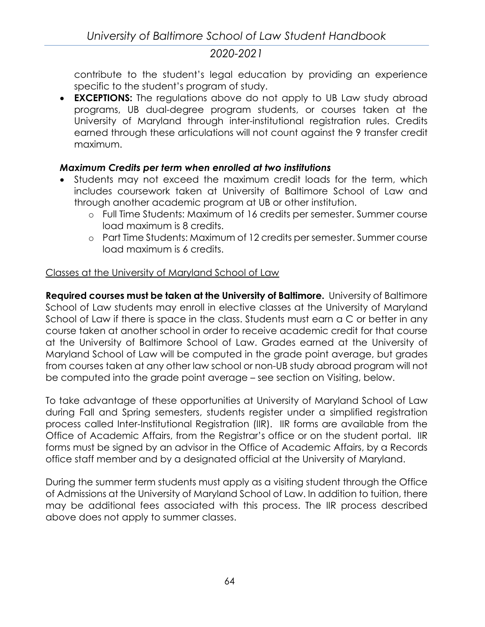contribute to the student's legal education by providing an experience specific to the student's program of study.

• **EXCEPTIONS:** The regulations above do not apply to UB Law study abroad programs, UB dual-degree program students, or courses taken at the University of Maryland through inter-institutional registration rules. Credits earned through these articulations will not count against the 9 transfer credit maximum.

#### *Maximum Credits per term when enrolled at two institutions*

- Students may not exceed the maximum credit loads for the term, which includes coursework taken at University of Baltimore School of Law and through another academic program at UB or other institution.
	- o Full Time Students: Maximum of 16 credits per semester. Summer course load maximum is 8 credits.
	- o Part Time Students: Maximum of 12 credits per semester. Summer course load maximum is 6 credits.

## Classes at the University of Maryland School of Law

**Required courses must be taken at the University of Baltimore.** University of Baltimore School of Law students may enroll in elective classes at the University of Maryland School of Law if there is space in the class. Students must earn a C or better in any course taken at another school in order to receive academic credit for that course at the University of Baltimore School of Law. Grades earned at the University of Maryland School of Law will be computed in the grade point average, but grades from courses taken at any other law school or non-UB study abroad program will not be computed into the grade point average – see section on Visiting, below.

To take advantage of these opportunities at University of Maryland School of Law during Fall and Spring semesters, students register under a simplified registration process called Inter-Institutional Registration (IIR). IIR forms are available from the Office of Academic Affairs, from the Registrar's office or on the student portal. IIR forms must be signed by an advisor in the Office of Academic Affairs, by a Records office staff member and by a designated official at the University of Maryland.

During the summer term students must apply as a visiting student through the Office of Admissions at the University of Maryland School of Law. In addition to tuition, there may be additional fees associated with this process. The IIR process described above does not apply to summer classes.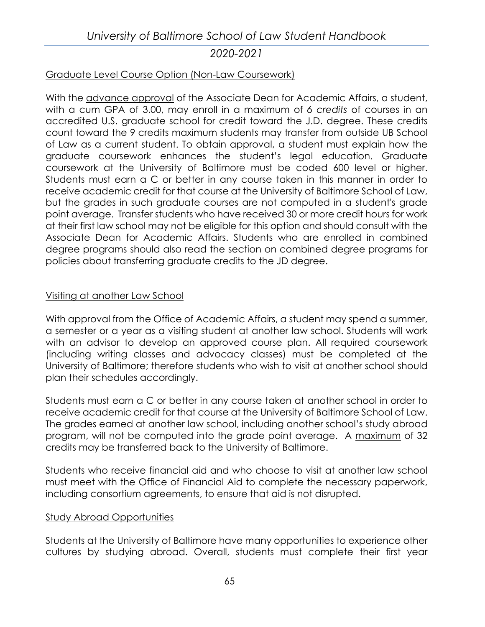#### Graduate Level Course Option (Non-Law Coursework)

With the advance approval of the Associate Dean for Academic Affairs, a student, with a cum GPA of 3.00, may enroll in a maximum of *6 credits* of courses in an accredited U.S. graduate school for credit toward the J.D. degree. These credits count toward the 9 credits maximum students may transfer from outside UB School of Law as a current student. To obtain approval, a student must explain how the graduate coursework enhances the student's legal education. Graduate coursework at the University of Baltimore must be coded 600 level or higher. Students must earn a C or better in any course taken in this manner in order to receive academic credit for that course at the University of Baltimore School of Law, but the grades in such graduate courses are not computed in a student's grade point average. Transfer students who have received 30 or more credit hours for work at their first law school may not be eligible for this option and should consult with the Associate Dean for Academic Affairs. Students who are enrolled in combined degree programs should also read the section on combined degree programs for policies about transferring graduate credits to the JD degree.

#### Visiting at another Law School

With approval from the Office of Academic Affairs, a student may spend a summer, a semester or a year as a visiting student at another law school. Students will work with an advisor to develop an approved course plan. All required coursework (including writing classes and advocacy classes) must be completed at the University of Baltimore; therefore students who wish to visit at another school should plan their schedules accordingly.

Students must earn a C or better in any course taken at another school in order to receive academic credit for that course at the University of Baltimore School of Law. The grades earned at another law school, including another school's study abroad program, will not be computed into the grade point average. A maximum of 32 credits may be transferred back to the University of Baltimore.

Students who receive financial aid and who choose to visit at another law school must meet with the Office of Financial Aid to complete the necessary paperwork, including consortium agreements, to ensure that aid is not disrupted.

#### Study Abroad Opportunities

Students at the University of Baltimore have many opportunities to experience other cultures by studying abroad. Overall, students must complete their first year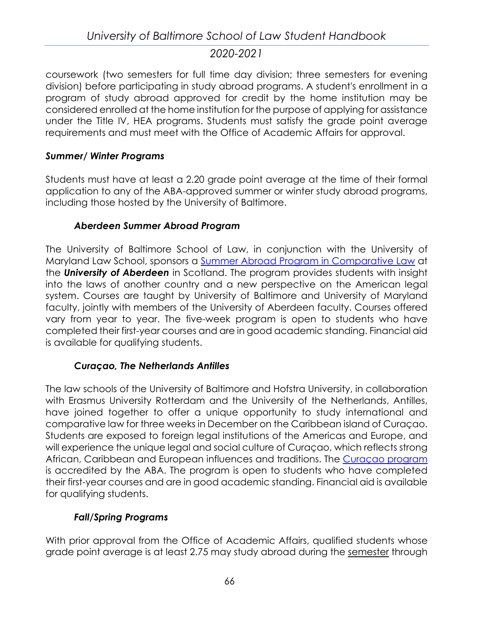coursework (two semesters for full time day division; three semesters for evening division) before participating in study abroad programs. A student's enrollment in a program of study abroad approved for credit by the home institution may be considered enrolled at the home institution for the purpose of applying for assistance under the Title IV, HEA programs. Students must satisfy the grade point average requirements and must meet with the Office of Academic Affairs for approval.

#### *Summer/ Winter Programs*

Students must have at least a 2.20 grade point average at the time of their formal application to any of the ABA-approved summer or winter study abroad programs, including those hosted by the University of Baltimore.

#### *Aberdeen Summer Abroad Program*

The University of Baltimore School of Law, in conjunction with the [University of](http://www.law.umaryland.edu/)  [Maryland Law School,](http://www.law.umaryland.edu/) sponsors a [Summer Abroad Program in Comparative Law](http://www.law.ubalt.edu/academics/experiential/studyabroad/aberdeen/) at the *[University of Aberdeen](http://www.abdn.ac.uk/law/)* in Scotland. The program provides students with insight into the laws of another country and a new perspective on the American legal system. Courses are taught by University of Baltimore and University of Maryland faculty, jointly with members of the University of Aberdeen faculty. Courses offered vary from year to year. The five-week program is open to students who have completed their first-year courses and are in good academic standing. Financial aid is available for qualifying students.

#### *Curaçao, The Netherlands Antilles*

The law schools of the University of Baltimore and [Hofstra University,](http://www.hofstra.edu/Academics/Law/index_Law.cfm) in collaboration with [Erasmus University Rotterdam](http://www.frg.eur.nl/english/) and the [University of the Netherlands, Antilles,](http://www.una.net/) have joined together to offer a unique opportunity to study international and comparative law for three weeks in December on the Caribbean island of Curaçao. Students are exposed to foreign legal institutions of the Americas and Europe, and will experience the unique legal and social culture of Curaçao, which reflects strong African, Caribbean and European influences and traditions. The [Curaçao program](http://www.law.ubalt.edu/academics/experiential/studyabroad/curacao/index.cfm) is accredited by the ABA. The program is open to students who have completed their first-year courses and are in good academic standing. Financial aid is available for qualifying students.

## *Fall/Spring Programs*

With prior approval from the Office of Academic Affairs, qualified students whose grade point average is at least 2.75 may study abroad during the semester through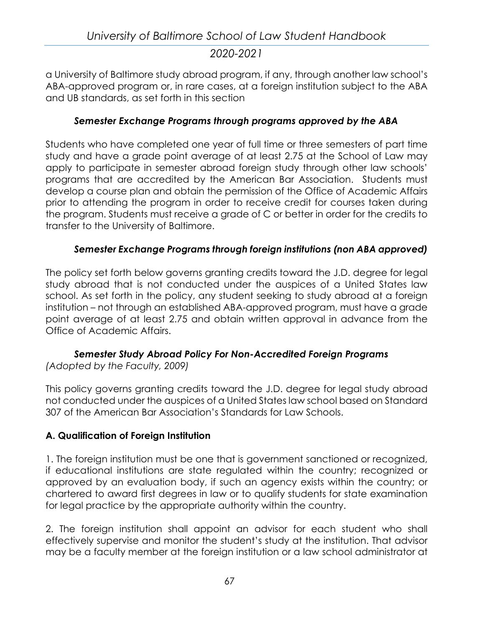a University of Baltimore study abroad program, if any, through another law school's ABA-approved program or, in rare cases, at a foreign institution subject to the ABA and UB standards, as set forth in this section

#### *Semester Exchange Programs through programs approved by the ABA*

Students who have completed one year of full time or three semesters of part time study and have a grade point average of at least 2.75 at the School of Law may apply to participate in semester abroad foreign study through other law schools' programs that are accredited by the American Bar Association. Students must develop a course plan and obtain the permission of the Office of Academic Affairs prior to attending the program in order to receive credit for courses taken during the program. Students must receive a grade of C or better in order for the credits to transfer to the University of Baltimore.

#### *Semester Exchange Programs through foreign institutions (non ABA approved)*

The policy set forth below governs granting credits toward the J.D. degree for legal study abroad that is not conducted under the auspices of a United States law school. As set forth in the policy, any student seeking to study abroad at a foreign institution – not through an established ABA-approved program, must have a grade point average of at least 2.75 and obtain written approval in advance from the Office of Academic Affairs.

#### *Semester Study Abroad Policy For Non-Accredited Foreign Programs (Adopted by the Faculty, 2009)*

This policy governs granting credits toward the J.D. degree for legal study abroad not conducted under the auspices of a United States law school based on Standard 307 of the American Bar Association's Standards for Law Schools.

#### **A. Qualification of Foreign Institution**

1. The foreign institution must be one that is government sanctioned or recognized, if educational institutions are state regulated within the country; recognized or approved by an evaluation body, if such an agency exists within the country; or chartered to award first degrees in law or to qualify students for state examination for legal practice by the appropriate authority within the country.

2. The foreign institution shall appoint an advisor for each student who shall effectively supervise and monitor the student's study at the institution. That advisor may be a faculty member at the foreign institution or a law school administrator at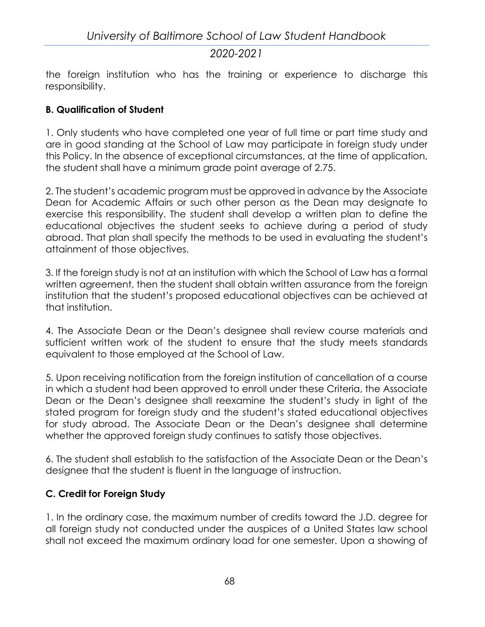the foreign institution who has the training or experience to discharge this responsibility.

### **B. Qualification of Student**

1. Only students who have completed one year of full time or part time study and are in good standing at the School of Law may participate in foreign study under this Policy. In the absence of exceptional circumstances, at the time of application, the student shall have a minimum grade point average of 2.75.

2. The student's academic program must be approved in advance by the Associate Dean for Academic Affairs or such other person as the Dean may designate to exercise this responsibility. The student shall develop a written plan to define the educational objectives the student seeks to achieve during a period of study abroad. That plan shall specify the methods to be used in evaluating the student's attainment of those objectives.

3. If the foreign study is not at an institution with which the School of Law has a formal written agreement, then the student shall obtain written assurance from the foreign institution that the student's proposed educational objectives can be achieved at that institution.

4. The Associate Dean or the Dean's designee shall review course materials and sufficient written work of the student to ensure that the study meets standards equivalent to those employed at the School of Law.

5. Upon receiving notification from the foreign institution of cancellation of a course in which a student had been approved to enroll under these Criteria, the Associate Dean or the Dean's designee shall reexamine the student's study in light of the stated program for foreign study and the student's stated educational objectives for study abroad. The Associate Dean or the Dean's designee shall determine whether the approved foreign study continues to satisfy those objectives.

6. The student shall establish to the satisfaction of the Associate Dean or the Dean's designee that the student is fluent in the language of instruction.

## **C. Credit for Foreign Study**

1. In the ordinary case, the maximum number of credits toward the J.D. degree for all foreign study not conducted under the auspices of a United States law school shall not exceed the maximum ordinary load for one semester. Upon a showing of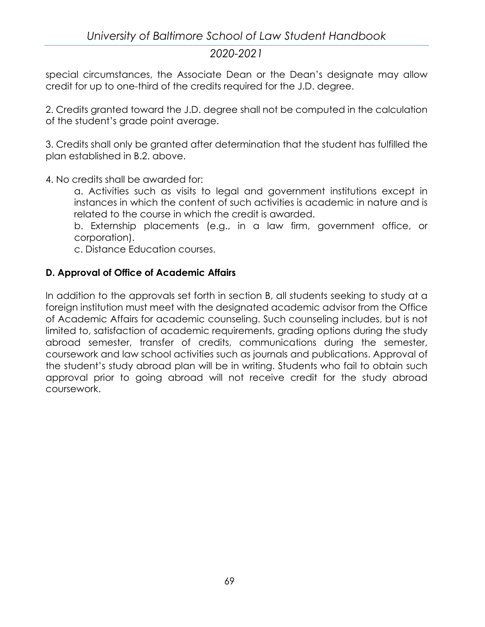special circumstances, the Associate Dean or the Dean's designate may allow credit for up to one-third of the credits required for the J.D. degree.

2. Credits granted toward the J.D. degree shall not be computed in the calculation of the student's grade point average.

3. Credits shall only be granted after determination that the student has fulfilled the plan established in B.2. above.

4. No credits shall be awarded for:

a. Activities such as visits to legal and government institutions except in instances in which the content of such activities is academic in nature and is related to the course in which the credit is awarded.

b. Externship placements (e.g., in a law firm, government office, or corporation).

c. Distance Education courses.

### **D. Approval of Office of Academic Affairs**

In addition to the approvals set forth in section B, all students seeking to study at a foreign institution must meet with the designated academic advisor from the Office of Academic Affairs for academic counseling. Such counseling includes, but is not limited to, satisfaction of academic requirements, grading options during the study abroad semester, transfer of credits, communications during the semester, coursework and law school activities such as journals and publications. Approval of the student's study abroad plan will be in writing. Students who fail to obtain such approval prior to going abroad will not receive credit for the study abroad coursework.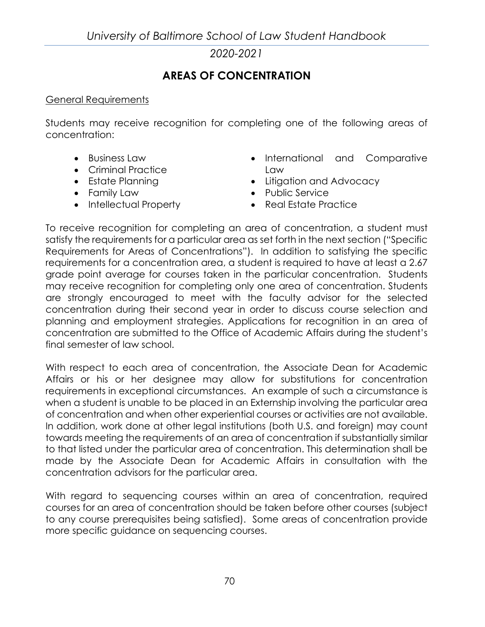*University of Baltimore School of Law Student Handbook*

*2020-2021*

# **AREAS OF CONCENTRATION**

#### General Requirements

Students may receive recognition for completing one of the following areas of concentration:

- Business Law
- Criminal Practice
- Estate Planning
- Family Law
- Intellectual Property
- International and Comparative Law
- Litigation and Advocacy
- Public Service
- Real Estate Practice

To receive recognition for completing an area of concentration, a student must satisfy the requirements for a particular area as set forth in the next section ("Specific Requirements for Areas of Concentrations"). In addition to satisfying the specific requirements for a concentration area, a student is required to have at least a 2.67 grade point average for courses taken in the particular concentration. Students may receive recognition for completing only one area of concentration. Students are strongly encouraged to meet with the faculty advisor for the selected concentration during their second year in order to discuss course selection and planning and employment strategies. Applications for recognition in an area of concentration are submitted to the Office of Academic Affairs during the student's final semester of law school.

With respect to each area of concentration, the Associate Dean for Academic Affairs or his or her designee may allow for substitutions for concentration requirements in exceptional circumstances. An example of such a circumstance is when a student is unable to be placed in an Externship involving the particular area of concentration and when other experiential courses or activities are not available. In addition, work done at other legal institutions (both U.S. and foreign) may count towards meeting the requirements of an area of concentration if substantially similar to that listed under the particular area of concentration. This determination shall be made by the Associate Dean for Academic Affairs in consultation with the concentration advisors for the particular area.

With regard to sequencing courses within an area of concentration, required courses for an area of concentration should be taken before other courses (subject to any course prerequisites being satisfied). Some areas of concentration provide more specific guidance on sequencing courses.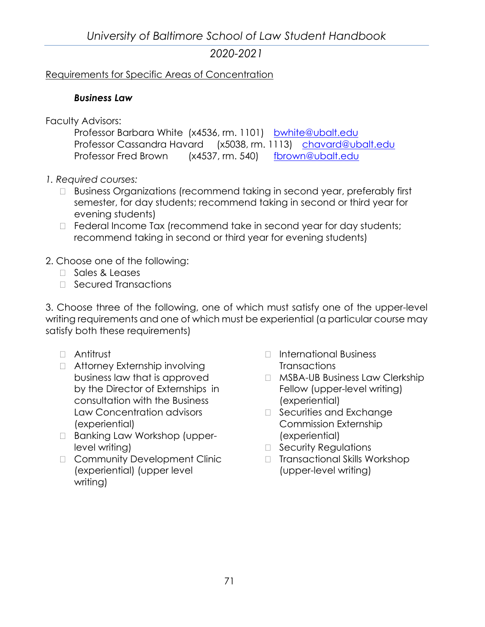#### Requirements for Specific Areas of Concentration

#### *Business Law*

Faculty Advisors:

| Professor Barbara White (x4536, rm. 1101) bwhite@ubalt.edu     |  |  |
|----------------------------------------------------------------|--|--|
| Professor Cassandra Havard (x5038, rm. 1113) chavard@ubalt.edu |  |  |
| Professor Fred Brown (x4537, rm. 540) fbrown@ubalt.edu         |  |  |

- *1. Required courses:*
	- □ Business Organizations (recommend taking in second year, preferably first semester, for day students; recommend taking in second or third year for evening students)
	- $\Box$  Federal Income Tax (recommend take in second year for day students; recommend taking in second or third year for evening students)

## 2. Choose one of the following:

- □ Sales & Leases
- □ Secured Transactions

3. Choose three of the following, one of which must satisfy one of the upper-level writing requirements and one of which must be experiential (a particular course may satisfy both these requirements)

- Antitrust
- □ Attorney Externship involving business law that is approved by the Director of Externships in consultation with the Business Law Concentration advisors (experiential)
- □ Banking Law Workshop (upperlevel writing)
- □ Community Development Clinic (experiential) (upper level writing)
- □ International Business **Transactions**
- □ MSBA-UB Business Law Clerkship Fellow (upper-level writing) (experiential)
- $\Box$  Securities and Exchange Commission Externship (experiential)
- □ Security Regulations
- □ Transactional Skills Workshop (upper-level writing)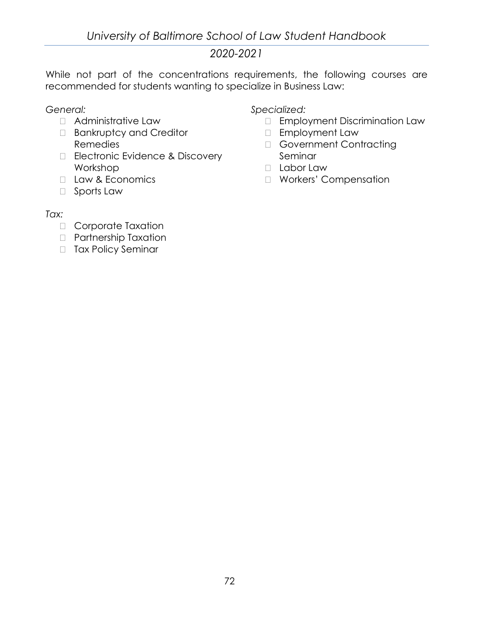While not part of the concentrations requirements, the following courses are recommended for students wanting to specialize in Business Law:

*General:*

- Administrative Law
- Bankruptcy and Creditor Remedies
- Electronic Evidence & Discovery Workshop
- **Law & Economics**
- □ Sports Law

*Specialized:*

- Employment Discrimination Law
- Employment Law
- Government Contracting Seminar
- Labor Law
- Workers' Compensation

#### *Tax:*

- Corporate Taxation
- Partnership Taxation
- □ Tax Policy Seminar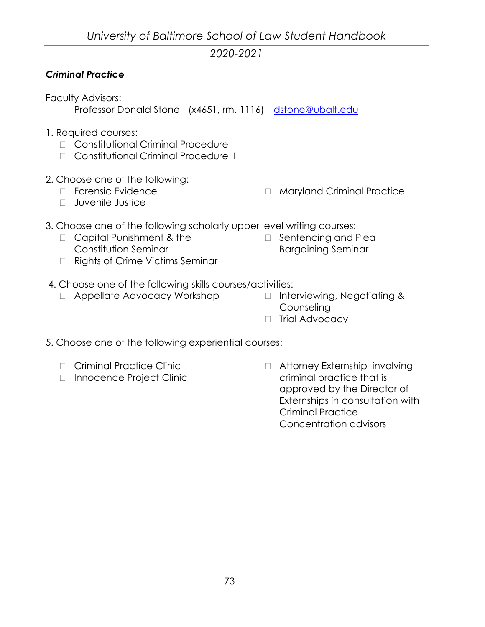# *Criminal Practice*

Faculty Advisors:

Professor Donald Stone (x4651, rm. 1116) [dstone@ubalt.edu](mailto:dstone@ubalt.edu?subject=Criminal%20Practice%20Concentration)

- 1. Required courses:
	- □ Constitutional Criminal Procedure I
	- □ Constitutional Criminal Procedure II
- 2. Choose one of the following:
	- D Forensic Evidence
	- $\Box$  Juvenile Justice
- □ Maryland Criminal Practice
- 3. Choose one of the following scholarly upper level writing courses:
	- □ Capital Punishment & the Constitution Seminar □ Rights of Crime Victims Seminar
- $\Box$  Sentencing and Plea Bargaining Seminar
- 
- 4. Choose one of the following skills courses/activities:
	- □ Appellate Advocacy Workshop □ Interviewing, Negotiating & **Counseling** 
		- □ Trial Advocacy
- 5. Choose one of the following experiential courses:
	- D Criminal Practice Clinic
	- □ Innocence Project Clinic

□ Attorney Externship involving criminal practice that is approved by the Director of Externships in consultation with Criminal Practice Concentration advisors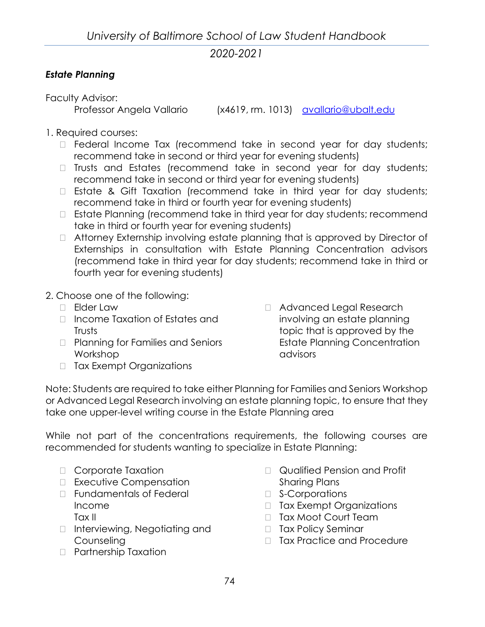# *Estate Planning*

Faculty Advisor:

Professor Angela Vallario (x4619, rm. 1013) [avallario@ubalt.edu](mailto:avallario@ubalt.edu)

- 1. Required courses:
	- $\Box$  Federal Income Tax (recommend take in second year for day students; recommend take in second or third year for evening students)
	- $\Box$  Trusts and Estates (recommend take in second year for day students; recommend take in second or third year for evening students)
	- $\Box$  Estate & Gift Taxation (recommend take in third year for day students; recommend take in third or fourth year for evening students)
	- $\Box$  Estate Planning (recommend take in third year for day students; recommend take in third or fourth year for evening students)
	- Attorney Externship involving estate planning that is approved by Director of Externships in consultation with Estate Planning Concentration advisors (recommend take in third year for day students; recommend take in third or fourth year for evening students)
- 2. Choose one of the following:
	- Elder Law
	- □ Income Taxation of Estates and **Trusts**
	- □ Planning for Families and Seniors Workshop
	- □ Tax Exempt Organizations

□ Advanced Legal Research involving an estate planning topic that is approved by the Estate Planning Concentration advisors

Note: Students are required to take either Planning for Families and Seniors Workshop or Advanced Legal Research involving an estate planning topic, to ensure that they take one upper-level writing course in the Estate Planning area

While not part of the concentrations requirements, the following courses are recommended for students wanting to specialize in Estate Planning:

- Corporate Taxation
- □ Executive Compensation
- Fundamentals of Federal Income Tax II
- □ Interviewing, Negotiating and Counseling
- Partnership Taxation
- Qualified Pension and Profit Sharing Plans
- □ S-Corporations
- □ Tax Exempt Organizations
- □ Tax Moot Court Team
- □ Tax Policy Seminar
- □ Tax Practice and Procedure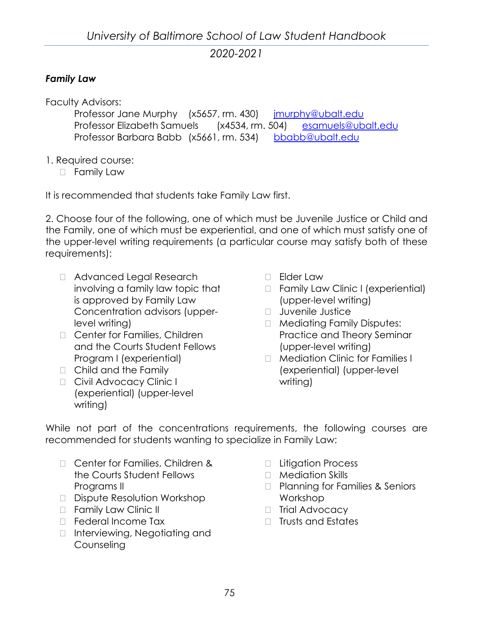#### *Family Law*

Faculty Advisors:

Professor Jane Murphy (x5657, rm. 430) imurphy@ubalt.edu Professor Elizabeth Samuels (x4534, rm. 504) [esamuels@ubalt.edu](mailto:esamuels@ubalt.edu?subject=Family%20Law%20Concentration) Professor Barbara Babb (x5661, rm. 534) [bbabb@ubalt.edu](mailto:bbabb@ubalt.edu?subject=Family%20Law%20Concentration)

- 1. Required course:
	- **D** Family Law

It is recommended that students take Family Law first.

2. Choose four of the following, one of which must be Juvenile Justice or Child and the Family, one of which must be experiential, and one of which must satisfy one of the upper-level writing requirements (a particular course may satisfy both of these requirements):

- □ Advanced Legal Research involving a family law topic that is approved by Family Law Concentration advisors (upperlevel writing)
- □ Center for Families, Children and the Courts Student Fellows Program I (experiential)
- □ Child and the Family
- D Civil Advocacy Clinic I (experiential) (upper-level writing)
- D Elder Law
- □ Family Law Clinic I (experiential) (upper-level writing)
- **D** Juvenile Justice
- □ Mediating Family Disputes: Practice and Theory Seminar (upper-level writing)
- □ Mediation Clinic for Families I (experiential) (upper-level writing)

While not part of the concentrations requirements, the following courses are recommended for students wanting to specialize in Family Law:

- □ Center for Families, Children & the Courts Student Fellows Programs II
- Dispute Resolution Workshop
- **Examily Law Clinic II**
- D Federal Income Tax
- □ Interviewing, Negotiating and Counseling
- □ Litigation Process
- □ Mediation Skills
- □ Planning for Families & Seniors Workshop
- □ Trial Advocacy
- $\Box$  Trusts and Estates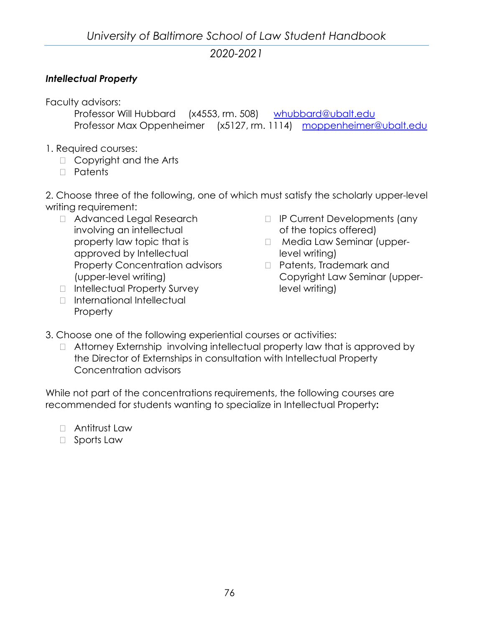### *Intellectual Property*

Faculty advisors:

Professor Will Hubbard (x4553, rm. 508) [whubbard@ubalt.edu](mailto:whubbard@ubalt.edu?subject=IP%20Concentration) Professor Max Oppenheimer (x5127, rm. 1114) [moppenheimer@ubalt.edu](mailto:moppenheimer@ubalt.edu?subject=IP%20Concentration)

- 1. Required courses:
	- □ Copyright and the Arts
	- Patents

2. Choose three of the following, one of which must satisfy the scholarly upper-level writing requirement:

- □ Advanced Legal Research involving an intellectual property law topic that is approved by Intellectual Property Concentration advisors (upper-level writing)
- □ Intellectual Property Survey
- □ International Intellectual Property
- IP Current Developments (any of the topics offered)
- □ Media Law Seminar (upperlevel writing)
- Patents, Trademark and Copyright Law Seminar (upperlevel writing)
- 3. Choose one of the following experiential courses or activities:
	- □ Attorney Externship involving intellectual property law that is approved by the Director of Externships in consultation with Intellectual Property Concentration advisors

While not part of the concentrations requirements, the following courses are recommended for students wanting to specialize in Intellectual Property**:**

- □ Antitrust Law
- □ Sports Law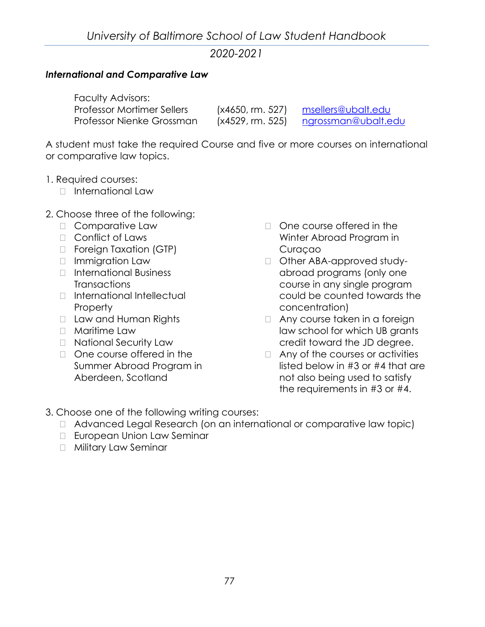#### *International and Comparative Law*

| <b>Faculty Advisors:</b>          |                  |                             |
|-----------------------------------|------------------|-----------------------------|
| <b>Professor Mortimer Sellers</b> | (x4650, rm. 527) | msellers@ubalt.edu          |
| Professor Nienke Grossman         | (x4529, rm. 525) | <u>ngrossman@uba</u> lt.edu |

A student must take the required Course and five or more courses on international or comparative law topics.

- 1. Required courses:
	- $\Box$  International Law
- 2. Choose three of the following:
	- □ Comparative Law
	- □ [Conflict of Laws](http://law.ubalt.edu/template.cfm?page=82)
	- □ Foreign Taxation (GTP)
	- □ Immigration Law
	- □ International Business **Transactions**
	- International Intellectual Property
	- D Law and Human Rights
	- Maritime Law
	- □ National Security Law
	- $\Box$  One course offered in the [Summer Abroad Program in](http://law.ubalt.edu/template.cfm?page=96)  [Aberdeen, Scotland](http://law.ubalt.edu/template.cfm?page=96)
- $\Box$  One course offered in the Winter Abroad Program in Curaçao
- □ Other ABA-approved studyabroad programs (only one course in any single program could be counted towards the concentration)
- □ Any course taken in a foreign law school for which UB grants credit toward the JD degree.
- $\Box$  Any of the courses or activities listed below in #3 or #4 that are not also being used to satisfy the requirements in #3 or #4.
- 3. Choose one of the following writing courses:
	- □ Advanced Legal Research (on an international or comparative law topic)
	- □ European Union Law Seminar
	- □ Military Law Seminar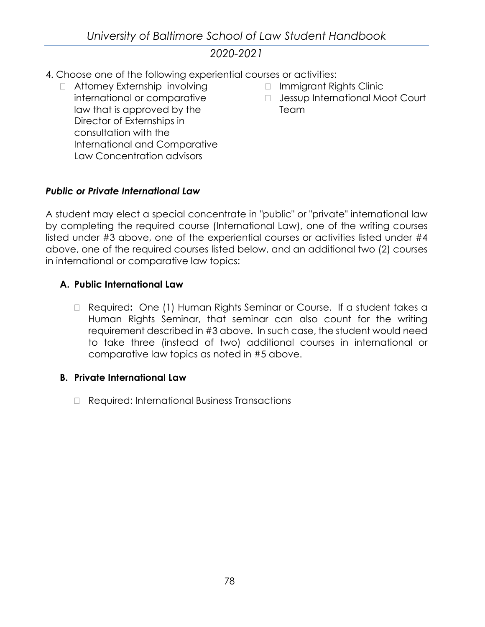*University of Baltimore School of Law Student Handbook*

# *2020-2021*

- 4. Choose one of the following experiential courses or activities:
	- □ Attorney Externship involving international or comparative law that is approved by the Director of Externships in consultation with the International and Comparative Law Concentration advisors
- Immigrant Rights Clinic
- □ Jessup International Moot Court Team

#### *Public or Private International Law*

A student may elect a special concentrate in "public" or "private" international law by completing the required course (International Law), one of the writing courses listed under #3 above, one of the experiential courses or activities listed under #4 above, one of the required courses listed below, and an additional two (2) courses in international or comparative law topics:

#### **A. Public International Law**

 Required**:** One (1) Human Rights Seminar or Course. If a student takes a Human Rights Seminar, that seminar can also count for the writing requirement described in #3 above. In such case, the student would need to take three (instead of two) additional courses in international or comparative law topics as noted in #5 above.

#### **B. Private International Law**

□ Required: International Business Transactions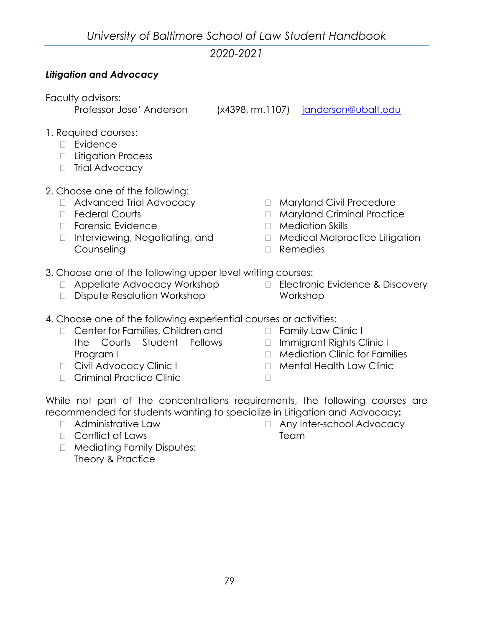### *Litigation and Advocacy*

Faculty advisors:

Professor Jose' Anderson (x4398, rm.1107) [janderson@ubalt.edu](mailto:janderson@ubalt.edu?subject=Litigation%20and%20Advocacy%20Concentration)

- 1. Required courses:
	- D Evidence
	- □ Litigation Process
	- □ Trial Advocacy
- 2. Choose one of the following:
	- □ Advanced Trial Advocacy
	- □ Federal Courts
	- □ Forensic Evidence
	- □ Interviewing, Negotiating, and Counseling
- **Maryland Civil Procedure**
- Maryland Criminal Practice
- Mediation Skills
- □ Medical Malpractice Litigation
- Remedies
- 3. Choose one of the following upper level writing courses:
	- Appellate Advocacy Workshop
	- Dispute Resolution Workshop
- Electronic Evidence & Discovery Workshop
- 4. Choose one of the following experiential courses or activities:
	- □ Center for Families, Children and the Courts Student Fellows Program I
	- D Civil Advocacy Clinic I
	- n Criminal Practice Clinic
- 
- □ Family Law Clinic I
- Immigrant Rights Clinic I
- $\Box$  Mediation Clinic for Families
- D Mental Health Law Clinic
- $\Box$

While not part of the concentrations requirements, the following courses are recommended for students wanting to specialize in Litigation and Advocacy**:**

- $\Box$  Administrative Law
- Conflict of Laws
- □ Any Inter-school Advocacy Team
- □ Mediating Family Disputes: Theory & Practice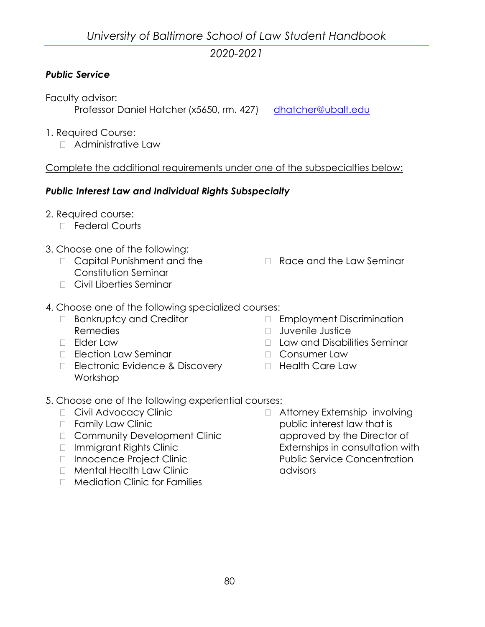### *Public Service*

Faculty advisor: Professor Daniel Hatcher (x5650, rm. 427) [dhatcher@ubalt.edu](mailto:dhatcher@ubalt.edu)

- 1. Required Course:
	- Administrative Law

Complete the additional requirements under one of the subspecialties below:

### *Public Interest Law and Individual Rights Subspecialty*

- 2. Required course:
	- □ Federal Courts
- 3. Choose one of the following:
	- □ Capital Punishment and the Constitution Seminar
	- Civil Liberties Seminar
- 4. Choose one of the following specialized courses:
	- □ Bankruptcy and Creditor Remedies
	- Elder Law
	- □ Election Law Seminar
	- □ Electronic Evidence & Discovery Workshop
- **Race and the Law Seminar** 
	- Employment Discrimination
	- **D** Juvenile Justice
	- □ Law and Disabilities Seminar
	- Consumer Law
	- **Example Health Care Law**
- 5. Choose one of the following experiential courses:
	- D Civil Advocacy Clinic
	- □ Family Law Clinic
	- □ Community Development Clinic
	- Immigrant Rights Clinic
	- □ Innocence Project Clinic
	- □ Mental Health Law Clinic
	- □ Mediation Clinic for Families
- □ Attorney Externship involving public interest law that is approved by the Director of Externships in consultation with Public Service Concentration advisors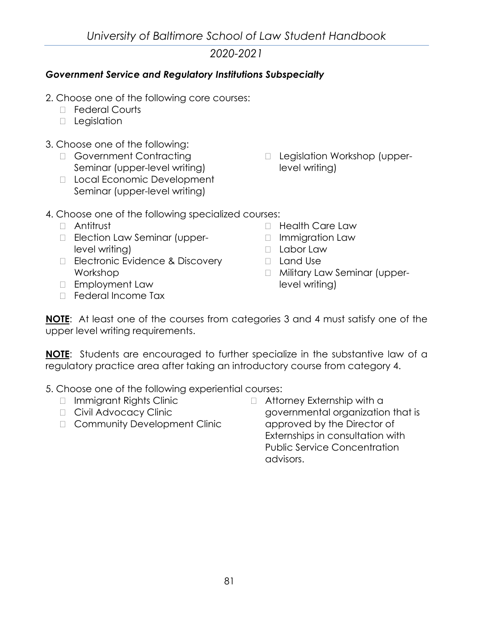### *Government Service and Regulatory Institutions Subspecialty*

- 2. Choose one of the following core courses:
	- D Federal Courts
	- D Legislation
- 3. Choose one of the following:
	- □ Government Contracting Seminar (upper-level writing)
	- D Local Economic Development Seminar (upper-level writing)
- □ Legislation Workshop (upperlevel writing)
- 4. Choose one of the following specialized courses:
	- Antitrust
	- **Election Law Seminar (upper**level writing)
	- □ Electronic Evidence & Discovery Workshop
	- Employment Law
	- D Federal Income Tax
- □ Health Care Law
- □ Immigration Law
- Labor Law
- Land Use
- Military Law Seminar (upperlevel writing)

**NOTE**: At least one of the courses from categories 3 and 4 must satisfy one of the upper level writing requirements.

**NOTE**: Students are encouraged to further specialize in the substantive law of a regulatory practice area after taking an introductory course from category 4.

5. Choose one of the following experiential courses:

- Immigrant Rights Clinic
- D Civil Advocacy Clinic
- □ Community Development Clinic
- □ Attorney Externship with a governmental organization that is approved by the Director of Externships in consultation with Public Service Concentration advisors.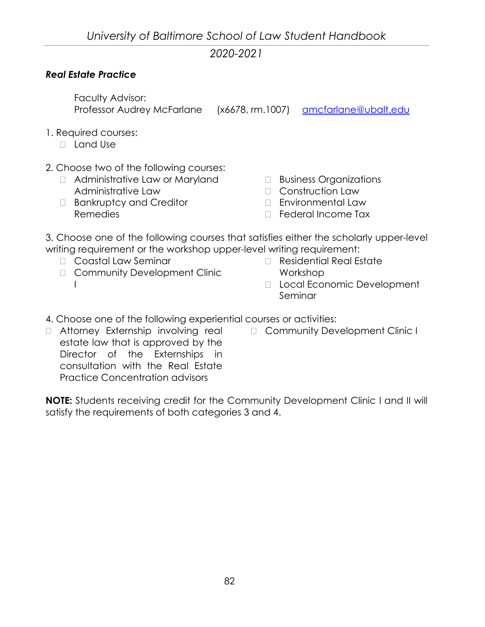### *Real Estate Practice*

Faculty Advisor: Professor Audrey McFarlane (x6678, rm.1007) [amcfarlane@ubalt.edu](mailto:amcfarlane@ubalt.edu)

- 1. Required courses:
	- Land Use
- 2. Choose two of the following courses:
	- Administrative Law or Maryland Administrative Law
	- □ Bankruptcy and Creditor Remedies
- Business Organizations
- □ Construction Law
- Environmental Law
- □ Federal Income Tax

3. Choose one of the following courses that satisfies either the scholarly upper-level writing requirement or the workshop upper-level writing requirement:

- Coastal Law Seminar
- □ Community Development Clinic  $\mathbf{I}$
- □ Residential Real Estate Workshop
- D Local Economic Development Seminar
- 4. Choose one of the following experiential courses or activities:
	- □ Community Development Clinic I
- Attorney Externship involving real estate law that is approved by the Director of the Externships in consultation with the Real Estate Practice Concentration advisors

**NOTE:** Students receiving credit for the Community Development Clinic I and II will satisfy the requirements of both categories 3 and 4.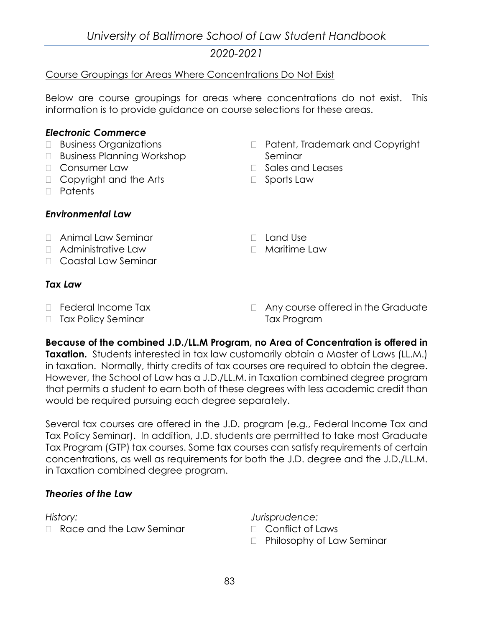### Course Groupings for Areas Where Concentrations Do Not Exist

Below are course groupings for areas where concentrations do not exist. This information is to provide guidance on course selections for these areas.

#### *Electronic Commerce*

- □ Business Organizations
- □ Business Planning Workshop
- Consumer Law
- □ Copyright and the Arts
- Patents

#### *Environmental Law*

#### Animal Law Seminar

- □ Administrative Law
- Coastal Law Seminar

#### *Tax Law*

- □ Federal Income Tax
- □ Tax Policy Seminar
- □ Patent, Trademark and Copyright Seminar
- □ Sales and Leases
- □ Sports Law
- Land Use

#### □ Maritime Law

 Any course offered in the Graduate Tax Program

**Because of the combined J.D./LL.M Program, no Area of Concentration is offered in Taxation.** Students interested in tax law customarily obtain a Master of Laws (LL.M.) in taxation. Normally, thirty credits of tax courses are required to obtain the degree. However, the School of Law has a J.D./LL.M. in Taxation combined degree program that permits a student to earn both of these degrees with less academic credit than would be required pursuing each degree separately.

Several tax courses are offered in the J.D. program (e.g., Federal Income Tax and Tax Policy Seminar). In addition, J.D. students are permitted to take most Graduate Tax Program (GTP) tax courses. Some tax courses can satisfy requirements of certain concentrations, as well as requirements for both the J.D. degree and the J.D./LL.M. in Taxation combined degree program.

#### *Theories of the Law*

*History:*

□ Race and the Law Seminar

*Jurisprudence:*

- Conflict of Laws
- □ Philosophy of Law Seminar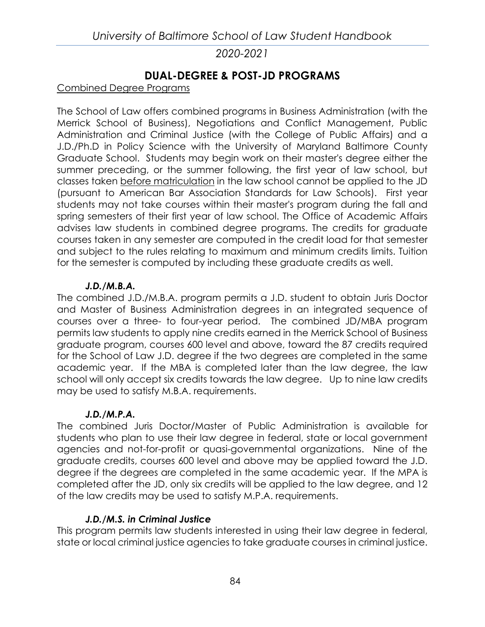# **DUAL-DEGREE & POST-JD PROGRAMS**

### Combined Degree Programs

The School of Law offers combined programs in Business Administration (with the Merrick School of Business), Negotiations and Conflict Management, Public Administration and Criminal Justice (with the College of Public Affairs) and a J.D./Ph.D in Policy Science with the University of Maryland Baltimore County Graduate School. Students may begin work on their master's degree either the summer preceding, or the summer following, the first year of law school, but classes taken before matriculation in the law school cannot be applied to the JD (pursuant to American Bar Association Standards for Law Schools). First year students may not take courses within their master's program during the fall and spring semesters of their first year of law school. The Office of Academic Affairs advises law students in combined degree programs. The credits for graduate courses taken in any semester are computed in the credit load for that semester and subject to the rules relating to maximum and minimum credits limits. Tuition for the semester is computed by including these graduate credits as well.

#### *J.D./M.B.A.*

The combined J.D./M.B.A. program permits a J.D. student to obtain Juris Doctor and Master of Business Administration degrees in an integrated sequence of courses over a three- to four-year period. The combined JD/MBA program permits law students to apply nine credits earned in the Merrick School of Business graduate program, courses 600 level and above, toward the 87 credits required for the School of Law J.D. degree if the two degrees are completed in the same academic year. If the MBA is completed later than the law degree, the law school will only accept six credits towards the law degree. Up to nine law credits may be used to satisfy M.B.A. requirements.

## *J.D./M.P.A.*

The combined Juris Doctor/Master of Public Administration is available for students who plan to use their law degree in federal, state or local government agencies and not-for-profit or quasi-governmental organizations. Nine of the graduate credits, courses 600 level and above may be applied toward the J.D. degree if the degrees are completed in the same academic year. If the MPA is completed after the JD, only six credits will be applied to the law degree, and 12 of the law credits may be used to satisfy M.P.A. requirements.

## *J.D./M.S. in Criminal Justice*

This program permits law students interested in using their law degree in federal, state or local criminal justice agencies to take graduate courses in criminal justice.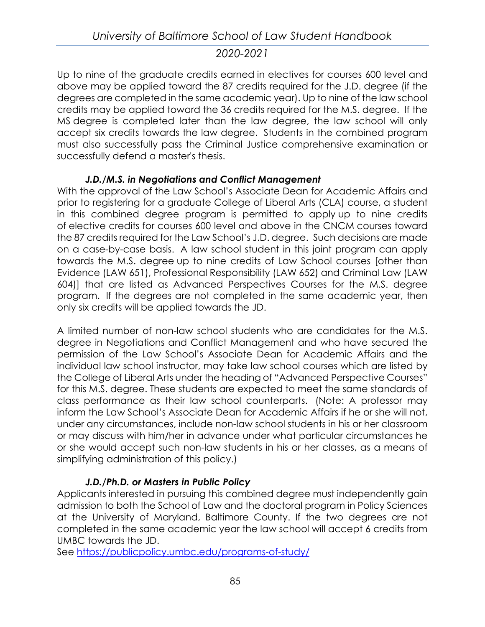Up to nine of the graduate credits earned in electives for courses 600 level and above may be applied toward the 87 credits required for the J.D. degree (if the degrees are completed in the same academic year). Up to nine of the law school credits may be applied toward the 36 credits required for the M.S. degree. If the MS degree is completed later than the law degree, the law school will only accept six credits towards the law degree. Students in the combined program must also successfully pass the Criminal Justice comprehensive examination or successfully defend a master's thesis.

## *J.D./M.S. in Negotiations and Conflict Management*

With the approval of the Law School's Associate Dean for Academic Affairs and prior to registering for a graduate College of Liberal Arts (CLA) course, a student in this combined degree program is permitted to apply up to nine credits of elective credits for courses 600 level and above in the CNCM courses toward the 87 credits required for the Law School's J.D. degree. Such decisions are made on a case-by-case basis. A law school student in this joint program can apply towards the M.S. degree up to nine credits of Law School courses [other than Evidence (LAW 651), Professional Responsibility (LAW 652) and Criminal Law (LAW 604)] that are listed as Advanced Perspectives Courses for the M.S. degree program. If the degrees are not completed in the same academic year, then only six credits will be applied towards the JD.

A limited number of non-law school students who are candidates for the M.S. degree in Negotiations and Conflict Management and who have secured the permission of the Law School's Associate Dean for Academic Affairs and the individual law school instructor, may take law school courses which are listed by the College of Liberal Arts under the heading of "Advanced Perspective Courses" for this M.S. degree. These students are expected to meet the same standards of class performance as their law school counterparts. (Note: A professor may inform the Law School's Associate Dean for Academic Affairs if he or she will not, under any circumstances, include non-law school students in his or her classroom or may discuss with him/her in advance under what particular circumstances he or she would accept such non-law students in his or her classes, as a means of simplifying administration of this policy.)

## *J.D./Ph.D. or Masters in Public Policy*

Applicants interested in pursuing this combined degree must independently gain admission to both the School of Law and the doctoral program in Policy Sciences at the University of Maryland, Baltimore County. If the two degrees are not completed in the same academic year the law school will accept 6 credits from UMBC towards the JD.

See<https://publicpolicy.umbc.edu/programs-of-study/>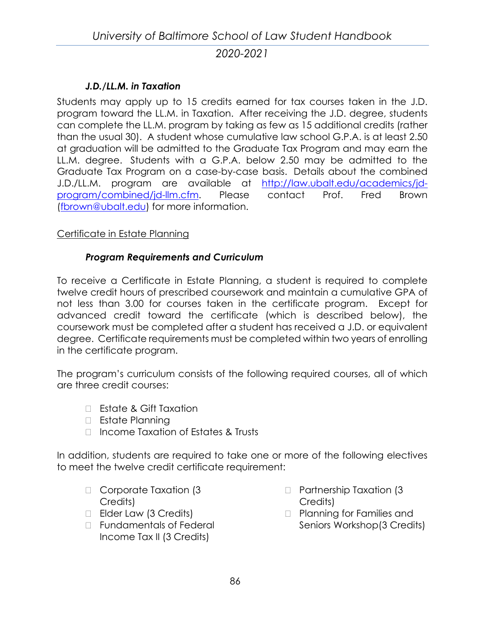### *J.D./LL.M. in Taxation*

Students may apply up to 15 credits earned for tax courses taken in the J.D. program toward the LL.M. in Taxation. After receiving the J.D. degree, students can complete the LL.M. program by taking as few as 15 additional credits (rather than the usual 30). A student whose cumulative law school G.P.A. is at least 2.50 at graduation will be admitted to the Graduate Tax Program and may earn the LL.M. degree. Students with a G.P.A. below 2.50 may be admitted to the Graduate Tax Program on a case-by-case basis. Details about the combined J.D./LL.M. program are available at [http://law.ubalt.edu/academics/jd](http://law.ubalt.edu/academics/jd-program/combined/jd-llm.cfm)[program/combined/jd-llm.cfm.](http://law.ubalt.edu/academics/jd-program/combined/jd-llm.cfm) Please contact Prof. Fred Brown [\(fbrown@ubalt.edu\)](mailto:fbrown@ubalt.edu) for more information.

#### Certificate in Estate Planning

#### *Program Requirements and Curriculum*

To receive a Certificate in Estate Planning, a student is required to complete twelve credit hours of prescribed coursework and maintain a cumulative GPA of not less than 3.00 for courses taken in the certificate program. Except for advanced credit toward the certificate (which is described below), the coursework must be completed after a student has received a J.D. or equivalent degree. Certificate requirements must be completed within two years of enrolling in the certificate program.

The program's curriculum consists of the following required courses, all of which are three credit courses:

- □ Estate & Gift Taxation
- □ Estate Planning
- □ Income Taxation of Estates & Trusts

In addition, students are required to take one or more of the following electives to meet the twelve credit certificate requirement:

- □ Corporate Taxation (3 Credits)
- Elder Law (3 Credits)
- □ Fundamentals of Federal Income Tax II (3 Credits)
- □ Partnership Taxation (3 Credits)
- **Planning for Families and** Seniors Workshop(3 Credits)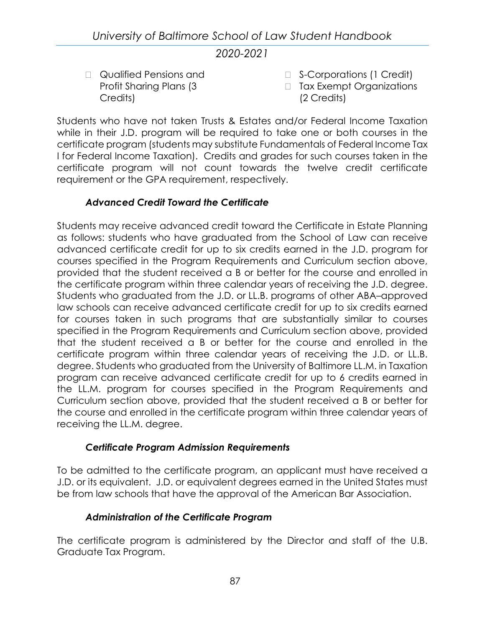□ Qualified Pensions and Profit Sharing Plans (3 Credits)

- □ S-Corporations (1 Credit)
- □ Tax Exempt Organizations (2 Credits)

Students who have not taken Trusts & Estates and/or Federal Income Taxation while in their J.D. program will be required to take one or both courses in the certificate program (students may substitute Fundamentals of Federal Income Tax I for Federal Income Taxation). Credits and grades for such courses taken in the certificate program will not count towards the twelve credit certificate requirement or the GPA requirement, respectively.

## *Advanced Credit Toward the Certificate*

Students may receive advanced credit toward the Certificate in Estate Planning as follows: students who have graduated from the School of Law can receive advanced certificate credit for up to six credits earned in the J.D. program for courses specified in the Program Requirements and Curriculum section above, provided that the student received a B or better for the course and enrolled in the certificate program within three calendar years of receiving the J.D. degree. Students who graduated from the J.D. or LL.B. programs of other ABA–approved law schools can receive advanced certificate credit for up to six credits earned for courses taken in such programs that are substantially similar to courses specified in the Program Requirements and Curriculum section above, provided that the student received a B or better for the course and enrolled in the certificate program within three calendar years of receiving the J.D. or LL.B. degree. Students who graduated from the University of Baltimore LL.M. in Taxation program can receive advanced certificate credit for up to 6 credits earned in the LL.M. program for courses specified in the Program Requirements and Curriculum section above, provided that the student received a B or better for the course and enrolled in the certificate program within three calendar years of receiving the LL.M. degree.

## *Certificate Program Admission Requirements*

To be admitted to the certificate program, an applicant must have received a J.D. or its equivalent. J.D. or equivalent degrees earned in the United States must be from law schools that have the approval of the American Bar Association.

## *Administration of the Certificate Program*

The certificate program is administered by the Director and staff of the U.B. Graduate Tax Program.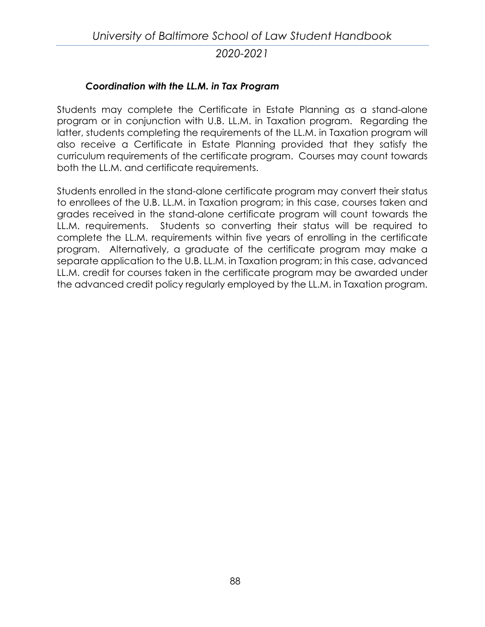### *Coordination with the LL.M. in Tax Program*

Students may complete the Certificate in Estate Planning as a stand-alone program or in conjunction with U.B. LL.M. in Taxation program. Regarding the latter, students completing the requirements of the LL.M. in Taxation program will also receive a Certificate in Estate Planning provided that they satisfy the curriculum requirements of the certificate program. Courses may count towards both the LL.M. and certificate requirements.

Students enrolled in the stand-alone certificate program may convert their status to enrollees of the U.B. LL.M. in Taxation program; in this case, courses taken and grades received in the stand-alone certificate program will count towards the LL.M. requirements. Students so converting their status will be required to complete the LL.M. requirements within five years of enrolling in the certificate program. Alternatively, a graduate of the certificate program may make a separate application to the U.B. LL.M. in Taxation program; in this case, advanced LL.M. credit for courses taken in the certificate program may be awarded under the advanced credit policy regularly employed by the LL.M. in Taxation program.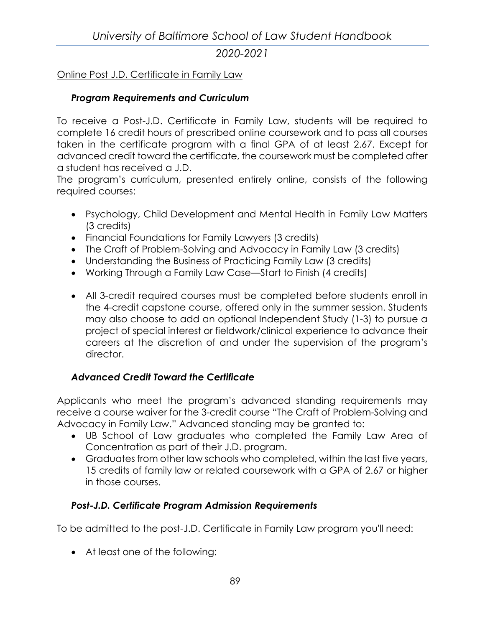### Online Post J.D. Certificate in Family Law

### *Program Requirements and Curriculum*

To receive a Post-J.D. Certificate in Family Law, students will be required to complete 16 credit hours of prescribed online coursework and to pass all courses taken in the certificate program with a final GPA of at least 2.67. Except for advanced credit toward the certificate, the coursework must be completed after a student has received a J.D.

The program's curriculum, presented entirely online, consists of the following required courses:

- Psychology, Child Development and Mental Health in Family Law Matters (3 credits)
- Financial Foundations for Family Lawyers (3 credits)
- The Craft of Problem-Solving and Advocacy in Family Law (3 credits)
- Understanding the Business of Practicing Family Law (3 credits)
- Working Through a Family Law Case—Start to Finish (4 credits)
- All 3-credit required courses must be completed before students enroll in the 4-credit capstone course, offered only in the summer session. Students may also choose to add an optional Independent Study (1-3) to pursue a project of special interest or fieldwork/clinical experience to advance their careers at the discretion of and under the supervision of the program's director.

## *Advanced Credit Toward the Certificate*

Applicants who meet the program's advanced standing requirements may receive a course waiver for the 3-credit course "The Craft of Problem-Solving and Advocacy in Family Law." Advanced standing may be granted to:

- UB School of Law graduates who completed the Family Law Area of Concentration as part of their J.D. program.
- Graduates from other law schools who completed, within the last five years, 15 credits of family law or related coursework with a GPA of 2.67 or higher in those courses.

#### *Post-J.D. Certificate Program Admission Requirements*

To be admitted to the post-J.D. Certificate in Family Law program you'll need:

• At least one of the following: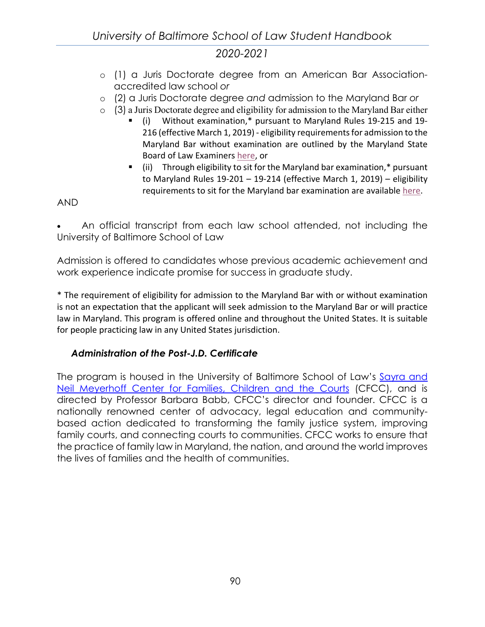- o (1) a Juris Doctorate degree from an American Bar Associationaccredited law school *or*
- o (2) a Juris Doctorate degree *and* admission to the Maryland Bar *or*
- o (3) a Juris Doctorate degree and eligibility for admission to the Maryland Bar either
	- (i) Without examination,\* pursuant to Maryland Rules 19-215 and 19- 216 (effective March 1, 2019) - eligibility requirements for admission to the Maryland Bar without examination are outlined by the Maryland State Board of Law Examiners [here,](https://www.mdcourts.gov/ble/admissionwithoutexam) or
	- (ii) Through eligibility to sit for the Maryland bar examination,\* pursuant to Maryland Rules 19-201 – 19-214 (effective March 1, 2019) – eligibility requirements to sit for the Maryland bar examination are available [here.](https://mdcourts.gov/ble/admissionube)

### AND

• An official transcript from each law school attended, not including the University of Baltimore School of Law

Admission is offered to candidates whose previous academic achievement and work experience indicate promise for success in graduate study.

\* The requirement of eligibility for admission to the Maryland Bar with or without examination is not an expectation that the applicant will seek admission to the Maryland Bar or will practice law in Maryland. This program is offered online and throughout the United States. It is suitable for people practicing law in any United States jurisdiction.

#### *Administration of the Post-J.D. Certificate*

The program is housed in the University of Baltimore School of Law's Sayra and [Neil Meyerhoff Center for Families, Children and the Courts](http://law.ubalt.edu/centers/cfcc/) (CFCC), and is directed by Professor Barbara Babb, CFCC's director and founder. CFCC is a nationally renowned center of advocacy, legal education and communitybased action dedicated to transforming the family justice system, improving family courts, and connecting courts to communities. CFCC works to ensure that the practice of family law in Maryland, the nation, and around the world improves the lives of families and the health of communities.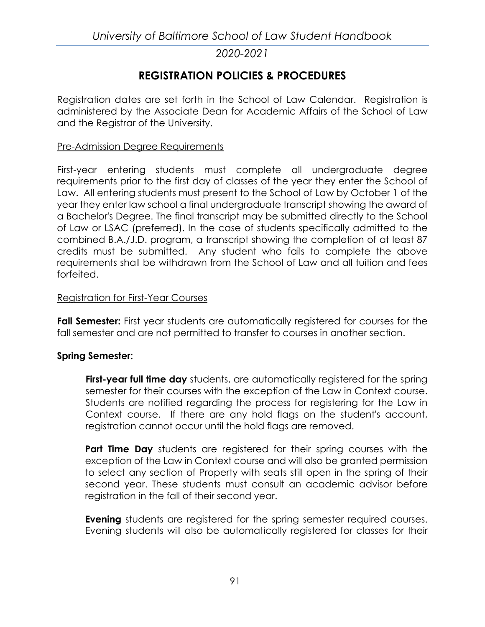# **REGISTRATION POLICIES & PROCEDURES**

Registration dates are set forth in the School of Law Calendar. Registration is administered by the Associate Dean for Academic Affairs of the School of Law and the Registrar of the University.

#### Pre-Admission Degree Requirements

First-year entering students must complete all undergraduate degree requirements prior to the first day of classes of the year they enter the School of Law. All entering students must present to the School of Law by October 1 of the year they enter law school a final undergraduate transcript showing the award of a Bachelor's Degree. The final transcript may be submitted directly to the School of Law or LSAC (preferred). In the case of students specifically admitted to the combined B.A./J.D. program, a transcript showing the completion of at least 87 credits must be submitted. Any student who fails to complete the above requirements shall be withdrawn from the School of Law and all tuition and fees forfeited.

#### Registration for First-Year Courses

**Fall Semester:** First year students are automatically registered for courses for the fall semester and are not permitted to transfer to courses in another section.

#### **Spring Semester:**

**First-year full time day** students, are automatically registered for the spring semester for their courses with the exception of the Law in Context course. Students are notified regarding the process for registering for the Law in Context course. If there are any hold flags on the student's account, registration cannot occur until the hold flags are removed.

**Part Time Day** students are registered for their spring courses with the exception of the Law in Context course and will also be granted permission to select any section of Property with seats still open in the spring of their second year. These students must consult an academic advisor before registration in the fall of their second year.

**Evening** students are registered for the spring semester required courses. Evening students will also be automatically registered for classes for their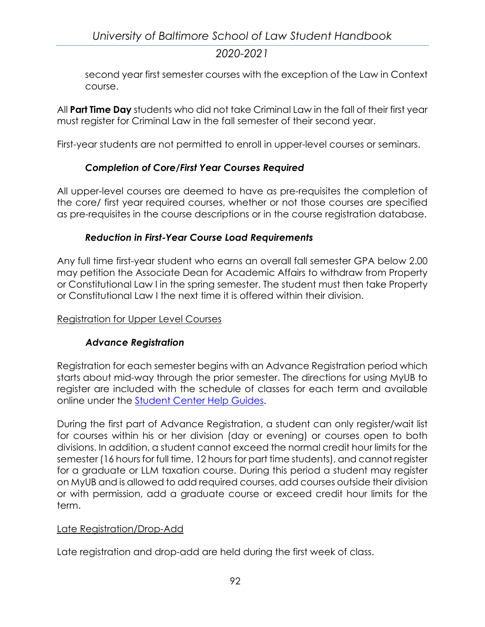second year first semester courses with the exception of the Law in Context course.

All **Part Time Day** students who did not take Criminal Law in the fall of their first year must register for Criminal Law in the fall semester of their second year.

First-year students are not permitted to enroll in upper-level courses or seminars.

## *Completion of Core/First Year Courses Required*

All upper-level courses are deemed to have as pre-requisites the completion of the core/ first year required courses, whether or not those courses are specified as pre-requisites in the course descriptions or in the course registration database.

### *Reduction in First-Year Course Load Requirements*

Any full time first-year student who earns an overall fall semester GPA below 2.00 may petition the Associate Dean for Academic Affairs to withdraw from Property or Constitutional Law I in the spring semester. The student must then take Property or Constitutional Law I the next time it is offered within their division.

### Registration for Upper Level Courses

## *Advance Registration*

Registration for each semester begins with an Advance Registration period which starts about mid-way through the prior semester. The directions for using MyUB to register are included with the schedule of classes for each term and available online under the [Student Center Help Guides.](http://www.ubalt.edu/template.cfm?page=2766)

During the first part of Advance Registration, a student can only register/wait list for courses within his or her division (day or evening) or courses open to both divisions. In addition, a student cannot exceed the normal credit hour limits for the semester (16 hours for full time, 12 hours for part time students), and cannot register for a graduate or LLM taxation course. During this period a student may register on MyUB and is allowed to add required courses, add courses outside their division or with permission, add a graduate course or exceed credit hour limits for the term.

#### Late Registration/Drop-Add

Late registration and drop-add are held during the first week of class.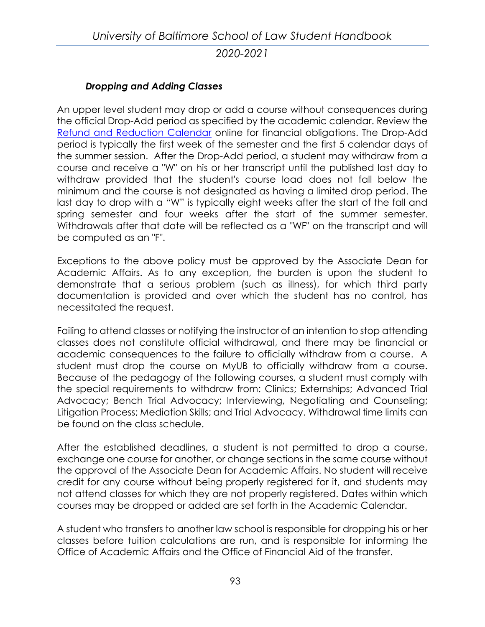### *Dropping and Adding Classes*

An upper level student may drop or add a course without consequences during the official Drop-Add period as specified by the academic calendar. Review the [Refund and Reduction Calendar](http://www.ubalt.edu/about-ub/offices-and-services/bursar/refund-and-reduction-calendar-rev.cfm) online for financial obligations. The Drop-Add period is typically the first week of the semester and the first 5 calendar days of the summer session. After the Drop-Add period, a student may withdraw from a course and receive a "W" on his or her transcript until the published last day to withdraw provided that the student's course load does not fall below the minimum and the course is not designated as having a limited drop period. The last day to drop with a "W" is typically eight weeks after the start of the fall and spring semester and four weeks after the start of the summer semester. Withdrawals after that date will be reflected as a "WF" on the transcript and will be computed as an "F".

Exceptions to the above policy must be approved by the Associate Dean for Academic Affairs. As to any exception, the burden is upon the student to demonstrate that a serious problem (such as illness), for which third party documentation is provided and over which the student has no control, has necessitated the request.

Failing to attend classes or notifying the instructor of an intention to stop attending classes does not constitute official withdrawal, and there may be financial or academic consequences to the failure to officially withdraw from a course. A student must drop the course on MyUB to officially withdraw from a course. Because of the pedagogy of the following courses, a student must comply with the special requirements to withdraw from: Clinics; Externships; Advanced Trial Advocacy; Bench Trial Advocacy; Interviewing, Negotiating and Counseling; Litigation Process; Mediation Skills; and Trial Advocacy. Withdrawal time limits can be found on the class schedule.

After the established deadlines, a student is not permitted to drop a course, exchange one course for another, or change sections in the same course without the approval of the Associate Dean for Academic Affairs. No student will receive credit for any course without being properly registered for it, and students may not attend classes for which they are not properly registered. Dates within which courses may be dropped or added are set forth in the Academic Calendar.

A student who transfers to another law school is responsible for dropping his or her classes before tuition calculations are run, and is responsible for informing the Office of Academic Affairs and the Office of Financial Aid of the transfer.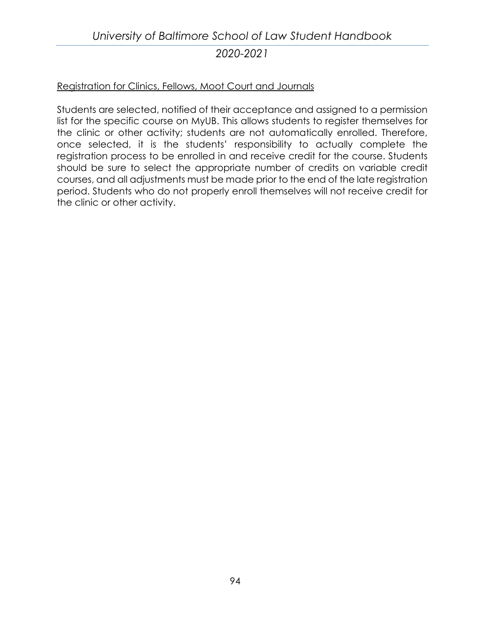# *University of Baltimore School of Law Student Handbook 2020-2021*

#### Registration for Clinics, Fellows, Moot Court and Journals

Students are selected, notified of their acceptance and assigned to a permission list for the specific course on MyUB. This allows students to register themselves for the clinic or other activity; students are not automatically enrolled. Therefore, once selected, it is the students' responsibility to actually complete the registration process to be enrolled in and receive credit for the course. Students should be sure to select the appropriate number of credits on variable credit courses, and all adjustments must be made prior to the end of the late registration period. Students who do not properly enroll themselves will not receive credit for the clinic or other activity.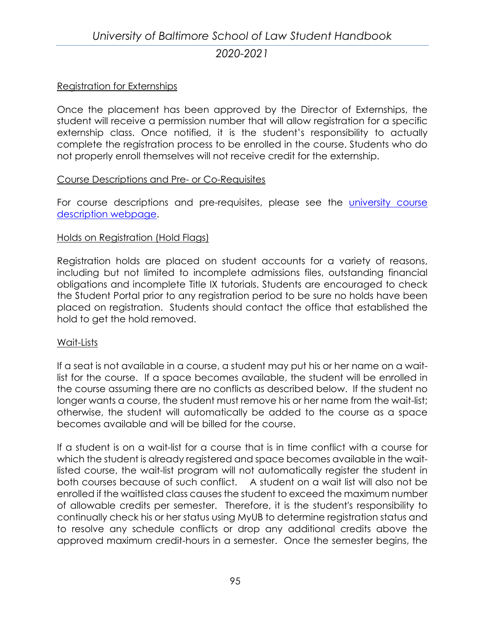### Registration for Externships

Once the placement has been approved by the Director of Externships, the student will receive a permission number that will allow registration for a specific externship class. Once notified, it is the student's responsibility to actually complete the registration process to be enrolled in the course. Students who do not properly enroll themselves will not receive credit for the externship.

#### Course Descriptions and Pre- or Co-Requisites

For course descriptions and pre-requisites, please see the *university course* [description webpage.](https://www.ubalt.edu/course-descriptions/index.cfm?content=law)

#### Holds on Registration (Hold Flags)

Registration holds are placed on student accounts for a variety of reasons, including but not limited to incomplete admissions files, outstanding financial obligations and incomplete Title IX tutorials. Students are encouraged to check the Student Portal prior to any registration period to be sure no holds have been placed on registration. Students should contact the office that established the hold to get the hold removed.

#### Wait-Lists

If a seat is not available in a course, a student may put his or her name on a waitlist for the course. If a space becomes available, the student will be enrolled in the course assuming there are no conflicts as described below. If the student no longer wants a course, the student must remove his or her name from the wait-list; otherwise, the student will automatically be added to the course as a space becomes available and will be billed for the course.

If a student is on a wait-list for a course that is in time conflict with a course for which the student is already registered and space becomes available in the waitlisted course, the wait-list program will not automatically register the student in both courses because of such conflict. A student on a wait list will also not be enrolled if the waitlisted class causes the student to exceed the maximum number of allowable credits per semester. Therefore, it is the student's responsibility to continually check his or her status using MyUB to determine registration status and to resolve any schedule conflicts or drop any additional credits above the approved maximum credit-hours in a semester. Once the semester begins, the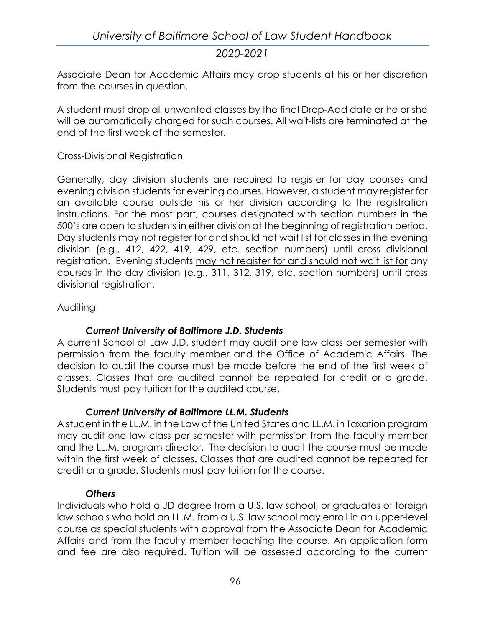Associate Dean for Academic Affairs may drop students at his or her discretion from the courses in question.

A student must drop all unwanted classes by the final Drop-Add date or he or she will be automatically charged for such courses. All wait-lists are terminated at the end of the first week of the semester.

#### Cross-Divisional Registration

Generally, day division students are required to register for day courses and evening division students for evening courses. However, a student may register for an available course outside his or her division according to the registration instructions. For the most part, courses designated with section numbers in the 500's are open to students in either division at the beginning of registration period. Day students may not register for and should not wait list for classes in the evening division (e.g., 412, 422, 419, 429, etc. section numbers) until cross divisional registration. Evening students may not register for and should not wait list for any courses in the day division (e.g., 311, 312, 319, etc. section numbers) until cross divisional registration.

#### **Auditing**

## *Current University of Baltimore J.D. Students*

A current School of Law J.D. student may audit one law class per semester with permission from the faculty member and the Office of Academic Affairs. The decision to audit the course must be made before the end of the first week of classes. Classes that are audited cannot be repeated for credit or a grade. Students must pay tuition for the audited course.

#### *Current University of Baltimore LL.M. Students*

A student in the LL.M. in the Law of the United States and LL.M. in Taxation program may audit one law class per semester with permission from the faculty member and the LL.M. program director. The decision to audit the course must be made within the first week of classes. Classes that are audited cannot be repeated for credit or a grade. Students must pay tuition for the course.

#### *Others*

Individuals who hold a JD degree from a U.S. law school, or graduates of foreign law schools who hold an LL.M. from a U.S. law school may enroll in an upper-level course as special students with approval from the Associate Dean for Academic Affairs and from the faculty member teaching the course. An application form and fee are also required. Tuition will be assessed according to the current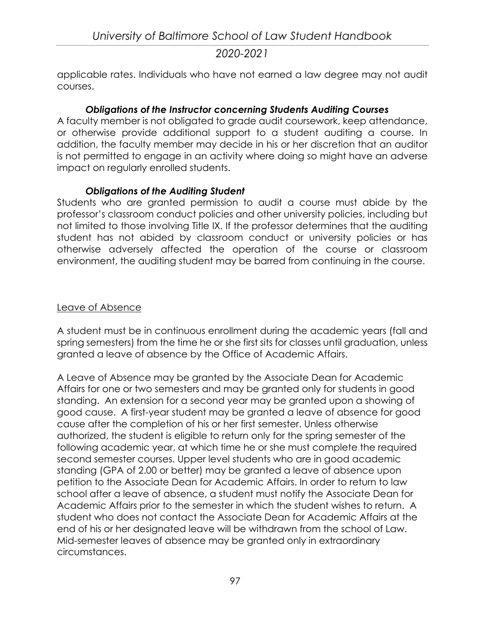applicable rates. Individuals who have not earned a law degree may not audit courses.

### *Obligations of the Instructor concerning Students Auditing Courses*

A faculty member is not obligated to grade audit coursework, keep attendance, or otherwise provide additional support to a student auditing a course. In addition, the faculty member may decide in his or her discretion that an auditor is not permitted to engage in an activity where doing so might have an adverse impact on regularly enrolled students.

#### *Obligations of the Auditing Student*

Students who are granted permission to audit a course must abide by the professor's classroom conduct policies and other university policies, including but not limited to those involving Title IX. If the professor determines that the auditing student has not abided by classroom conduct or university policies or has otherwise adversely affected the operation of the course or classroom environment, the auditing student may be barred from continuing in the course.

#### Leave of Absence

A student must be in continuous enrollment during the academic years (fall and spring semesters) from the time he or she first sits for classes until graduation, unless granted a leave of absence by the Office of Academic Affairs.

A Leave of Absence may be granted by the Associate Dean for Academic Affairs for one or two semesters and may be granted only for students in good standing. An extension for a second year may be granted upon a showing of good cause. A first-year student may be granted a leave of absence for good cause after the completion of his or her first semester. Unless otherwise authorized, the student is eligible to return only for the spring semester of the following academic year, at which time he or she must complete the required second semester courses. Upper level students who are in good academic standing (GPA of 2.00 or better) may be granted a leave of absence upon petition to the Associate Dean for Academic Affairs. In order to return to law school after a leave of absence, a student must notify the Associate Dean for Academic Affairs prior to the semester in which the student wishes to return. A student who does not contact the Associate Dean for Academic Affairs at the end of his or her designated leave will be withdrawn from the school of Law. Mid-semester leaves of absence may be granted only in extraordinary circumstances.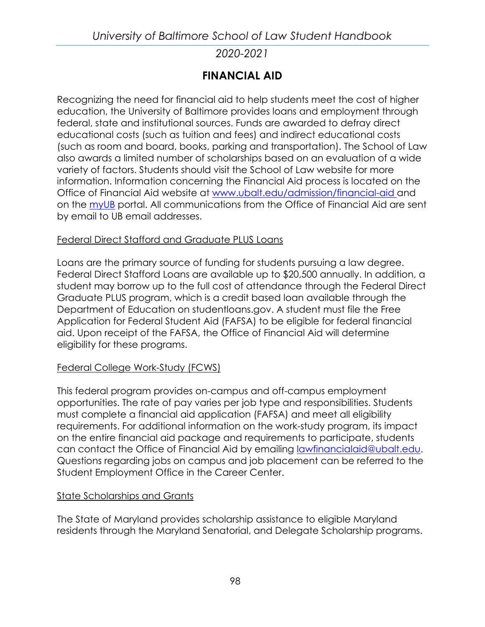# **FINANCIAL AID**

Recognizing the need for financial aid to help students meet the cost of higher education, the University of Baltimore provides loans and employment through federal, state and institutional sources. Funds are awarded to defray direct educational costs (such as tuition and fees) and indirect educational costs (such as room and board, books, parking and transportation). The School of Law also awards a limited number of scholarships based on an evaluation of a wide variety of factors. Students should visit the School of Law website for more information. Information concerning the Financial Aid process is located on the Office of Financial Aid website at [www.ubalt.edu/admission/financial-aid](http://www.ubalt.edu/admission/financial-aid) and on the [myUB](http://myub.ubalt.edu/) portal. All communications from the Office of Financial Aid are sent by email to UB email addresses.

### Federal Direct Stafford and Graduate PLUS Loans

Loans are the primary source of funding for students pursuing a law degree. Federal Direct Stafford Loans are available up to \$20,500 annually. In addition, a student may borrow up to the full cost of attendance through the Federal Direct Graduate PLUS program, which is a credit based loan available through the Department of Education on studentloans.gov. A student must file the Free Application for Federal Student Aid (FAFSA) to be eligible for federal financial aid. Upon receipt of the FAFSA, the Office of Financial Aid will determine eligibility for these programs.

#### Federal College Work-Study (FCWS)

This federal program provides on-campus and off-campus employment opportunities. The rate of pay varies per job type and responsibilities. Students must complete a financial aid application (FAFSA) and meet all eligibility requirements. For additional information on the work-study program, its impact on the entire financial aid package and requirements to participate, students can contact the Office of Financial Aid by emailing [lawfinancialaid@ubalt.edu.](mailto:lawfinancialaid@ubalt.edu) Questions regarding jobs on campus and job placement can be referred to the Student Employment Office in the Career Center.

#### **State Scholarships and Grants**

The State of Maryland provides scholarship assistance to eligible Maryland residents through the Maryland Senatorial, and Delegate Scholarship programs.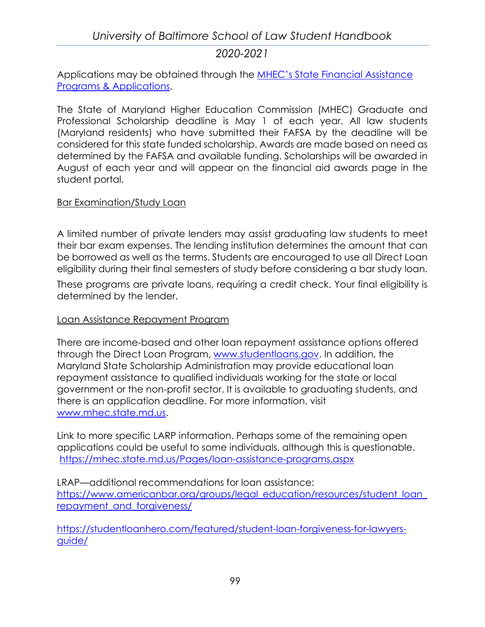Applications may be obtained through the [MHEC's State Financial Assistance](https://mhec.state.md.us/preparing/Pages/FinancialAid/descriptions.aspx)  [Programs & Applications.](https://mhec.state.md.us/preparing/Pages/FinancialAid/descriptions.aspx)

The State of Maryland Higher Education Commission (MHEC) Graduate and Professional Scholarship deadline is May 1 of each year. All law students (Maryland residents) who have submitted their FAFSA by the deadline will be considered for this state funded scholarship. Awards are made based on need as determined by the FAFSA and available funding. Scholarships will be awarded in August of each year and will appear on the financial aid awards page in the student portal.

#### Bar Examination/Study Loan

A limited number of private lenders may assist graduating law students to meet their bar exam expenses. The lending institution determines the amount that can be borrowed as well as the terms. Students are encouraged to use all Direct Loan eligibility during their final semesters of study before considering a bar study loan.

These programs are private loans, requiring a credit check. Your final eligibility is determined by the lender.

#### Loan Assistance Repayment Program

There are income-based and other loan repayment assistance options offered through the Direct Loan Program, [www.studentloans.gov.](http://www.studentloans.gov/) In addition, the Maryland State Scholarship Administration may provide educational loan repayment assistance to qualified individuals working for the state or local government or the non-profit sector. It is available to graduating students, and there is an application deadline. For more information, visit [www.mhec.state.md.us.](http://www.mhec.state.md.us/)

Link to more specific LARP information. Perhaps some of the remaining open applications could be useful to some individuals, although this is questionable. <https://mhec.state.md.us/Pages/loan-assistance-programs.aspx>

LRAP—additional recommendations for loan assistance: https://www.americanbar.org/groups/legal\_education/resources/student\_loan [repayment\\_and\\_forgiveness/](https://www.americanbar.org/groups/legal_education/resources/student_loan_repayment_and_forgiveness/)

[https://studentloanhero.com/featured/student-loan-forgiveness-for-lawyers](https://studentloanhero.com/featured/student-loan-forgiveness-for-lawyers-guide/)[guide/](https://studentloanhero.com/featured/student-loan-forgiveness-for-lawyers-guide/)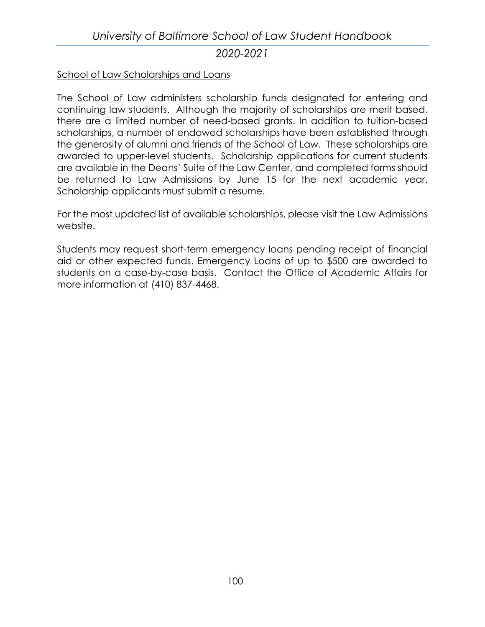#### School of Law Scholarships and Loans

The School of Law administers scholarship funds designated for entering and continuing law students. Although the majority of scholarships are merit based, there are a limited number of need-based grants. In addition to tuition-based scholarships, a number of endowed scholarships have been established through the generosity of alumni and friends of the School of Law. These scholarships are awarded to upper-level students. Scholarship applications for current students are available in the Deans' Suite of the Law Center, and completed forms should be returned to Law Admissions by June 15 for the next academic year. Scholarship applicants must submit a resume.

For the most updated list of available scholarships, please visit the Law Admissions website.

Students may request short-term emergency loans pending receipt of financial aid or other expected funds. Emergency Loans of up to \$500 are awarded to students on a case-by-case basis. Contact the Office of Academic Affairs for more information at (410) 837-4468.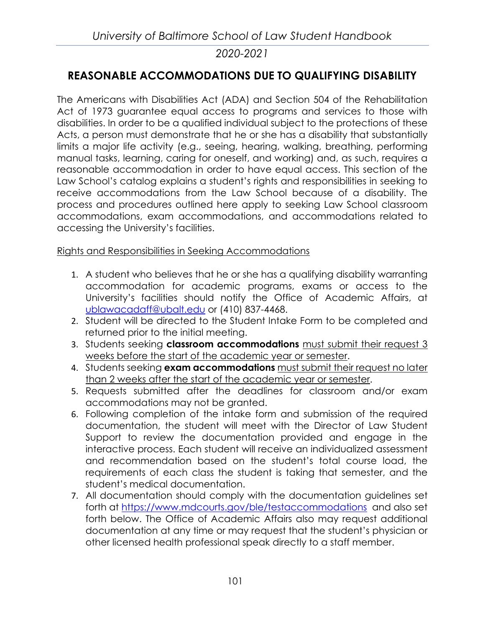# **REASONABLE ACCOMMODATIONS DUE TO QUALIFYING DISABILITY**

The Americans with Disabilities Act (ADA) and Section 504 of the Rehabilitation Act of 1973 guarantee equal access to programs and services to those with disabilities. In order to be a qualified individual subject to the protections of these Acts, a person must demonstrate that he or she has a disability that substantially limits a major life activity (e.g., seeing, hearing, walking, breathing, performing manual tasks, learning, caring for oneself, and working) and, as such, requires a reasonable accommodation in order to have equal access. This section of the Law School's catalog explains a student's rights and responsibilities in seeking to receive accommodations from the Law School because of a disability. The process and procedures outlined here apply to seeking Law School classroom accommodations, exam accommodations, and accommodations related to accessing the University's facilities.

### Rights and Responsibilities in Seeking Accommodations

- 1. A student who believes that he or she has a qualifying disability warranting accommodation for academic programs, exams or access to the University's facilities should notify the Office of Academic Affairs, at [ublawacadaff@ubalt.edu](mailto:ublawacadaff@ubalt.edu) or (410) 837-4468.
- 2. Student will be directed to the Student Intake Form to be completed and returned prior to the initial meeting.
- 3. Students seeking **classroom accommodations** must submit their request 3 weeks before the start of the academic year or semester.
- 4. Students seeking **exam accommodations** must submit their request no later than 2 weeks after the start of the academic year or semester.
- 5. Requests submitted after the deadlines for classroom and/or exam accommodations may not be granted.
- 6. Following completion of the intake form and submission of the required documentation, the student will meet with the Director of Law Student Support to review the documentation provided and engage in the interactive process. Each student will receive an individualized assessment and recommendation based on the student's total course load, the requirements of each class the student is taking that semester, and the student's medical documentation.
- 7. All documentation should comply with the documentation guidelines set forth at<https://www.mdcourts.gov/ble/testaccommodations>and also set forth below. The Office of Academic Affairs also may request additional documentation at any time or may request that the student's physician or other licensed health professional speak directly to a staff member.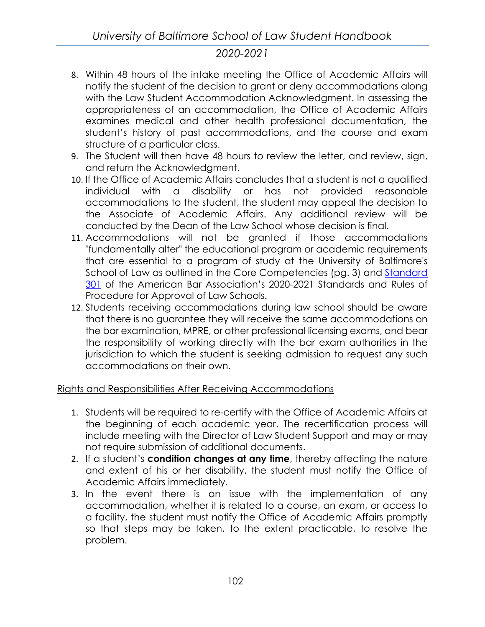- 8. Within 48 hours of the intake meeting the Office of Academic Affairs will notify the student of the decision to grant or deny accommodations along with the Law Student Accommodation Acknowledgment. In assessing the appropriateness of an accommodation, the Office of Academic Affairs examines medical and other health professional documentation, the student's history of past accommodations, and the course and exam structure of a particular class.
- 9. The Student will then have 48 hours to review the letter, and review, sign, and return the Acknowledgment.
- 10. If the Office of Academic Affairs concludes that a student is not a qualified individual with a disability or has not provided reasonable accommodations to the student, the student may appeal the decision to the Associate of Academic Affairs. Any additional review will be conducted by the Dean of the Law School whose decision is final.
- 11. Accommodations will not be granted if those accommodations "fundamentally alter" the educational program or academic requirements that are essential to a program of study at the University of Baltimore's School of Law as outlined in the Core Competencies (pg. 3) and [Standard](https://www.americanbar.org/content/dam/aba/publications/misc/legal_education/Standards/2018-2019ABAStandardsforApprovalofLawSchools/2018-2019-aba-standards-chapter3.pdf)  [301](https://www.americanbar.org/content/dam/aba/publications/misc/legal_education/Standards/2018-2019ABAStandardsforApprovalofLawSchools/2018-2019-aba-standards-chapter3.pdf) of the American Bar Association's 2020-2021 Standards and Rules of Procedure for Approval of Law Schools.
- 12. Students receiving accommodations during law school should be aware that there is no guarantee they will receive the same accommodations on the bar examination, MPRE, or other professional licensing exams, and bear the responsibility of working directly with the bar exam authorities in the jurisdiction to which the student is seeking admission to request any such accommodations on their own.

### Rights and Responsibilities After Receiving Accommodations

- 1. Students will be required to re-certify with the Office of Academic Affairs at the beginning of each academic year. The recertification process will include meeting with the Director of Law Student Support and may or may not require submission of additional documents.
- 2. If a student's **condition changes at any time**, thereby affecting the nature and extent of his or her disability, the student must notify the Office of Academic Affairs immediately.
- 3. In the event there is an issue with the implementation of any accommodation, whether it is related to a course, an exam, or access to a facility, the student must notify the Office of Academic Affairs promptly so that steps may be taken, to the extent practicable, to resolve the problem.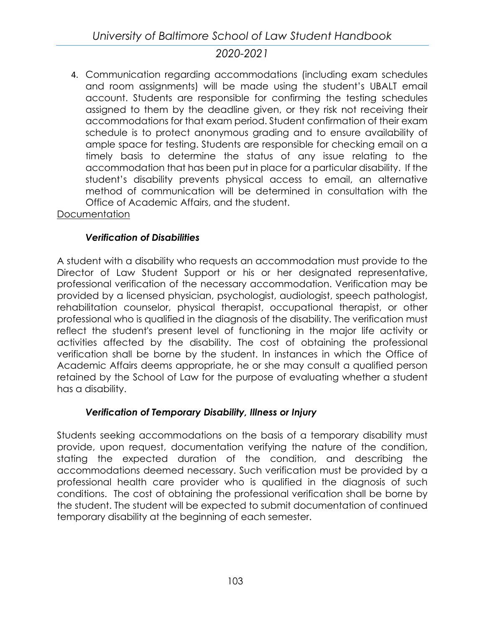4. Communication regarding accommodations (including exam schedules and room assignments) will be made using the student's UBALT email account. Students are responsible for confirming the testing schedules assigned to them by the deadline given, or they risk not receiving their accommodations for that exam period. Student confirmation of their exam schedule is to protect anonymous grading and to ensure availability of ample space for testing. Students are responsible for checking email on a timely basis to determine the status of any issue relating to the accommodation that has been put in place for a particular disability. If the student's disability prevents physical access to email, an alternative method of communication will be determined in consultation with the Office of Academic Affairs, and the student.

**Documentation** 

## *Verification of Disabilities*

A student with a disability who requests an accommodation must provide to the Director of Law Student Support or his or her designated representative, professional verification of the necessary accommodation. Verification may be provided by a licensed physician, psychologist, audiologist, speech pathologist, rehabilitation counselor, physical therapist, occupational therapist, or other professional who is qualified in the diagnosis of the disability. The verification must reflect the student's present level of functioning in the major life activity or activities affected by the disability. The cost of obtaining the professional verification shall be borne by the student. In instances in which the Office of Academic Affairs deems appropriate, he or she may consult a qualified person retained by the School of Law for the purpose of evaluating whether a student has a disability.

## *Verification of Temporary Disability, Illness or Injury*

Students seeking accommodations on the basis of a temporary disability must provide, upon request, documentation verifying the nature of the condition, stating the expected duration of the condition, and describing the accommodations deemed necessary. Such verification must be provided by a professional health care provider who is qualified in the diagnosis of such conditions. The cost of obtaining the professional verification shall be borne by the student. The student will be expected to submit documentation of continued temporary disability at the beginning of each semester.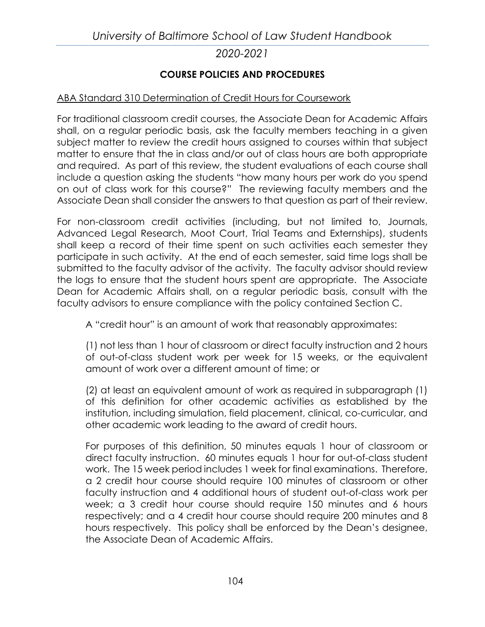### **COURSE POLICIES AND PROCEDURES**

### ABA Standard 310 Determination of Credit Hours for Coursework

For traditional classroom credit courses, the Associate Dean for Academic Affairs shall, on a regular periodic basis, ask the faculty members teaching in a given subject matter to review the credit hours assigned to courses within that subject matter to ensure that the in class and/or out of class hours are both appropriate and required. As part of this review, the student evaluations of each course shall include a question asking the students "how many hours per work do you spend on out of class work for this course?" The reviewing faculty members and the Associate Dean shall consider the answers to that question as part of their review.

For non-classroom credit activities (including, but not limited to, Journals, Advanced Legal Research, Moot Court, Trial Teams and Externships), students shall keep a record of their time spent on such activities each semester they participate in such activity. At the end of each semester, said time logs shall be submitted to the faculty advisor of the activity. The faculty advisor should review the logs to ensure that the student hours spent are appropriate. The Associate Dean for Academic Affairs shall, on a regular periodic basis, consult with the faculty advisors to ensure compliance with the policy contained Section C.

A "credit hour" is an amount of work that reasonably approximates:

(1) not less than 1 hour of classroom or direct faculty instruction and 2 hours of out-of-class student work per week for 15 weeks, or the equivalent amount of work over a different amount of time; or

(2) at least an equivalent amount of work as required in subparagraph (1) of this definition for other academic activities as established by the institution, including simulation, field placement, clinical, co-curricular, and other academic work leading to the award of credit hours.

For purposes of this definition, 50 minutes equals 1 hour of classroom or direct faculty instruction. 60 minutes equals 1 hour for out-of-class student work. The 15 week period includes 1 week for final examinations. Therefore, a 2 credit hour course should require 100 minutes of classroom or other faculty instruction and 4 additional hours of student out-of-class work per week; a 3 credit hour course should require 150 minutes and 6 hours respectively; and a 4 credit hour course should require 200 minutes and 8 hours respectively. This policy shall be enforced by the Dean's designee, the Associate Dean of Academic Affairs.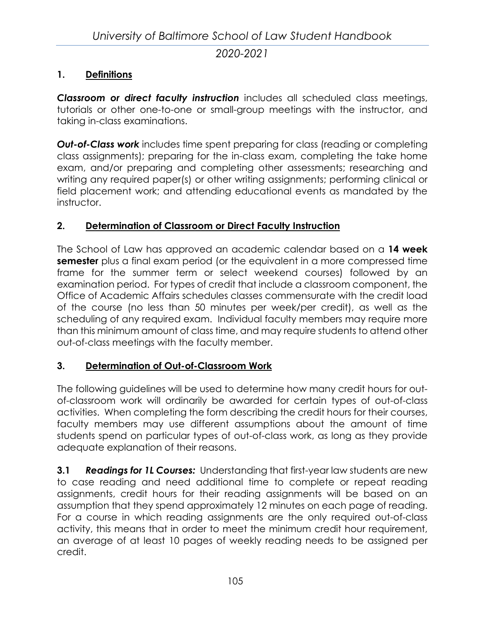### **1. Definitions**

*Classroom or direct faculty instruction* includes all scheduled class meetings, tutorials or other one-to-one or small-group meetings with the instructor, and taking in-class examinations.

**Out-of-Class work** includes time spent preparing for class (reading or completing class assignments); preparing for the in-class exam, completing the take home exam, and/or preparing and completing other assessments; researching and writing any required paper(s) or other writing assignments; performing clinical or field placement work; and attending educational events as mandated by the instructor.

### **2. Determination of Classroom or Direct Faculty Instruction**

The School of Law has approved an academic calendar based on a **14 week semester** plus a final exam period (or the equivalent in a more compressed time frame for the summer term or select weekend courses) followed by an examination period. For types of credit that include a classroom component, the Office of Academic Affairs schedules classes commensurate with the credit load of the course (no less than 50 minutes per week/per credit), as well as the scheduling of any required exam. Individual faculty members may require more than this minimum amount of class time, and may require students to attend other out-of-class meetings with the faculty member.

### **3. Determination of Out-of-Classroom Work**

The following guidelines will be used to determine how many credit hours for outof-classroom work will ordinarily be awarded for certain types of out-of-class activities. When completing the form describing the credit hours for their courses, faculty members may use different assumptions about the amount of time students spend on particular types of out-of-class work, as long as they provide adequate explanation of their reasons.

**3.1** *Readings for 1L Courses:* Understanding that first-year law students are new to case reading and need additional time to complete or repeat reading assignments, credit hours for their reading assignments will be based on an assumption that they spend approximately 12 minutes on each page of reading. For a course in which reading assignments are the only required out-of-class activity, this means that in order to meet the minimum credit hour requirement, an average of at least 10 pages of weekly reading needs to be assigned per credit.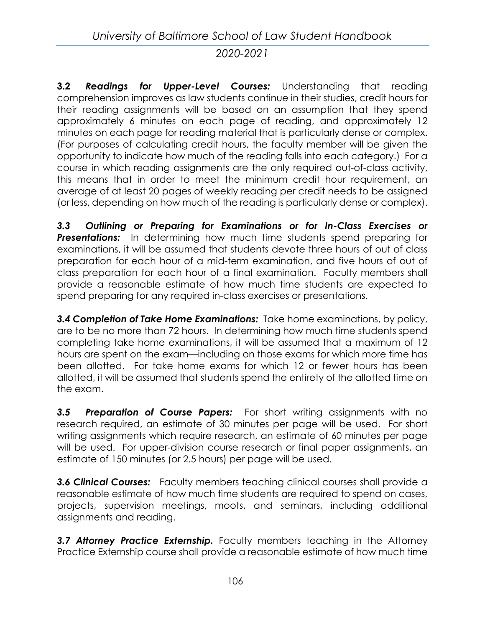**3.2** *Readings for Upper-Level Courses:* Understanding that reading comprehension improves as law students continue in their studies, credit hours for their reading assignments will be based on an assumption that they spend approximately 6 minutes on each page of reading, and approximately 12 minutes on each page for reading material that is particularly dense or complex. (For purposes of calculating credit hours, the faculty member will be given the opportunity to indicate how much of the reading falls into each category.) For a course in which reading assignments are the only required out-of-class activity, this means that in order to meet the minimum credit hour requirement, an average of at least 20 pages of weekly reading per credit needs to be assigned (or less, depending on how much of the reading is particularly dense or complex).

*3.3 Outlining or Preparing for Examinations or for In-Class Exercises or*  **Presentations:** In determining how much time students spend preparing for examinations, it will be assumed that students devote three hours of out of class preparation for each hour of a mid-term examination, and five hours of out of class preparation for each hour of a final examination. Faculty members shall provide a reasonable estimate of how much time students are expected to spend preparing for any required in-class exercises or presentations.

*3.4 Completion of Take Home Examinations:* Take home examinations, by policy, are to be no more than 72 hours. In determining how much time students spend completing take home examinations, it will be assumed that a maximum of 12 hours are spent on the exam—including on those exams for which more time has been allotted. For take home exams for which 12 or fewer hours has been allotted, it will be assumed that students spend the entirety of the allotted time on the exam.

*3.5 Preparation of Course Papers:* For short writing assignments with no research required, an estimate of 30 minutes per page will be used. For short writing assignments which require research, an estimate of 60 minutes per page will be used. For upper-division course research or final paper assignments, an estimate of 150 minutes (or 2.5 hours) per page will be used.

**3.6 Clinical Courses:** Faculty members teaching clinical courses shall provide a reasonable estimate of how much time students are required to spend on cases, projects, supervision meetings, moots, and seminars, including additional assignments and reading.

*3.7 Attorney Practice Externship.* Faculty members teaching in the Attorney Practice Externship course shall provide a reasonable estimate of how much time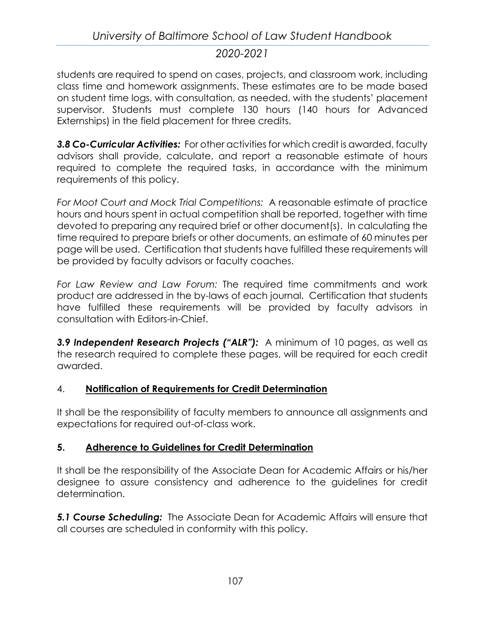students are required to spend on cases, projects, and classroom work, including class time and homework assignments. These estimates are to be made based on student time logs, with consultation, as needed, with the students' placement supervisor. Students must complete 130 hours (140 hours for Advanced Externships) in the field placement for three credits.

*3.8 Co-Curricular Activities:* For other activities for which credit is awarded, faculty advisors shall provide, calculate, and report a reasonable estimate of hours required to complete the required tasks, in accordance with the minimum requirements of this policy.

*For Moot Court and Mock Trial Competitions:* A reasonable estimate of practice hours and hours spent in actual competition shall be reported, together with time devoted to preparing any required brief or other document(s). In calculating the time required to prepare briefs or other documents, an estimate of 60 minutes per page will be used. Certification that students have fulfilled these requirements will be provided by faculty advisors or faculty coaches.

*For Law Review and Law Forum:* The required time commitments and work product are addressed in the by-laws of each journal. Certification that students have fulfilled these requirements will be provided by faculty advisors in consultation with Editors-in-Chief.

*3.9 Independent Research Projects ("ALR"):* A minimum of 10 pages, as well as the research required to complete these pages, will be required for each credit awarded.

## 4. **Notification of Requirements for Credit Determination**

It shall be the responsibility of faculty members to announce all assignments and expectations for required out-of-class work.

## **5. Adherence to Guidelines for Credit Determination**

It shall be the responsibility of the Associate Dean for Academic Affairs or his/her designee to assure consistency and adherence to the guidelines for credit determination.

*5.1 Course Scheduling:* The Associate Dean for Academic Affairs will ensure that all courses are scheduled in conformity with this policy.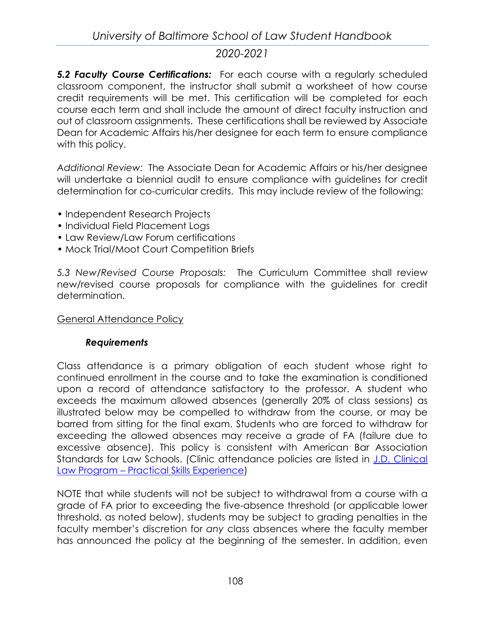*5.2 Faculty Course Certifications:* For each course with a regularly scheduled classroom component, the instructor shall submit a worksheet of how course credit requirements will be met. This certification will be completed for each course each term and shall include the amount of direct faculty instruction and out of classroom assignments. These certifications shall be reviewed by Associate Dean for Academic Affairs his/her designee for each term to ensure compliance with this policy.

*Additional Review:* The Associate Dean for Academic Affairs or his/her designee will undertake a biennial audit to ensure compliance with guidelines for credit determination for co-curricular credits. This may include review of the following:

- Independent Research Projects
- Individual Field Placement Logs
- Law Review/Law Forum certifications
- Mock Trial/Moot Court Competition Briefs

*5.3 New/Revised Course Proposals:* The Curriculum Committee shall review new/revised course proposals for compliance with the guidelines for credit determination.

### General Attendance Policy

### *Requirements*

Class attendance is a primary obligation of each student whose right to continued enrollment in the course and to take the examination is conditioned upon a record of attendance satisfactory to the professor. A student who exceeds the maximum allowed absences (generally 20% of class sessions) as illustrated below may be compelled to withdraw from the course, or may be barred from sitting for the final exam. Students who are forced to withdraw for exceeding the allowed absences may receive a grade of FA (failure due to excessive absence). This policy is consistent with American Bar Association Standards for Law Schools. (Clinic attendance policies are listed in J.D. Clinical Law Program – [Practical Skills Experience\)](#page-48-0)

NOTE that while students will not be subject to withdrawal from a course with a grade of FA prior to exceeding the five-absence threshold (or applicable lower threshold, as noted below), students may be subject to grading penalties in the faculty member's discretion for *any* class absences where the faculty member has announced the policy at the beginning of the semester. In addition, even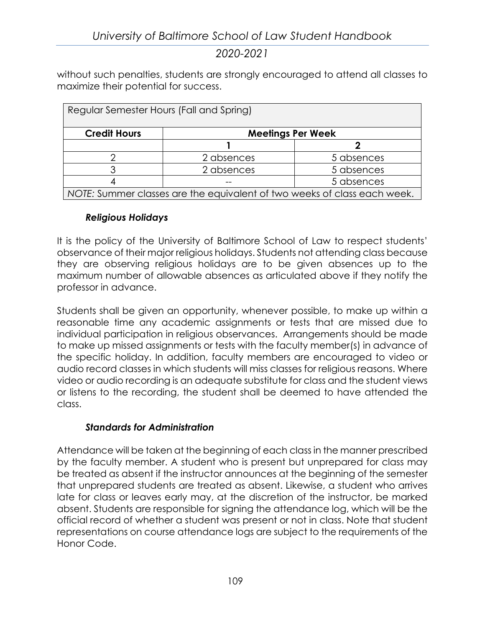without such penalties, students are strongly encouraged to attend all classes to maximize their potential for success.

| Regular Semester Hours (Fall and Spring)                                 |                          |            |  |  |
|--------------------------------------------------------------------------|--------------------------|------------|--|--|
| <b>Credit Hours</b>                                                      | <b>Meetings Per Week</b> |            |  |  |
|                                                                          |                          |            |  |  |
|                                                                          | 2 absences               | 5 absences |  |  |
|                                                                          | 2 absences               | 5 absences |  |  |
|                                                                          |                          | 5 absences |  |  |
| NOTE: Summer classes are the equivalent of two weeks of class each week. |                          |            |  |  |

### *Religious Holidays*

It is the policy of the University of Baltimore School of Law to respect students' observance of their major religious holidays. Students not attending class because they are observing religious holidays are to be given absences up to the maximum number of allowable absences as articulated above if they notify the professor in advance.

Students shall be given an opportunity, whenever possible, to make up within a reasonable time any academic assignments or tests that are missed due to individual participation in religious observances. Arrangements should be made to make up missed assignments or tests with the faculty member(s) in advance of the specific holiday. In addition, faculty members are encouraged to video or audio record classes in which students will miss classes for religious reasons. Where video or audio recording is an adequate substitute for class and the student views or listens to the recording, the student shall be deemed to have attended the class.

## *Standards for Administration*

Attendance will be taken at the beginning of each class in the manner prescribed by the faculty member. A student who is present but unprepared for class may be treated as absent if the instructor announces at the beginning of the semester that unprepared students are treated as absent. Likewise, a student who arrives late for class or leaves early may, at the discretion of the instructor, be marked absent. Students are responsible for signing the attendance log, which will be the official record of whether a student was present or not in class. Note that student representations on course attendance logs are subject to the requirements of the Honor Code.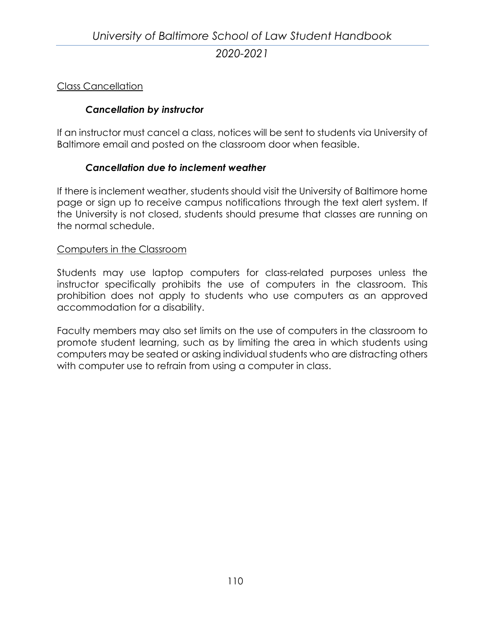### Class Cancellation

### *Cancellation by instructor*

If an instructor must cancel a class, notices will be sent to students via University of Baltimore email and posted on the classroom door when feasible.

### *Cancellation due to inclement weather*

If there is inclement weather, students should visit the University of Baltimore home page or sign up to receive campus notifications through the text alert system. If the University is not closed, students should presume that classes are running on the normal schedule.

### Computers in the Classroom

Students may use laptop computers for class-related purposes unless the instructor specifically prohibits the use of computers in the classroom. This prohibition does not apply to students who use computers as an approved accommodation for a disability.

Faculty members may also set limits on the use of computers in the classroom to promote student learning, such as by limiting the area in which students using computers may be seated or asking individual students who are distracting others with computer use to refrain from using a computer in class.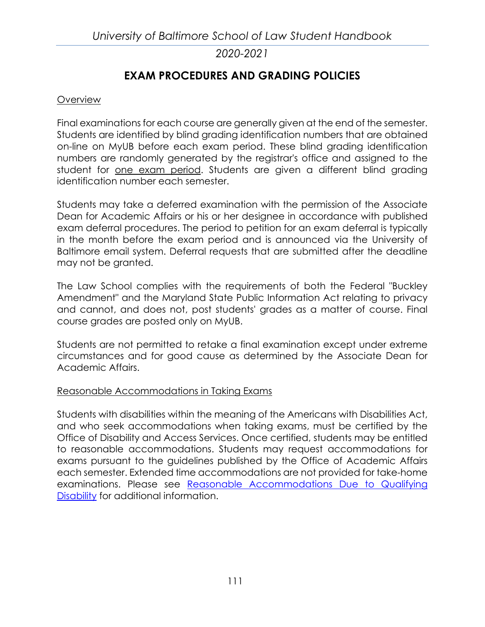# **EXAM PROCEDURES AND GRADING POLICIES**

#### **Overview**

Final examinations for each course are generally given at the end of the semester. Students are identified by blind grading identification numbers that are obtained on-line on MyUB before each exam period. These blind grading identification numbers are randomly generated by the registrar's office and assigned to the student for one exam period. Students are given a different blind grading identification number each semester.

Students may take a deferred examination with the permission of the Associate Dean for Academic Affairs or his or her designee in accordance with published exam deferral procedures. The period to petition for an exam deferral is typically in the month before the exam period and is announced via the University of Baltimore email system. Deferral requests that are submitted after the deadline may not be granted.

The Law School complies with the requirements of both the Federal "Buckley Amendment" and the Maryland State Public Information Act relating to privacy and cannot, and does not, post students' grades as a matter of course. Final course grades are posted only on MyUB.

Students are not permitted to retake a final examination except under extreme circumstances and for good cause as determined by the Associate Dean for Academic Affairs.

#### Reasonable Accommodations in Taking Exams

Students with disabilities within the meaning of the Americans with Disabilities Act, and who seek accommodations when taking exams, must be certified by the Office of Disability and Access Services. Once certified, students may be entitled to reasonable accommodations. Students may request accommodations for exams pursuant to the guidelines published by the Office of Academic Affairs each semester. Extended time accommodations are not provided for take-home examinations. Please see Reasonable Accommodations Due to Qualifying Disability for additional information.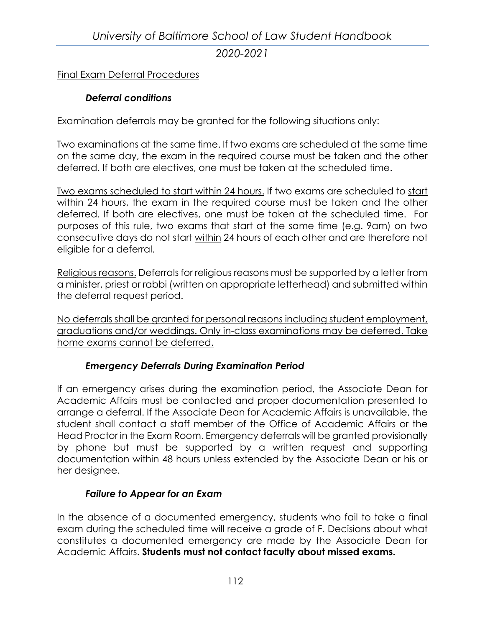# *University of Baltimore School of Law Student Handbook 2020-2021*

### Final Exam Deferral Procedures

### *Deferral conditions*

Examination deferrals may be granted for the following situations only:

Two examinations at the same time. If two exams are scheduled at the same time on the same day, the exam in the required course must be taken and the other deferred. If both are electives, one must be taken at the scheduled time.

Two exams scheduled to start within 24 hours. If two exams are scheduled to start within 24 hours, the exam in the required course must be taken and the other deferred. If both are electives, one must be taken at the scheduled time. For purposes of this rule, two exams that start at the same time (e.g. 9am) on two consecutive days do not start within 24 hours of each other and are therefore not eligible for a deferral.

Religious reasons. Deferrals for religious reasons must be supported by a letter from a minister, priest or rabbi (written on appropriate letterhead) and submitted within the deferral request period.

No deferrals shall be granted for personal reasons including student employment, graduations and/or weddings. Only in-class examinations may be deferred. Take home exams cannot be deferred.

#### *Emergency Deferrals During Examination Period*

If an emergency arises during the examination period, the Associate Dean for Academic Affairs must be contacted and proper documentation presented to arrange a deferral. If the Associate Dean for Academic Affairs is unavailable, the student shall contact a staff member of the Office of Academic Affairs or the Head Proctor in the Exam Room. Emergency deferrals will be granted provisionally by phone but must be supported by a written request and supporting documentation within 48 hours unless extended by the Associate Dean or his or her designee.

#### *Failure to Appear for an Exam*

In the absence of a documented emergency, students who fail to take a final exam during the scheduled time will receive a grade of F. Decisions about what constitutes a documented emergency are made by the Associate Dean for Academic Affairs. **Students must not contact faculty about missed exams.**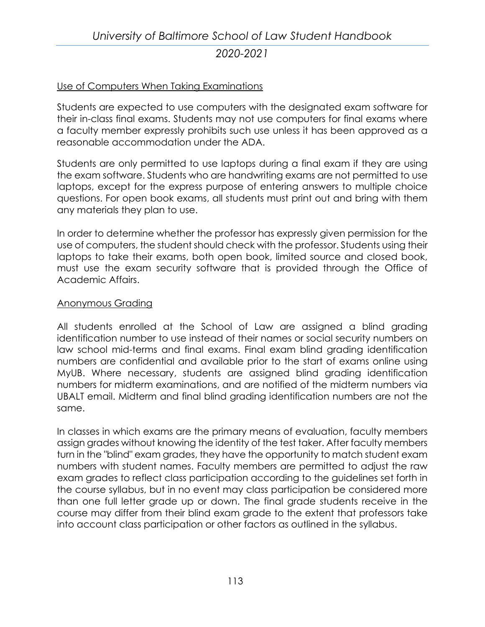### Use of Computers When Taking Examinations

Students are expected to use computers with the designated exam software for their in-class final exams. Students may not use computers for final exams where a faculty member expressly prohibits such use unless it has been approved as a reasonable accommodation under the ADA.

Students are only permitted to use laptops during a final exam if they are using the exam software. Students who are handwriting exams are not permitted to use laptops, except for the express purpose of entering answers to multiple choice questions. For open book exams, all students must print out and bring with them any materials they plan to use.

In order to determine whether the professor has expressly given permission for the use of computers, the student should check with the professor. Students using their laptops to take their exams, both open book, limited source and closed book, must use the exam security software that is provided through the Office of Academic Affairs.

#### Anonymous Grading

All students enrolled at the School of Law are assigned a blind grading identification number to use instead of their names or social security numbers on law school mid-terms and final exams. Final exam blind grading identification numbers are confidential and available prior to the start of exams online using MyUB. Where necessary, students are assigned blind grading identification numbers for midterm examinations, and are notified of the midterm numbers via UBALT email. Midterm and final blind grading identification numbers are not the same.

In classes in which exams are the primary means of evaluation, faculty members assign grades without knowing the identity of the test taker. After faculty members turn in the "blind" exam grades, they have the opportunity to match student exam numbers with student names. Faculty members are permitted to adjust the raw exam grades to reflect class participation according to the guidelines set forth in the course syllabus, but in no event may class participation be considered more than one full letter grade up or down. The final grade students receive in the course may differ from their blind exam grade to the extent that professors take into account class participation or other factors as outlined in the syllabus.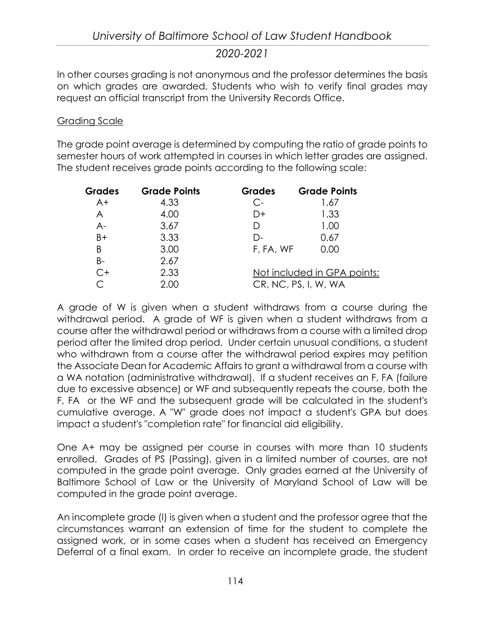In other courses grading is not anonymous and the professor determines the basis on which grades are awarded. Students who wish to verify final grades may request an official transcript from the University Records Office.

#### Grading Scale

The grade point average is determined by computing the ratio of grade points to semester hours of work attempted in courses in which letter grades are assigned. The student receives grade points according to the following scale:

| <b>Grades</b> | <b>Grade Points</b> | <b>Grades</b> | <b>Grade Points</b>         |
|---------------|---------------------|---------------|-----------------------------|
| $A+$          | 4.33                | $C-$          | 1.67                        |
| A             | 4.00                | D+            | 1.33                        |
| $A-$          | 3.67                | D             | 1.00                        |
| $B+$          | 3.33                | $\Gamma$      | 0.67                        |
| B             | 3.00                | F, FA, WF     | 0.00                        |
| $B -$         | 2.67                |               |                             |
| $C+$          | 2.33                |               | Not included in GPA points: |
| ⌒             | 2.00                |               | CR, NC, PS, I, W, WA        |

A grade of W is given when a student withdraws from a course during the withdrawal period. A grade of WF is given when a student withdraws from a course after the withdrawal period or withdraws from a course with a limited drop period after the limited drop period. Under certain unusual conditions, a student who withdrawn from a course after the withdrawal period expires may petition the Associate Dean for Academic Affairs to grant a withdrawal from a course with a WA notation (administrative withdrawal). If a student receives an F, FA (failure due to excessive absence) or WF and subsequently repeats the course, both the F, FA or the WF and the subsequent grade will be calculated in the student's cumulative average. A "W" grade does not impact a student's GPA but does impact a student's "completion rate" for financial aid eligibility.

One A+ may be assigned per course in courses with more than 10 students enrolled. Grades of PS (Passing), given in a limited number of courses, are not computed in the grade point average. Only grades earned at the University of Baltimore School of Law or the University of Maryland School of Law will be computed in the grade point average.

An incomplete grade (I) is given when a student and the professor agree that the circumstances warrant an extension of time for the student to complete the assigned work, or in some cases when a student has received an Emergency Deferral of a final exam. In order to receive an incomplete grade, the student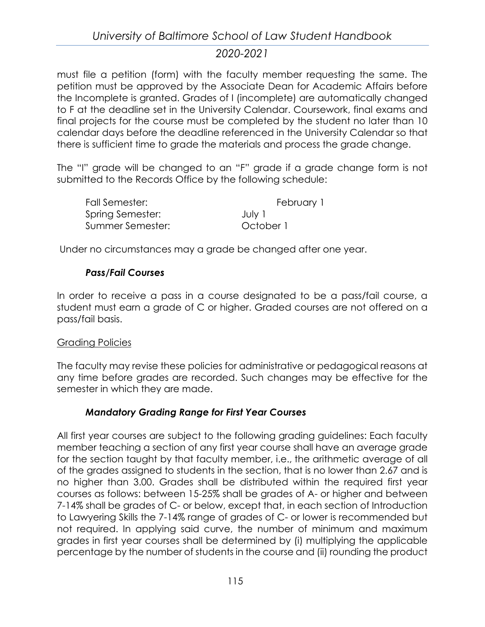must file a petition (form) with the faculty member requesting the same. The petition must be approved by the Associate Dean for Academic Affairs before the Incomplete is granted. Grades of I (incomplete) are automatically changed to F at the deadline set in the University Calendar. Coursework, final exams and final projects for the course must be completed by the student no later than 10 calendar days before the deadline referenced in the University Calendar so that there is sufficient time to grade the materials and process the grade change.

The "I" grade will be changed to an "F" grade if a grade change form is not submitted to the Records Office by the following schedule:

| Fall Semester:   | February 1 |
|------------------|------------|
| Spring Semester: | July 1     |
| Summer Semester: | October 1  |

Under no circumstances may a grade be changed after one year.

### *Pass/Fail Courses*

In order to receive a pass in a course designated to be a pass/fail course, a student must earn a grade of C or higher. Graded courses are not offered on a pass/fail basis.

### Grading Policies

The faculty may revise these policies for administrative or pedagogical reasons at any time before grades are recorded. Such changes may be effective for the semester in which they are made.

### *Mandatory Grading Range for First Year Courses*

All first year courses are subject to the following grading guidelines: Each faculty member teaching a section of any first year course shall have an average grade for the section taught by that faculty member, i.e., the arithmetic average of all of the grades assigned to students in the section, that is no lower than 2.67 and is no higher than 3.00. Grades shall be distributed within the required first year courses as follows: between 15-25% shall be grades of A- or higher and between 7-14% shall be grades of C- or below, except that, in each section of Introduction to Lawyering Skills the 7-14% range of grades of C- or lower is recommended but not required. In applying said curve, the number of minimum and maximum grades in first year courses shall be determined by (i) multiplying the applicable percentage by the number of students in the course and (ii) rounding the product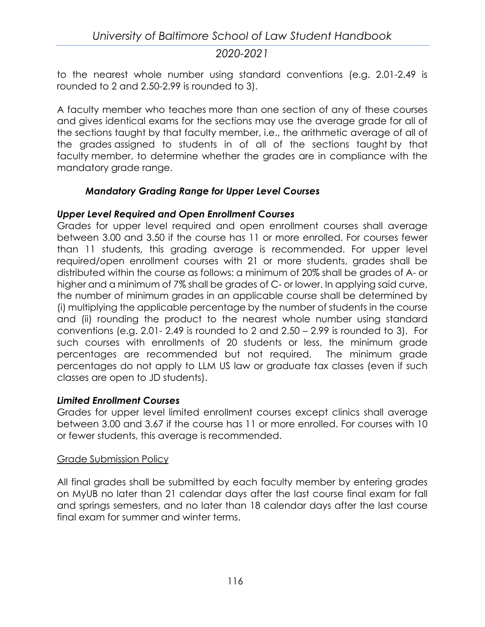to the nearest whole number using standard conventions (e.g. 2.01-2.49 is rounded to 2 and 2.50-2.99 is rounded to 3).

A faculty member who teaches more than one section of any of these courses and gives identical exams for the sections may use the average grade for all of the sections taught by that faculty member, i.e., the arithmetic average of all of the grades assigned to students in of all of the sections taught by that faculty member, to determine whether the grades are in compliance with the mandatory grade range.

### *Mandatory Grading Range for Upper Level Courses*

### *Upper Level Required and Open Enrollment Courses*

Grades for upper level required and open enrollment courses shall average between 3.00 and 3.50 if the course has 11 or more enrolled. For courses fewer than 11 students, this grading average is recommended. For upper level required/open enrollment courses with 21 or more students, grades shall be distributed within the course as follows: a minimum of 20% shall be grades of A- or higher and a minimum of 7% shall be grades of C- or lower. In applying said curve, the number of minimum grades in an applicable course shall be determined by (i) multiplying the applicable percentage by the number of students in the course and (ii) rounding the product to the nearest whole number using standard conventions (e.g. 2.01- 2.49 is rounded to 2 and 2.50 – 2.99 is rounded to 3). For such courses with enrollments of 20 students or less, the minimum grade percentages are recommended but not required. The minimum grade percentages do not apply to LLM US law or graduate tax classes (even if such classes are open to JD students).

### *Limited Enrollment Courses*

Grades for upper level limited enrollment courses except clinics shall average between 3.00 and 3.67 if the course has 11 or more enrolled. For courses with 10 or fewer students, this average is recommended.

#### Grade Submission Policy

All final grades shall be submitted by each faculty member by entering grades on MyUB no later than 21 calendar days after the last course final exam for fall and springs semesters, and no later than 18 calendar days after the last course final exam for summer and winter terms.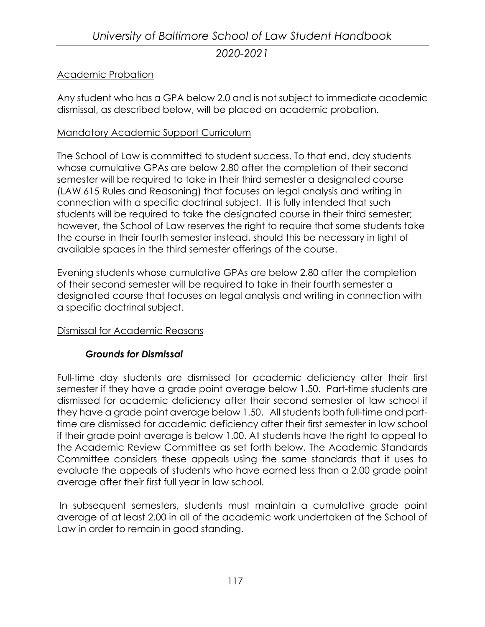### Academic Probation

Any student who has a GPA below 2.0 and is not subject to immediate academic dismissal, as described below, will be placed on academic probation.

### Mandatory Academic Support Curriculum

The School of Law is committed to student success. To that end, day students whose cumulative GPAs are below 2.80 after the completion of their second semester will be required to take in their third semester a designated course (LAW 615 Rules and Reasoning) that focuses on legal analysis and writing in connection with a specific doctrinal subject. It is fully intended that such students will be required to take the designated course in their third semester; however, the School of Law reserves the right to require that some students take the course in their fourth semester instead, should this be necessary in light of available spaces in the third semester offerings of the course.

Evening students whose cumulative GPAs are below 2.80 after the completion of their second semester will be required to take in their fourth semester a designated course that focuses on legal analysis and writing in connection with a specific doctrinal subject.

#### Dismissal for Academic Reasons

### *Grounds for Dismissal*

Full-time day students are dismissed for academic deficiency after their first semester if they have a grade point average below 1.50. Part-time students are dismissed for academic deficiency after their second semester of law school if they have a grade point average below 1.50. All students both full-time and parttime are dismissed for academic deficiency after their first semester in law school if their grade point average is below 1.00. All students have the right to appeal to the Academic Review Committee as set forth below. The Academic Standards Committee considers these appeals using the same standards that it uses to evaluate the appeals of students who have earned less than a 2.00 grade point average after their first full year in law school.

In subsequent semesters, students must maintain a cumulative grade point average of at least 2.00 in all of the academic work undertaken at the School of Law in order to remain in good standing.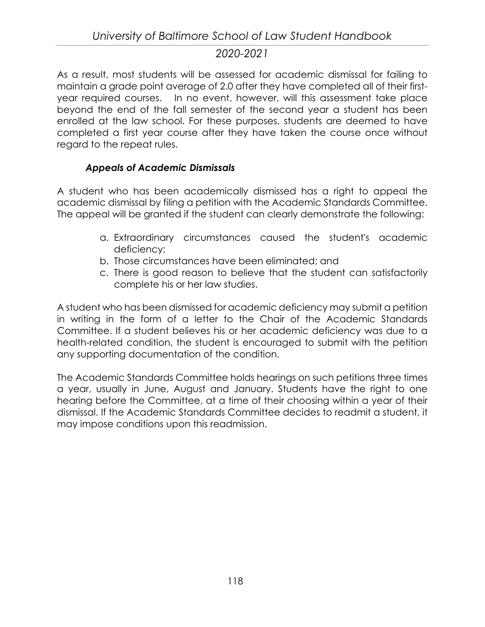As a result, most students will be assessed for academic dismissal for failing to maintain a grade point average of 2.0 after they have completed all of their firstyear required courses. In no event, however, will this assessment take place beyond the end of the fall semester of the second year a student has been enrolled at the law school. For these purposes, students are deemed to have completed a first year course after they have taken the course once without regard to the repeat rules.

## *Appeals of Academic Dismissals*

A student who has been academically dismissed has a right to appeal the academic dismissal by filing a petition with the Academic Standards Committee. The appeal will be granted if the student can clearly demonstrate the following:

- a. Extraordinary circumstances caused the student's academic deficiency;
- b. Those circumstances have been eliminated; and
- c. There is good reason to believe that the student can satisfactorily complete his or her law studies.

A student who has been dismissed for academic deficiency may submit a petition in writing in the form of a letter to the Chair of the Academic Standards Committee. If a student believes his or her academic deficiency was due to a health-related condition, the student is encouraged to submit with the petition any supporting documentation of the condition.

The Academic Standards Committee holds hearings on such petitions three times a year, usually in June, August and January. Students have the right to one hearing before the Committee, at a time of their choosing within a year of their dismissal. If the Academic Standards Committee decides to readmit a student, it may impose conditions upon this readmission.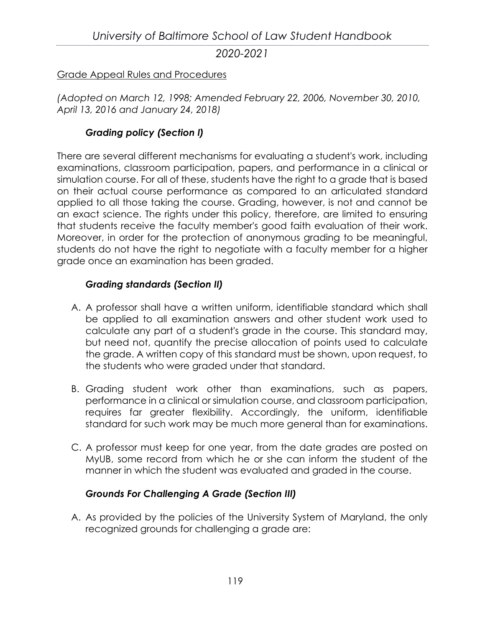[Grade Appeal Rules and Procedures](https://law.ubalt.edu/images/Grade%20Appeal%20Policy%20Fall%2013.pdf)

*(Adopted on March 12, 1998; Amended February 22, 2006, November 30, 2010, April 13, 2016 and January 24, 2018)*

### *Grading policy (Section I)*

There are several different mechanisms for evaluating a student's work, including examinations, classroom participation, papers, and performance in a clinical or simulation course. For all of these, students have the right to a grade that is based on their actual course performance as compared to an articulated standard applied to all those taking the course. Grading, however, is not and cannot be an exact science. The rights under this policy, therefore, are limited to ensuring that students receive the faculty member's good faith evaluation of their work. Moreover, in order for the protection of anonymous grading to be meaningful, students do not have the right to negotiate with a faculty member for a higher grade once an examination has been graded.

### *Grading standards (Section II)*

- A. A professor shall have a written uniform, identifiable standard which shall be applied to all examination answers and other student work used to calculate any part of a student's grade in the course. This standard may, but need not, quantify the precise allocation of points used to calculate the grade. A written copy of this standard must be shown, upon request, to the students who were graded under that standard.
- B. Grading student work other than examinations, such as papers, performance in a clinical or simulation course, and classroom participation, requires far greater flexibility. Accordingly, the uniform, identifiable standard for such work may be much more general than for examinations.
- C. A professor must keep for one year, from the date grades are posted on MyUB, some record from which he or she can inform the student of the manner in which the student was evaluated and graded in the course.

### *Grounds For Challenging A Grade (Section III)*

A. As provided by the policies of the University System of Maryland, the only recognized grounds for challenging a grade are: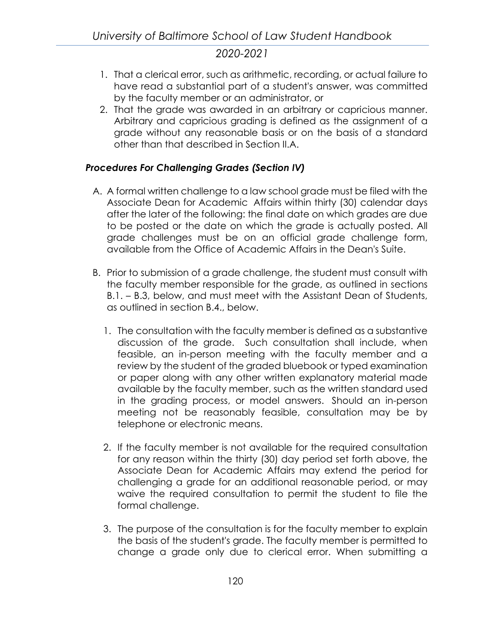- 1. That a clerical error, such as arithmetic, recording, or actual failure to have read a substantial part of a student's answer, was committed by the faculty member or an administrator, or
- 2. That the grade was awarded in an arbitrary or capricious manner. Arbitrary and capricious grading is defined as the assignment of a grade without any reasonable basis or on the basis of a standard other than that described in Section II.A.

## *Procedures For Challenging Grades (Section IV)*

- A. A formal written challenge to a law school grade must be filed with the Associate Dean for Academic Affairs within thirty (30) calendar days after the later of the following: the final date on which grades are due to be posted or the date on which the grade is actually posted. All grade challenges must be on an official grade challenge form, available from the Office of Academic Affairs in the Dean's Suite.
- B. Prior to submission of a grade challenge, the student must consult with the faculty member responsible for the grade, as outlined in sections B.1. – B.3, below, and must meet with the Assistant Dean of Students, as outlined in section B.4., below.
	- 1. The consultation with the faculty member is defined as a substantive discussion of the grade. Such consultation shall include, when feasible, an in-person meeting with the faculty member and a review by the student of the graded bluebook or typed examination or paper along with any other written explanatory material made available by the faculty member, such as the written standard used in the grading process, or model answers. Should an in-person meeting not be reasonably feasible, consultation may be by telephone or electronic means.
	- 2. If the faculty member is not available for the required consultation for any reason within the thirty (30) day period set forth above, the Associate Dean for Academic Affairs may extend the period for challenging a grade for an additional reasonable period, or may waive the required consultation to permit the student to file the formal challenge.
	- 3. The purpose of the consultation is for the faculty member to explain the basis of the student's grade. The faculty member is permitted to change a grade only due to clerical error. When submitting a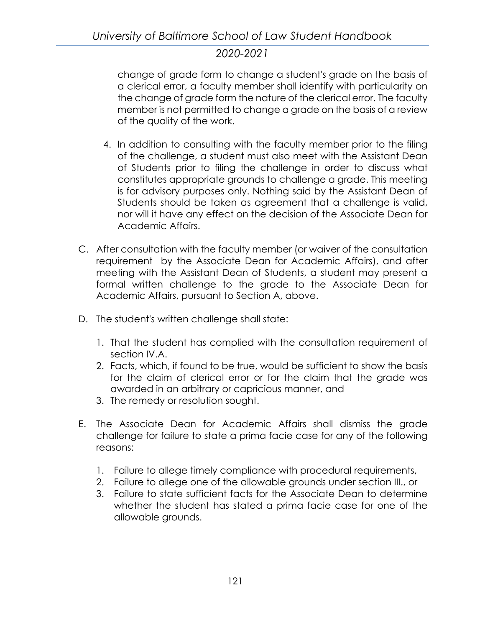change of grade form to change a student's grade on the basis of a clerical error, a faculty member shall identify with particularity on the change of grade form the nature of the clerical error. The faculty member is not permitted to change a grade on the basis of a review of the quality of the work.

- 4. In addition to consulting with the faculty member prior to the filing of the challenge, a student must also meet with the Assistant Dean of Students prior to filing the challenge in order to discuss what constitutes appropriate grounds to challenge a grade. This meeting is for advisory purposes only. Nothing said by the Assistant Dean of Students should be taken as agreement that a challenge is valid, nor will it have any effect on the decision of the Associate Dean for Academic Affairs.
- C. After consultation with the faculty member (or waiver of the consultation requirement by the Associate Dean for Academic Affairs), and after meeting with the Assistant Dean of Students, a student may present a formal written challenge to the grade to the Associate Dean for Academic Affairs, pursuant to Section A, above.
- D. The student's written challenge shall state:
	- 1. That the student has complied with the consultation requirement of section IV.A.
	- 2. Facts, which, if found to be true, would be sufficient to show the basis for the claim of clerical error or for the claim that the grade was awarded in an arbitrary or capricious manner, and
	- 3. The remedy or resolution sought.
- E. The Associate Dean for Academic Affairs shall dismiss the grade challenge for failure to state a prima facie case for any of the following reasons:
	- 1. Failure to allege timely compliance with procedural requirements,
	- 2. Failure to allege one of the allowable grounds under section III., or
	- 3. Failure to state sufficient facts for the Associate Dean to determine whether the student has stated a prima facie case for one of the allowable grounds.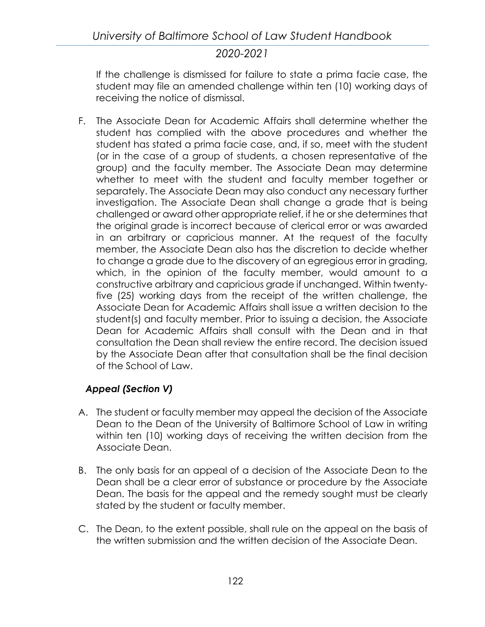If the challenge is dismissed for failure to state a prima facie case, the student may file an amended challenge within ten (10) working days of receiving the notice of dismissal.

F. The Associate Dean for Academic Affairs shall determine whether the student has complied with the above procedures and whether the student has stated a prima facie case, and, if so, meet with the student (or in the case of a group of students, a chosen representative of the group) and the faculty member. The Associate Dean may determine whether to meet with the student and faculty member together or separately. The Associate Dean may also conduct any necessary further investigation. The Associate Dean shall change a grade that is being challenged or award other appropriate relief, if he or she determines that the original grade is incorrect because of clerical error or was awarded in an arbitrary or capricious manner. At the request of the faculty member, the Associate Dean also has the discretion to decide whether to change a grade due to the discovery of an egregious error in grading, which, in the opinion of the faculty member, would amount to a constructive arbitrary and capricious grade if unchanged. Within twentyfive (25) working days from the receipt of the written challenge, the Associate Dean for Academic Affairs shall issue a written decision to the student(s) and faculty member. Prior to issuing a decision, the Associate Dean for Academic Affairs shall consult with the Dean and in that consultation the Dean shall review the entire record. The decision issued by the Associate Dean after that consultation shall be the final decision of the School of Law.

## *Appeal (Section V)*

- A. The student or faculty member may appeal the decision of the Associate Dean to the Dean of the University of Baltimore School of Law in writing within ten (10) working days of receiving the written decision from the Associate Dean.
- B. The only basis for an appeal of a decision of the Associate Dean to the Dean shall be a clear error of substance or procedure by the Associate Dean. The basis for the appeal and the remedy sought must be clearly stated by the student or faculty member.
- C. The Dean, to the extent possible, shall rule on the appeal on the basis of the written submission and the written decision of the Associate Dean.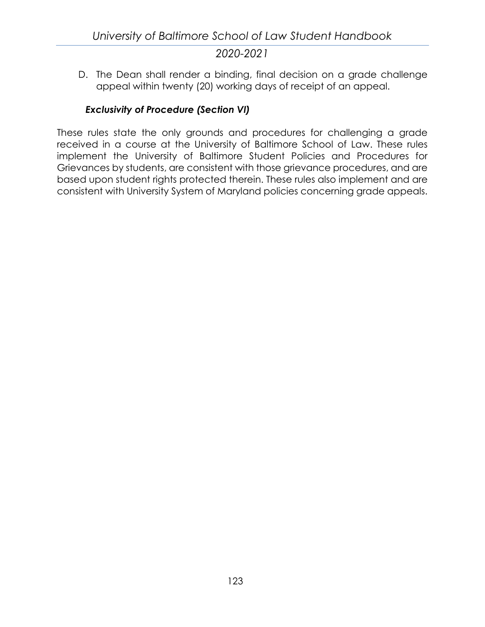D. The Dean shall render a binding, final decision on a grade challenge appeal within twenty (20) working days of receipt of an appeal.

## *Exclusivity of Procedure (Section VI)*

These rules state the only grounds and procedures for challenging a grade received in a course at the University of Baltimore School of Law. These rules implement the University of Baltimore Student Policies and Procedures for Grievances by students, are consistent with those grievance procedures, and are based upon student rights protected therein. These rules also implement and are consistent with University System of Maryland policies concerning grade appeals.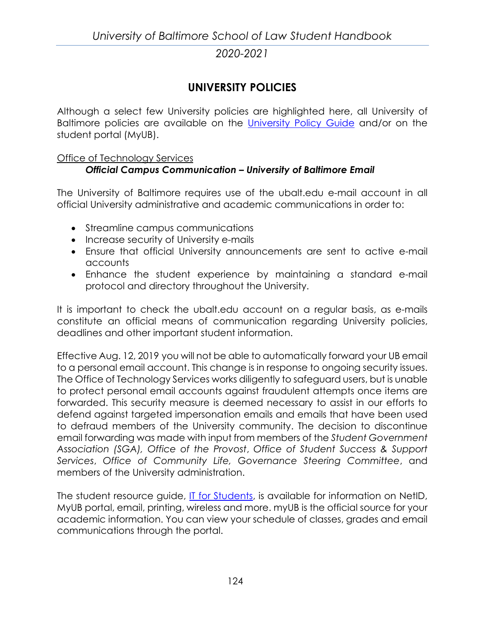# **UNIVERSITY POLICIES**

Although a select few University policies are highlighted here, all University of Baltimore policies are available on the [University Policy](https://www.ubalt.edu/policies/) Guide and/or on the student portal (MyUB).

#### Office of Technology Services

### *Official Campus Communication – University of Baltimore Email*

The University of Baltimore requires use of the ubalt.edu e-mail account in all official University administrative and academic communications in order to:

- Streamline campus communications
- Increase security of University e-mails
- Ensure that official University announcements are sent to active e-mail accounts
- Enhance the student experience by maintaining a standard e-mail protocol and directory throughout the University.

It is important to check the ubalt.edu account on a regular basis, as e-mails constitute an official means of communication regarding University policies, deadlines and other important student information.

Effective Aug. 12, 2019 you will not be able to automatically forward your UB email to a personal email account. This change is in response to ongoing security issues. The Office of Technology Services works diligently to safeguard users, but is unable to protect personal email accounts against fraudulent attempts once items are forwarded. This security measure is deemed necessary to assist in our efforts to defend against targeted impersonation emails and emails that have been used to defraud members of the University community. The decision to discontinue email forwarding was made with input from members of the *Student Government Association (SGA), Office of the Provost*, *Office of Student Success & Support Services*, *Office of Community Life, Governance Steering Committee*, and members of the University administration.

The student resource guide, [IT for Students,](http://www.ubalt.edu/about-ub/offices-and-services/technology-services/get-started/it_students.cfm) is available for information on NetID, MyUB portal, email, printing, wireless and more. myUB is the official source for your academic information. You can view your schedule of classes, grades and email communications through the portal.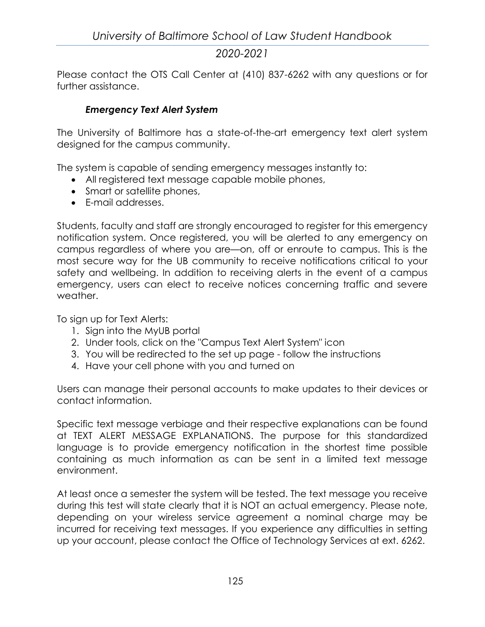Please contact the OTS [Call Center](mailto:callcenter@ubalt.edu) at (410) 837-6262 with any questions or for further assistance.

### *Emergency Text Alert System*

The University of Baltimore has a state-of-the-art emergency text alert system designed for the campus community.

The system is capable of sending emergency messages instantly to:

- All registered text message capable mobile phones,
- Smart or satellite phones,
- E-mail addresses.

Students, faculty and staff are strongly encouraged to register for this emergency notification system. Once registered, you will be alerted to any emergency on campus regardless of where you are—on, off or enroute to campus. This is the most secure way for the UB community to receive notifications critical to your safety and wellbeing. In addition to receiving alerts in the event of a campus emergency, users can elect to receive notices concerning traffic and severe weather.

To sign up for Text Alerts:

- 1. Sign into the MyUB portal
- 2. Under tools, click on the "Campus Text Alert System" icon
- 3. You will be redirected to the set up page follow the instructions
- 4. Have your cell phone with you and turned on

Users can manage their personal accounts to make updates to their devices or contact information.

Specific text message verbiage and their respective explanations can be found at TEXT ALERT MESSAGE EXPLANATIONS. The purpose for this standardized language is to provide emergency notification in the shortest time possible containing as much information as can be sent in a limited text message environment.

At least once a semester the system will be tested. The text message you receive during this test will state clearly that it is NOT an actual emergency. Please note, depending on your wireless service agreement a nominal charge may be incurred for receiving text messages. If you experience any difficulties in setting up your account, please contact the Office of Technology Services at ext. 6262.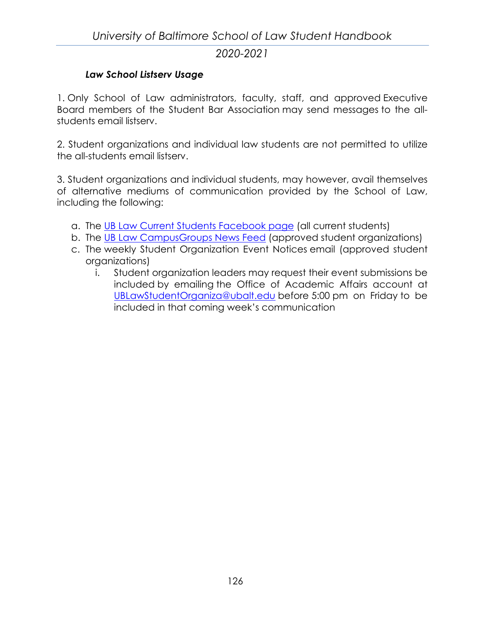### *Law School Listserv Usage*

1. Only School of Law administrators, faculty, staff, and approved Executive Board members of the Student Bar Association may send messages to the allstudents email listserv.

2. Student organizations and individual law students are not permitted to utilize the all-students email listserv.

3. Student organizations and individual students, may however, avail themselves of alternative mediums of communication provided by the School of Law, including the following:

- a. The UB Law [Current Students](https://www.facebook.com/groups/645812248871758) Facebook page (all current students)
- b. The [UB Law CampusGroups](https://involvement.ubalt.edu/feeds) News Feed (approved student organizations)
- c. The weekly Student Organization Event Notices email (approved student organizations)
	- i. Student organization leaders may request their event submissions be included by emailing the Office of Academic Affairs account at [UBLawStudentOrganiza@ubalt.edu](mailto:UBLawStudentOrganiza@ubalt.edu) before 5:00 pm on Friday to be included in that coming week's communication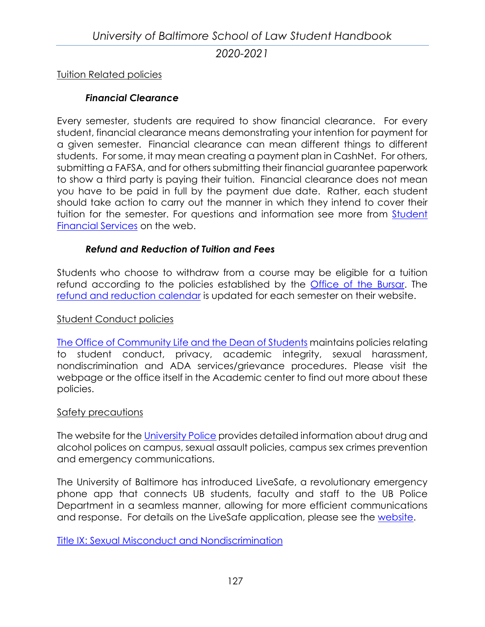Tuition Related policies

### *Financial Clearance*

Every semester, students are required to show financial clearance. For every student, financial clearance means demonstrating your intention for payment for a given semester. Financial clearance can mean different things to different students. For some, it may mean creating a payment plan in CashNet. For others, submitting a FAFSA, and for others submitting their financial guarantee paperwork to show a third party is paying their tuition. Financial clearance does not mean you have to be paid in full by the payment due date. Rather, each student should take action to carry out the manner in which they intend to cover their tuition for the semester. For questions and information see more from [Student](http://www.ubalt.edu/finance-and-records/financial_clearance.cfm)  [Financial Services](http://www.ubalt.edu/finance-and-records/financial_clearance.cfm) on the web.

### *Refund and Reduction of Tuition and Fees*

Students who choose to withdraw from a course may be eligible for a tuition refund according to the policies established by the [Office of the Bursar.](http://www.ubalt.edu/about-ub/offices-and-services/bursar/) The [refund and reduction calendar](http://www.ubalt.edu/about-ub/offices-and-services/bursar/refund-and-reduction-calendar-rev.cfm) is updated for each semester on their website.

### Student Conduct policies

[The Office of Community Life and the Dean of Students](http://www.ubalt.edu/about-ub/offices-and-services/dean-of-students/index.cfm) maintains policies relating to student conduct, privacy, academic integrity, sexual harassment, nondiscrimination and ADA services/grievance procedures. Please visit the webpage or the office itself in the Academic center to find out more about these policies.

#### Safety precautions

The website for the [University Police](http://www.ubalt.edu/about-ub/offices-and-services/university-police/policies/) provides detailed information about drug and alcohol polices on campus, sexual assault policies, campus sex crimes prevention and emergency communications.

The University of Baltimore has introduced LiveSafe, a revolutionary emergency phone app that connects UB students, faculty and staff to the UB Police Department in a seamless manner, allowing for more efficient communications and response. For details on the LiveSafe application, please see the [website.](http://www.ubalt.edu/about-ub/offices-and-services/university-police/livesafe.cfm)

[Title IX: Sexual Misconduct and Nondiscrimination](http://www.ubalt.edu/about-ub/offices-and-services/government-and-community-relations/titleix.cfm)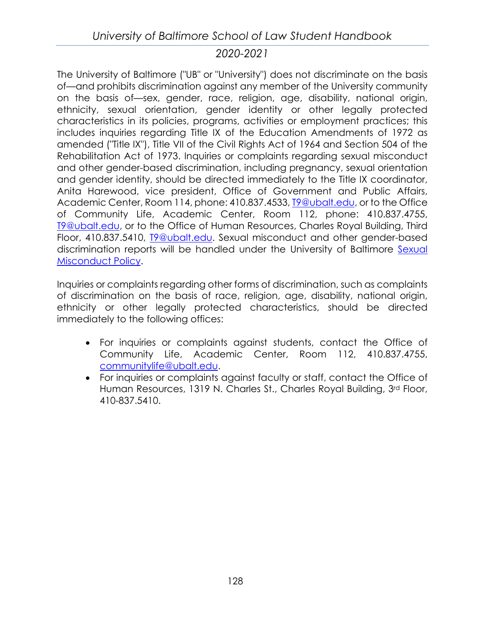The University of Baltimore ("UB" or "University") does not discriminate on the basis of—and prohibits discrimination against any member of the University community on the basis of—sex, gender, race, religion, age, disability, national origin, ethnicity, sexual orientation, gender identity or other legally protected characteristics in its policies, programs, activities or employment practices; this includes inquiries regarding Title IX of the Education Amendments of 1972 as amended ("Title IX"), Title VII of the Civil Rights Act of 1964 and Section 504 of the Rehabilitation Act of 1973. Inquiries or complaints regarding sexual misconduct and other gender-based discrimination, including pregnancy, sexual orientation and gender identity, should be directed immediately to the Title IX coordinator, Anita Harewood, vice president, Office of Government and Public Affairs, Academic Center, Room 114, phone: 410.837.4533, [T9@ubalt.edu,](mailto:T9@ubalt.edu) or to the Office of Community Life, Academic Center, Room 112, phone: 410.837.4755, [T9@ubalt.edu,](mailto:T9@ubalt.edu) or to the Office of Human Resources, Charles Royal Building, Third Floor, 410.837.5410, [T9@ubalt.edu.](mailto:T9@ubalt.edu) Sexual misconduct and other gender-based discrimination reports will be handled under the University of Baltimore [Sexual](http://www.ubalt.edu/policies/administrative/II-7.1.pdf)  [Misconduct Policy.](http://www.ubalt.edu/policies/administrative/II-7.1.pdf)

Inquiries or complaints regarding other forms of discrimination, such as complaints of discrimination on the basis of race, religion, age, disability, national origin, ethnicity or other legally protected characteristics, should be directed immediately to the following offices:

- For inquiries or complaints against students, contact the Office of Community Life, Academic Center, Room 112, 410.837.4755, [communitylife@ubalt.edu.](mailto:communitylife@ubalt.edu)
- For inquiries or complaints against faculty or staff, contact the Office of Human Resources, 1319 N. Charles St., Charles Royal Building, 3rd Floor, 410-837.5410.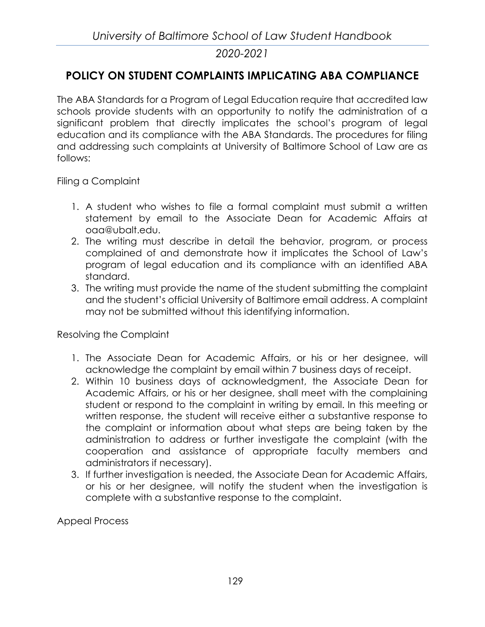# **POLICY ON STUDENT COMPLAINTS IMPLICATING ABA COMPLIANCE**

The ABA Standards for a Program of Legal Education require that accredited law schools provide students with an opportunity to notify the administration of a significant problem that directly implicates the school's program of legal education and its compliance with the ABA Standards. The procedures for filing and addressing such complaints at University of Baltimore School of Law are as follows:

Filing a Complaint

- 1. A student who wishes to file a formal complaint must submit a written statement by email to the Associate Dean for Academic Affairs at oaa@ubalt.edu.
- 2. The writing must describe in detail the behavior, program, or process complained of and demonstrate how it implicates the School of Law's program of legal education and its compliance with an identified ABA standard.
- 3. The writing must provide the name of the student submitting the complaint and the student's official University of Baltimore email address. A complaint may not be submitted without this identifying information.

Resolving the Complaint

- 1. The Associate Dean for Academic Affairs, or his or her designee, will acknowledge the complaint by email within 7 business days of receipt.
- 2. Within 10 business days of acknowledgment, the Associate Dean for Academic Affairs, or his or her designee, shall meet with the complaining student or respond to the complaint in writing by email. In this meeting or written response, the student will receive either a substantive response to the complaint or information about what steps are being taken by the administration to address or further investigate the complaint (with the cooperation and assistance of appropriate faculty members and administrators if necessary).
- 3. If further investigation is needed, the Associate Dean for Academic Affairs, or his or her designee, will notify the student when the investigation is complete with a substantive response to the complaint.

Appeal Process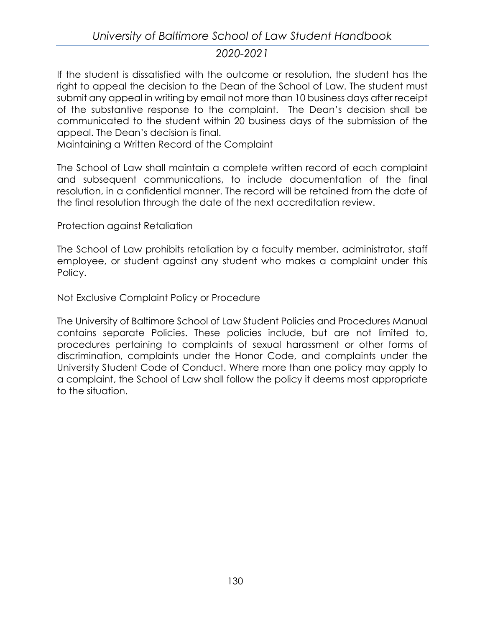If the student is dissatisfied with the outcome or resolution, the student has the right to appeal the decision to the Dean of the School of Law. The student must submit any appeal in writing by email not more than 10 business days after receipt of the substantive response to the complaint. The Dean's decision shall be communicated to the student within 20 business days of the submission of the appeal. The Dean's decision is final.

Maintaining a Written Record of the Complaint

The School of Law shall maintain a complete written record of each complaint and subsequent communications, to include documentation of the final resolution, in a confidential manner. The record will be retained from the date of the final resolution through the date of the next accreditation review.

Protection against Retaliation

The School of Law prohibits retaliation by a faculty member, administrator, staff employee, or student against any student who makes a complaint under this Policy.

Not Exclusive Complaint Policy or Procedure

The University of Baltimore School of Law Student Policies and Procedures Manual contains separate Policies. These policies include, but are not limited to, procedures pertaining to complaints of sexual harassment or other forms of discrimination, complaints under the Honor Code, and complaints under the University Student Code of Conduct. Where more than one policy may apply to a complaint, the School of Law shall follow the policy it deems most appropriate to the situation.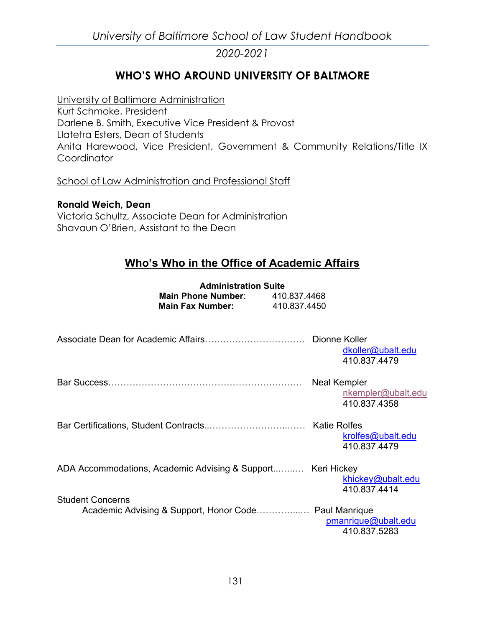# **WHO'S WHO AROUND UNIVERSITY OF BALTMORE**

University of Baltimore Administration Kurt Schmoke, President Darlene B. Smith, Executive Vice President & Provost Llatetra Esters, Dean of Students Anita Harewood, Vice President, Government & Community Relations/Title IX **Coordinator** 

School of Law Administration and Professional Staff

**Ronald Weich, Dean** Victoria Schultz, Associate Dean for Administration Shavaun O'Brien, Assistant to the Dean

## **Who's Who in the Office of Academic Affairs**

|                                                                                  | <b>Administration Suite</b><br><b>Main Phone Number:</b> 410.837.4468<br><b>Main Fax Number:</b> 410.837.4450 |                                                    |
|----------------------------------------------------------------------------------|---------------------------------------------------------------------------------------------------------------|----------------------------------------------------|
| Associate Dean for Academic Affairs……………………………… Dionne Koller                    |                                                                                                               | dkoller@ubalt.edu<br>410.837.4479                  |
|                                                                                  |                                                                                                               | Neal Kempler<br>nkempler@ubalt.edu<br>410.837.4358 |
|                                                                                  |                                                                                                               | krolfes@ubalt.edu<br>410.837.4479                  |
| ADA Accommodations, Academic Advising & Support   Keri Hickey                    |                                                                                                               | khickey@ubalt.edu<br>410.837.4414                  |
| <b>Student Concerns</b><br>Academic Advising & Support, Honor Code Paul Manrique |                                                                                                               | pmanrique@ubalt.edu<br>410.837.5283                |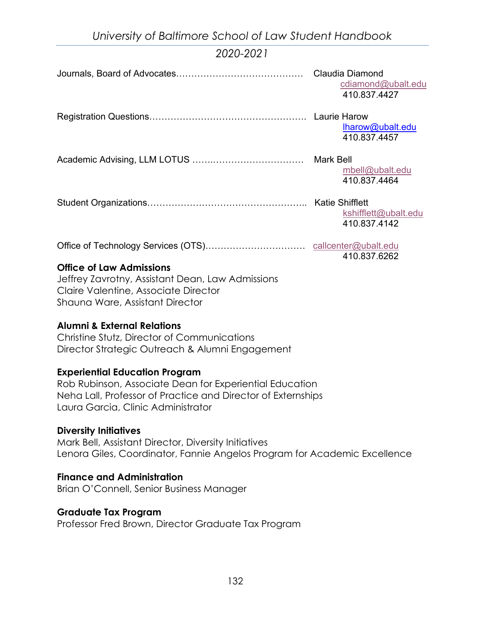|                                                  | <b>Claudia Diamond</b><br>cdiamond@ubalt.edu<br>410.837.4427 |
|--------------------------------------------------|--------------------------------------------------------------|
|                                                  | lharow@ubalt.edu<br>410.837.4457                             |
|                                                  | $mbell@$ ubalt.edu<br>410.837.4464                           |
|                                                  | kshifflett@ubalt.edu<br>410.837.4142                         |
|                                                  | 410.837.6262                                                 |
| <b>Office of Law Admissions</b>                  |                                                              |
| Jeffrey Zavrotny, Assistant Dean, Law Admissions |                                                              |
| Claire Valentine, Associate Director             |                                                              |
| Shauna Ware, Assistant Director                  |                                                              |

#### **Alumni & External Relations**

Christine Stutz, Director of Communications Director Strategic Outreach & Alumni Engagement

#### **Experiential Education Program**

Rob Rubinson, Associate Dean for Experiential Education Neha Lall, Professor of Practice and Director of Externships Laura Garcia, Clinic Administrator

#### **Diversity Initiatives**

Mark Bell, Assistant Director, Diversity Initiatives Lenora Giles, Coordinator, Fannie Angelos Program for Academic Excellence

#### **Finance and Administration**

Brian O'Connell, Senior Business Manager

#### **Graduate Tax Program**

Professor Fred Brown, Director Graduate Tax Program